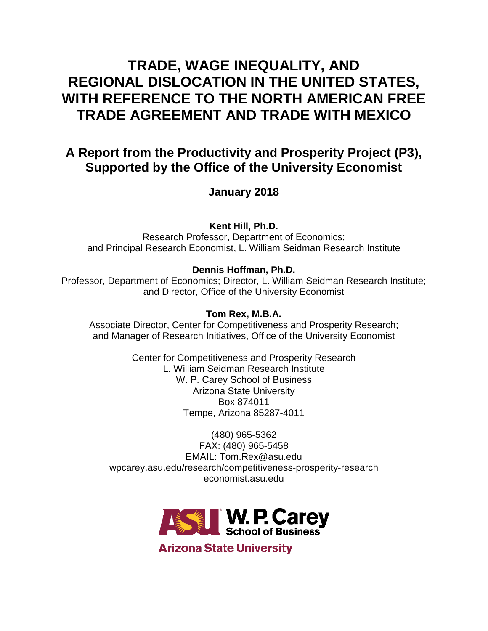# **TRADE, WAGE INEQUALITY, AND REGIONAL DISLOCATION IN THE UNITED STATES, WITH REFERENCE TO THE NORTH AMERICAN FREE TRADE AGREEMENT AND TRADE WITH MEXICO**

# **A Report from the Productivity and Prosperity Project (P3), Supported by the Office of the University Economist**

**January 2018**

**Kent Hill, Ph.D.**

Research Professor, Department of Economics; and Principal Research Economist, L. William Seidman Research Institute

# **Dennis Hoffman, Ph.D.**

Professor, Department of Economics; Director, L. William Seidman Research Institute; and Director, Office of the University Economist

# **Tom Rex, M.B.A.**

Associate Director, Center for Competitiveness and Prosperity Research; and Manager of Research Initiatives, Office of the University Economist

> Center for Competitiveness and Prosperity Research L. William Seidman Research Institute W. P. Carey School of Business Arizona State University Box 874011 Tempe, Arizona 85287-4011

(480) 965-5362 FAX: (480) 965-5458 EMAIL: Tom.Rex@asu.edu wpcarey.asu.edu/research/competitiveness-prosperity-research economist.asu.edu



**Arizona State University**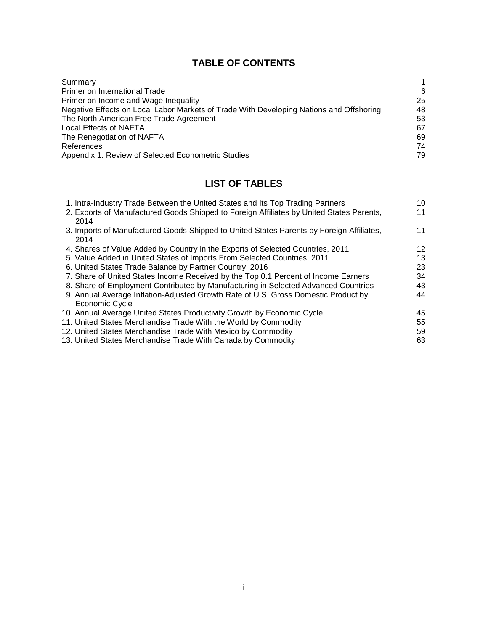# **TABLE OF CONTENTS**

| Summary                                                                                 |    |
|-----------------------------------------------------------------------------------------|----|
| Primer on International Trade                                                           | 6  |
| Primer on Income and Wage Inequality                                                    | 25 |
| Negative Effects on Local Labor Markets of Trade With Developing Nations and Offshoring | 48 |
| The North American Free Trade Agreement                                                 | 53 |
| Local Effects of NAFTA                                                                  | 67 |
| The Renegotiation of NAFTA                                                              | 69 |
| References                                                                              | 74 |
| Appendix 1: Review of Selected Econometric Studies                                      | 79 |

# **LIST OF TABLES**

| 1. Intra-Industry Trade Between the United States and Its Top Trading Partners           | 10 |
|------------------------------------------------------------------------------------------|----|
| 2. Exports of Manufactured Goods Shipped to Foreign Affiliates by United States Parents, | 11 |
| 2014                                                                                     |    |
| 3. Imports of Manufactured Goods Shipped to United States Parents by Foreign Affiliates, | 11 |
| 2014                                                                                     |    |
| 4. Shares of Value Added by Country in the Exports of Selected Countries, 2011           | 12 |
| 5. Value Added in United States of Imports From Selected Countries, 2011                 | 13 |
| 6. United States Trade Balance by Partner Country, 2016                                  | 23 |
| 7. Share of United States Income Received by the Top 0.1 Percent of Income Earners       | 34 |
| 8. Share of Employment Contributed by Manufacturing in Selected Advanced Countries       | 43 |
| 9. Annual Average Inflation-Adjusted Growth Rate of U.S. Gross Domestic Product by       | 44 |
| Economic Cycle                                                                           |    |
| 10. Annual Average United States Productivity Growth by Economic Cycle                   | 45 |
| 11. United States Merchandise Trade With the World by Commodity                          | 55 |
| 12. United States Merchandise Trade With Mexico by Commodity                             | 59 |
| 13. United States Merchandise Trade With Canada by Commodity                             | 63 |
|                                                                                          |    |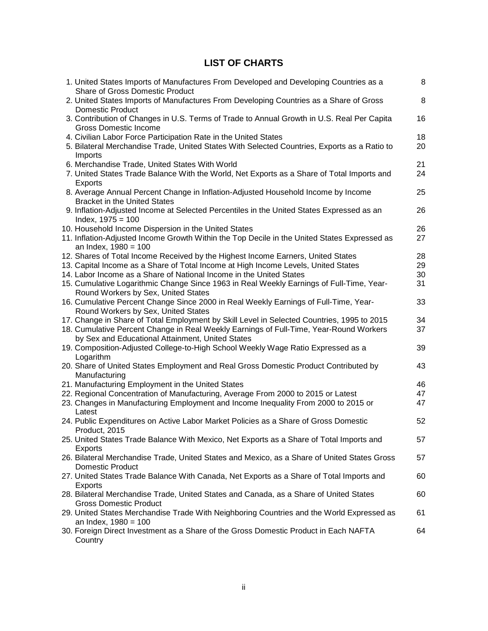# **LIST OF CHARTS**

| 1. United States Imports of Manufactures From Developed and Developing Countries as a<br><b>Share of Gross Domestic Product</b> | 8       |
|---------------------------------------------------------------------------------------------------------------------------------|---------|
| 2. United States Imports of Manufactures From Developing Countries as a Share of Gross<br><b>Domestic Product</b>               | $\,8\,$ |
| 3. Contribution of Changes in U.S. Terms of Trade to Annual Growth in U.S. Real Per Capita<br><b>Gross Domestic Income</b>      | 16      |
| 4. Civilian Labor Force Participation Rate in the United States                                                                 | 18      |
| 5. Bilateral Merchandise Trade, United States With Selected Countries, Exports as a Ratio to<br>Imports                         | 20      |
| 6. Merchandise Trade, United States With World                                                                                  | 21      |
| 7. United States Trade Balance With the World, Net Exports as a Share of Total Imports and                                      | 24      |
| <b>Exports</b>                                                                                                                  |         |
| 8. Average Annual Percent Change in Inflation-Adjusted Household Income by Income<br><b>Bracket in the United States</b>        | 25      |
| 9. Inflation-Adjusted Income at Selected Percentiles in the United States Expressed as an                                       | 26      |
| Index, $1975 = 100$                                                                                                             |         |
| 10. Household Income Dispersion in the United States                                                                            | 26      |
| 11. Inflation-Adjusted Income Growth Within the Top Decile in the United States Expressed as                                    | 27      |
| an Index, 1980 = 100                                                                                                            |         |
| 12. Shares of Total Income Received by the Highest Income Earners, United States                                                | 28      |
| 13. Capital Income as a Share of Total Income at High Income Levels, United States                                              | 29      |
| 14. Labor Income as a Share of National Income in the United States                                                             | 30      |
| 15. Cumulative Logarithmic Change Since 1963 in Real Weekly Earnings of Full-Time, Year-                                        | 31      |
| Round Workers by Sex, United States                                                                                             |         |
| 16. Cumulative Percent Change Since 2000 in Real Weekly Earnings of Full-Time, Year-                                            | 33      |
| Round Workers by Sex, United States                                                                                             |         |
| 17. Change in Share of Total Employment by Skill Level in Selected Countries, 1995 to 2015                                      | 34      |
| 18. Cumulative Percent Change in Real Weekly Earnings of Full-Time, Year-Round Workers                                          | 37      |
| by Sex and Educational Attainment, United States                                                                                |         |
| 19. Composition-Adjusted College-to-High School Weekly Wage Ratio Expressed as a                                                | 39      |
| Logarithm                                                                                                                       |         |
| 20. Share of United States Employment and Real Gross Domestic Product Contributed by                                            | 43      |
| Manufacturing                                                                                                                   |         |
| 21. Manufacturing Employment in the United States                                                                               | 46      |
| 22. Regional Concentration of Manufacturing, Average From 2000 to 2015 or Latest                                                | 47      |
| 23. Changes in Manufacturing Employment and Income Inequality From 2000 to 2015 or                                              | 47      |
| Latest                                                                                                                          |         |
| 24. Public Expenditures on Active Labor Market Policies as a Share of Gross Domestic<br>Product, 2015                           | 52      |
| 25. United States Trade Balance With Mexico, Net Exports as a Share of Total Imports and                                        | 57      |
| Exports                                                                                                                         |         |
| 26. Bilateral Merchandise Trade, United States and Mexico, as a Share of United States Gross                                    | 57      |
| Domestic Product                                                                                                                |         |
| 27. United States Trade Balance With Canada, Net Exports as a Share of Total Imports and                                        | 60      |
| Exports                                                                                                                         |         |
| 28. Bilateral Merchandise Trade, United States and Canada, as a Share of United States                                          | 60      |
| <b>Gross Domestic Product</b>                                                                                                   |         |
| 29. United States Merchandise Trade With Neighboring Countries and the World Expressed as                                       | 61      |
| an Index, $1980 = 100$                                                                                                          |         |
| 30. Foreign Direct Investment as a Share of the Gross Domestic Product in Each NAFTA                                            | 64      |
| Country                                                                                                                         |         |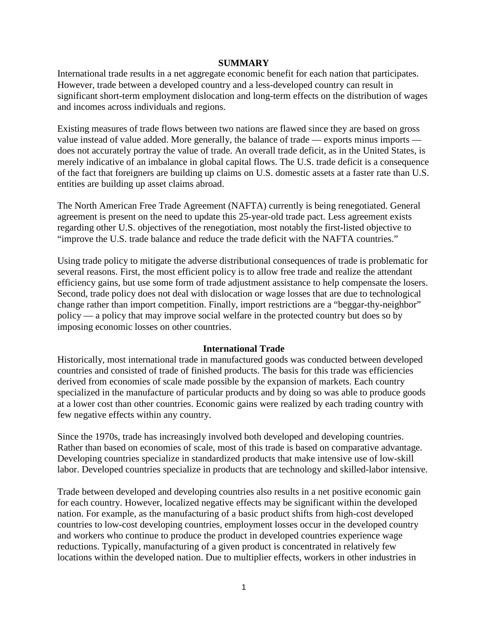#### **SUMMARY**

International trade results in a net aggregate economic benefit for each nation that participates. However, trade between a developed country and a less-developed country can result in significant short-term employment dislocation and long-term effects on the distribution of wages and incomes across individuals and regions.

Existing measures of trade flows between two nations are flawed since they are based on gross value instead of value added. More generally, the balance of trade — exports minus imports does not accurately portray the value of trade. An overall trade deficit, as in the United States, is merely indicative of an imbalance in global capital flows. The U.S. trade deficit is a consequence of the fact that foreigners are building up claims on U.S. domestic assets at a faster rate than U.S. entities are building up asset claims abroad.

The North American Free Trade Agreement (NAFTA) currently is being renegotiated. General agreement is present on the need to update this 25-year-old trade pact. Less agreement exists regarding other U.S. objectives of the renegotiation, most notably the first-listed objective to "improve the U.S. trade balance and reduce the trade deficit with the NAFTA countries."

Using trade policy to mitigate the adverse distributional consequences of trade is problematic for several reasons. First, the most efficient policy is to allow free trade and realize the attendant efficiency gains, but use some form of trade adjustment assistance to help compensate the losers. Second, trade policy does not deal with dislocation or wage losses that are due to technological change rather than import competition. Finally, import restrictions are a "beggar-thy-neighbor" policy — a policy that may improve social welfare in the protected country but does so by imposing economic losses on other countries.

# **International Trade**

Historically, most international trade in manufactured goods was conducted between developed countries and consisted of trade of finished products. The basis for this trade was efficiencies derived from economies of scale made possible by the expansion of markets. Each country specialized in the manufacture of particular products and by doing so was able to produce goods at a lower cost than other countries. Economic gains were realized by each trading country with few negative effects within any country.

Since the 1970s, trade has increasingly involved both developed and developing countries. Rather than based on economies of scale, most of this trade is based on comparative advantage. Developing countries specialize in standardized products that make intensive use of low-skill labor. Developed countries specialize in products that are technology and skilled-labor intensive.

Trade between developed and developing countries also results in a net positive economic gain for each country. However, localized negative effects may be significant within the developed nation. For example, as the manufacturing of a basic product shifts from high-cost developed countries to low-cost developing countries, employment losses occur in the developed country and workers who continue to produce the product in developed countries experience wage reductions. Typically, manufacturing of a given product is concentrated in relatively few locations within the developed nation. Due to multiplier effects, workers in other industries in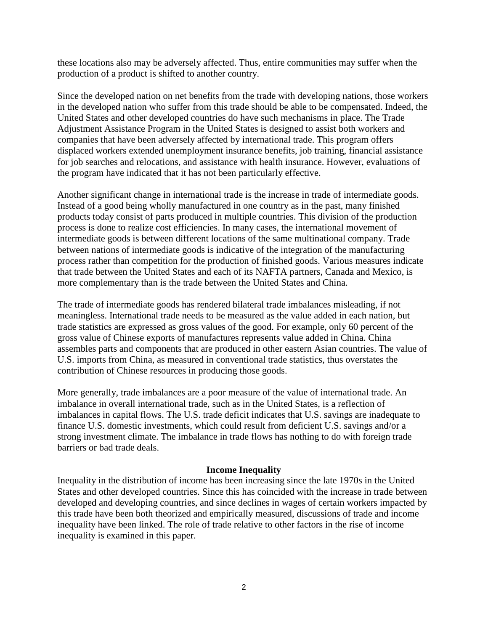these locations also may be adversely affected. Thus, entire communities may suffer when the production of a product is shifted to another country.

Since the developed nation on net benefits from the trade with developing nations, those workers in the developed nation who suffer from this trade should be able to be compensated. Indeed, the United States and other developed countries do have such mechanisms in place. The Trade Adjustment Assistance Program in the United States is designed to assist both workers and companies that have been adversely affected by international trade. This program offers displaced workers extended unemployment insurance benefits, job training, financial assistance for job searches and relocations, and assistance with health insurance. However, evaluations of the program have indicated that it has not been particularly effective.

Another significant change in international trade is the increase in trade of intermediate goods. Instead of a good being wholly manufactured in one country as in the past, many finished products today consist of parts produced in multiple countries. This division of the production process is done to realize cost efficiencies. In many cases, the international movement of intermediate goods is between different locations of the same multinational company. Trade between nations of intermediate goods is indicative of the integration of the manufacturing process rather than competition for the production of finished goods. Various measures indicate that trade between the United States and each of its NAFTA partners, Canada and Mexico, is more complementary than is the trade between the United States and China.

The trade of intermediate goods has rendered bilateral trade imbalances misleading, if not meaningless. International trade needs to be measured as the value added in each nation, but trade statistics are expressed as gross values of the good. For example, only 60 percent of the gross value of Chinese exports of manufactures represents value added in China. China assembles parts and components that are produced in other eastern Asian countries. The value of U.S. imports from China, as measured in conventional trade statistics, thus overstates the contribution of Chinese resources in producing those goods.

More generally, trade imbalances are a poor measure of the value of international trade. An imbalance in overall international trade, such as in the United States, is a reflection of imbalances in capital flows. The U.S. trade deficit indicates that U.S. savings are inadequate to finance U.S. domestic investments, which could result from deficient U.S. savings and/or a strong investment climate. The imbalance in trade flows has nothing to do with foreign trade barriers or bad trade deals.

#### **Income Inequality**

Inequality in the distribution of income has been increasing since the late 1970s in the United States and other developed countries. Since this has coincided with the increase in trade between developed and developing countries, and since declines in wages of certain workers impacted by this trade have been both theorized and empirically measured, discussions of trade and income inequality have been linked. The role of trade relative to other factors in the rise of income inequality is examined in this paper.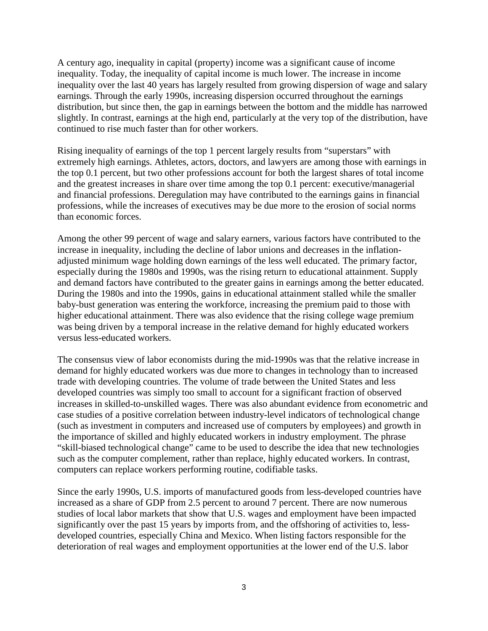A century ago, inequality in capital (property) income was a significant cause of income inequality. Today, the inequality of capital income is much lower. The increase in income inequality over the last 40 years has largely resulted from growing dispersion of wage and salary earnings. Through the early 1990s, increasing dispersion occurred throughout the earnings distribution, but since then, the gap in earnings between the bottom and the middle has narrowed slightly. In contrast, earnings at the high end, particularly at the very top of the distribution, have continued to rise much faster than for other workers.

Rising inequality of earnings of the top 1 percent largely results from "superstars" with extremely high earnings. Athletes, actors, doctors, and lawyers are among those with earnings in the top 0.1 percent, but two other professions account for both the largest shares of total income and the greatest increases in share over time among the top 0.1 percent: executive/managerial and financial professions. Deregulation may have contributed to the earnings gains in financial professions, while the increases of executives may be due more to the erosion of social norms than economic forces.

Among the other 99 percent of wage and salary earners, various factors have contributed to the increase in inequality, including the decline of labor unions and decreases in the inflationadjusted minimum wage holding down earnings of the less well educated. The primary factor, especially during the 1980s and 1990s, was the rising return to educational attainment. Supply and demand factors have contributed to the greater gains in earnings among the better educated. During the 1980s and into the 1990s, gains in educational attainment stalled while the smaller baby-bust generation was entering the workforce, increasing the premium paid to those with higher educational attainment. There was also evidence that the rising college wage premium was being driven by a temporal increase in the relative demand for highly educated workers versus less-educated workers.

The consensus view of labor economists during the mid-1990s was that the relative increase in demand for highly educated workers was due more to changes in technology than to increased trade with developing countries. The volume of trade between the United States and less developed countries was simply too small to account for a significant fraction of observed increases in skilled-to-unskilled wages. There was also abundant evidence from econometric and case studies of a positive correlation between industry-level indicators of technological change (such as investment in computers and increased use of computers by employees) and growth in the importance of skilled and highly educated workers in industry employment. The phrase "skill-biased technological change" came to be used to describe the idea that new technologies such as the computer complement, rather than replace, highly educated workers. In contrast, computers can replace workers performing routine, codifiable tasks.

Since the early 1990s, U.S. imports of manufactured goods from less-developed countries have increased as a share of GDP from 2.5 percent to around 7 percent. There are now numerous studies of local labor markets that show that U.S. wages and employment have been impacted significantly over the past 15 years by imports from, and the offshoring of activities to, lessdeveloped countries, especially China and Mexico. When listing factors responsible for the deterioration of real wages and employment opportunities at the lower end of the U.S. labor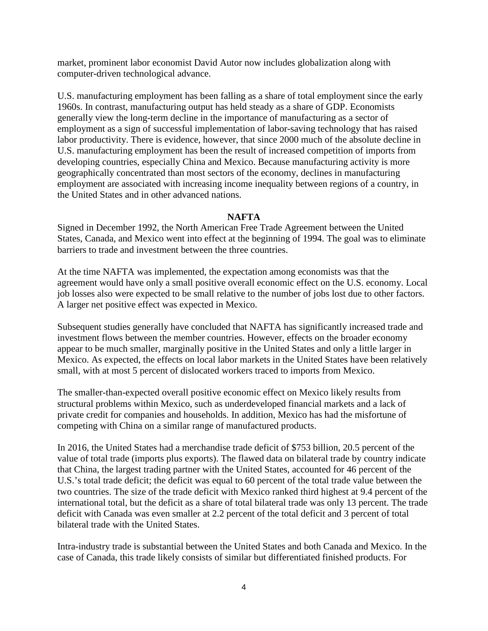market, prominent labor economist David Autor now includes globalization along with computer-driven technological advance.

U.S. manufacturing employment has been falling as a share of total employment since the early 1960s. In contrast, manufacturing output has held steady as a share of GDP. Economists generally view the long-term decline in the importance of manufacturing as a sector of employment as a sign of successful implementation of labor-saving technology that has raised labor productivity. There is evidence, however, that since 2000 much of the absolute decline in U.S. manufacturing employment has been the result of increased competition of imports from developing countries, especially China and Mexico. Because manufacturing activity is more geographically concentrated than most sectors of the economy, declines in manufacturing employment are associated with increasing income inequality between regions of a country, in the United States and in other advanced nations.

# **NAFTA**

Signed in December 1992, the North American Free Trade Agreement between the United States, Canada, and Mexico went into effect at the beginning of 1994. The goal was to eliminate barriers to trade and investment between the three countries.

At the time NAFTA was implemented, the expectation among economists was that the agreement would have only a small positive overall economic effect on the U.S. economy. Local job losses also were expected to be small relative to the number of jobs lost due to other factors. A larger net positive effect was expected in Mexico.

Subsequent studies generally have concluded that NAFTA has significantly increased trade and investment flows between the member countries. However, effects on the broader economy appear to be much smaller, marginally positive in the United States and only a little larger in Mexico. As expected, the effects on local labor markets in the United States have been relatively small, with at most 5 percent of dislocated workers traced to imports from Mexico.

The smaller-than-expected overall positive economic effect on Mexico likely results from structural problems within Mexico, such as underdeveloped financial markets and a lack of private credit for companies and households. In addition, Mexico has had the misfortune of competing with China on a similar range of manufactured products.

In 2016, the United States had a merchandise trade deficit of \$753 billion, 20.5 percent of the value of total trade (imports plus exports). The flawed data on bilateral trade by country indicate that China, the largest trading partner with the United States, accounted for 46 percent of the U.S.'s total trade deficit; the deficit was equal to 60 percent of the total trade value between the two countries. The size of the trade deficit with Mexico ranked third highest at 9.4 percent of the international total, but the deficit as a share of total bilateral trade was only 13 percent. The trade deficit with Canada was even smaller at 2.2 percent of the total deficit and 3 percent of total bilateral trade with the United States.

Intra-industry trade is substantial between the United States and both Canada and Mexico. In the case of Canada, this trade likely consists of similar but differentiated finished products. For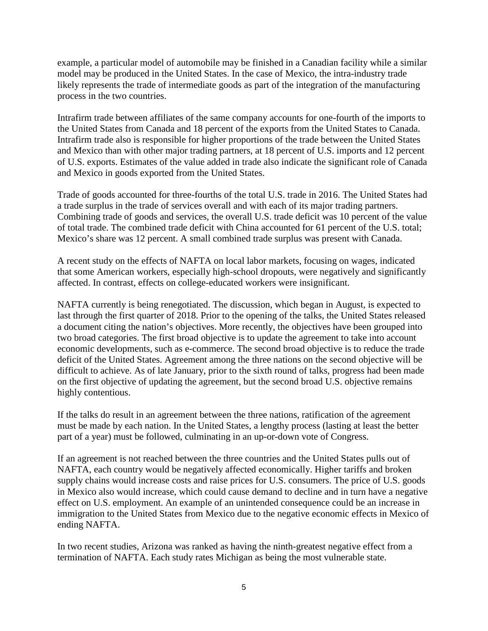example, a particular model of automobile may be finished in a Canadian facility while a similar model may be produced in the United States. In the case of Mexico, the intra-industry trade likely represents the trade of intermediate goods as part of the integration of the manufacturing process in the two countries.

Intrafirm trade between affiliates of the same company accounts for one-fourth of the imports to the United States from Canada and 18 percent of the exports from the United States to Canada. Intrafirm trade also is responsible for higher proportions of the trade between the United States and Mexico than with other major trading partners, at 18 percent of U.S. imports and 12 percent of U.S. exports. Estimates of the value added in trade also indicate the significant role of Canada and Mexico in goods exported from the United States.

Trade of goods accounted for three-fourths of the total U.S. trade in 2016. The United States had a trade surplus in the trade of services overall and with each of its major trading partners. Combining trade of goods and services, the overall U.S. trade deficit was 10 percent of the value of total trade. The combined trade deficit with China accounted for 61 percent of the U.S. total; Mexico's share was 12 percent. A small combined trade surplus was present with Canada.

A recent study on the effects of NAFTA on local labor markets, focusing on wages, indicated that some American workers, especially high-school dropouts, were negatively and significantly affected. In contrast, effects on college-educated workers were insignificant.

NAFTA currently is being renegotiated. The discussion, which began in August, is expected to last through the first quarter of 2018. Prior to the opening of the talks, the United States released a document citing the nation's objectives. More recently, the objectives have been grouped into two broad categories. The first broad objective is to update the agreement to take into account economic developments, such as e-commerce. The second broad objective is to reduce the trade deficit of the United States. Agreement among the three nations on the second objective will be difficult to achieve. As of late January, prior to the sixth round of talks, progress had been made on the first objective of updating the agreement, but the second broad U.S. objective remains highly contentious.

If the talks do result in an agreement between the three nations, ratification of the agreement must be made by each nation. In the United States, a lengthy process (lasting at least the better part of a year) must be followed, culminating in an up-or-down vote of Congress.

If an agreement is not reached between the three countries and the United States pulls out of NAFTA, each country would be negatively affected economically. Higher tariffs and broken supply chains would increase costs and raise prices for U.S. consumers. The price of U.S. goods in Mexico also would increase, which could cause demand to decline and in turn have a negative effect on U.S. employment. An example of an unintended consequence could be an increase in immigration to the United States from Mexico due to the negative economic effects in Mexico of ending NAFTA.

In two recent studies, Arizona was ranked as having the ninth-greatest negative effect from a termination of NAFTA. Each study rates Michigan as being the most vulnerable state.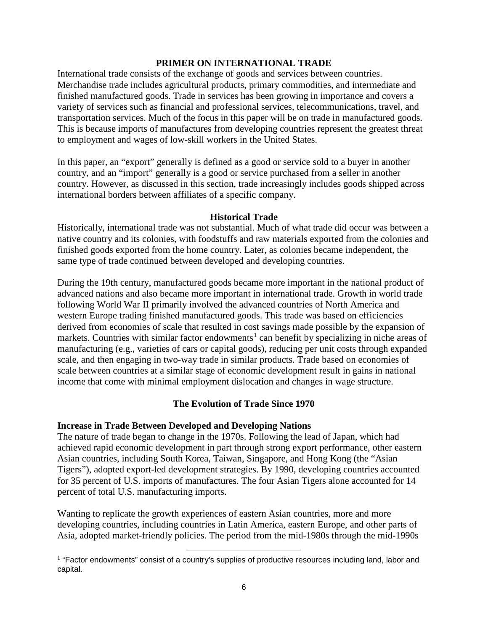# **PRIMER ON INTERNATIONAL TRADE**

International trade consists of the exchange of goods and services between countries. Merchandise trade includes agricultural products, primary commodities, and intermediate and finished manufactured goods. Trade in services has been growing in importance and covers a variety of services such as financial and professional services, telecommunications, travel, and transportation services. Much of the focus in this paper will be on trade in manufactured goods. This is because imports of manufactures from developing countries represent the greatest threat to employment and wages of low-skill workers in the United States.

In this paper, an "export" generally is defined as a good or service sold to a buyer in another country, and an "import" generally is a good or service purchased from a seller in another country. However, as discussed in this section, trade increasingly includes goods shipped across international borders between affiliates of a specific company.

#### **Historical Trade**

Historically, international trade was not substantial. Much of what trade did occur was between a native country and its colonies, with foodstuffs and raw materials exported from the colonies and finished goods exported from the home country. Later, as colonies became independent, the same type of trade continued between developed and developing countries.

During the 19th century, manufactured goods became more important in the national product of advanced nations and also became more important in international trade. Growth in world trade following World War II primarily involved the advanced countries of North America and western Europe trading finished manufactured goods. This trade was based on efficiencies derived from economies of scale that resulted in cost savings made possible by the expansion of markets. Countries with similar factor endowments<sup>[1](#page-8-0)</sup> can benefit by specializing in niche areas of manufacturing (e.g., varieties of cars or capital goods), reducing per unit costs through expanded scale, and then engaging in two-way trade in similar products. Trade based on economies of scale between countries at a similar stage of economic development result in gains in national income that come with minimal employment dislocation and changes in wage structure.

# **The Evolution of Trade Since 1970**

# **Increase in Trade Between Developed and Developing Nations**

l

The nature of trade began to change in the 1970s. Following the lead of Japan, which had achieved rapid economic development in part through strong export performance, other eastern Asian countries, including South Korea, Taiwan, Singapore, and Hong Kong (the "Asian Tigers"), adopted export-led development strategies. By 1990, developing countries accounted for 35 percent of U.S. imports of manufactures. The four Asian Tigers alone accounted for 14 percent of total U.S. manufacturing imports.

Wanting to replicate the growth experiences of eastern Asian countries, more and more developing countries, including countries in Latin America, eastern Europe, and other parts of Asia, adopted market-friendly policies. The period from the mid-1980s through the mid-1990s

<span id="page-8-0"></span><sup>&</sup>lt;sup>1</sup> "Factor endowments" consist of a country's supplies of productive resources including land, labor and capital.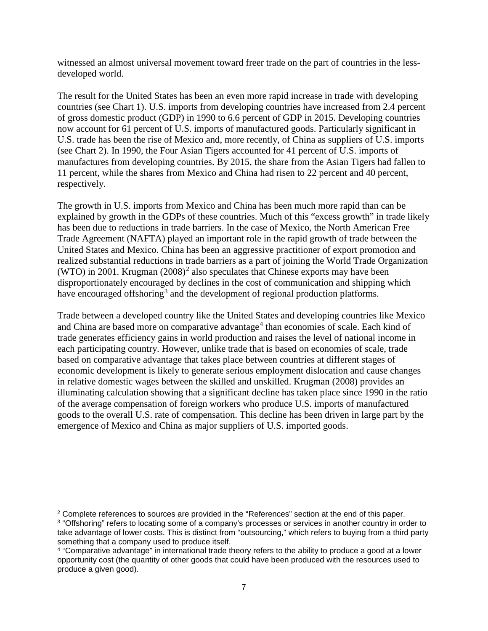witnessed an almost universal movement toward freer trade on the part of countries in the lessdeveloped world.

The result for the United States has been an even more rapid increase in trade with developing countries (see Chart 1). U.S. imports from developing countries have increased from 2.4 percent of gross domestic product (GDP) in 1990 to 6.6 percent of GDP in 2015. Developing countries now account for 61 percent of U.S. imports of manufactured goods. Particularly significant in U.S. trade has been the rise of Mexico and, more recently, of China as suppliers of U.S. imports (see Chart 2). In 1990, the Four Asian Tigers accounted for 41 percent of U.S. imports of manufactures from developing countries. By 2015, the share from the Asian Tigers had fallen to 11 percent, while the shares from Mexico and China had risen to 22 percent and 40 percent, respectively.

The growth in U.S. imports from Mexico and China has been much more rapid than can be explained by growth in the GDPs of these countries. Much of this "excess growth" in trade likely has been due to reductions in trade barriers. In the case of Mexico, the North American Free Trade Agreement (NAFTA) played an important role in the rapid growth of trade between the United States and Mexico. China has been an aggressive practitioner of export promotion and realized substantial reductions in trade barriers as a part of joining the World Trade Organization (WTO) in [2](#page-9-0)001. Krugman  $(2008)^2$  also speculates that Chinese exports may have been disproportionately encouraged by declines in the cost of communication and shipping which have encouraged offshoring<sup>[3](#page-9-1)</sup> and the development of regional production platforms.

Trade between a developed country like the United States and developing countries like Mexico and China are based more on comparative advantage<sup>[4](#page-9-2)</sup> than economies of scale. Each kind of trade generates efficiency gains in world production and raises the level of national income in each participating country. However, unlike trade that is based on economies of scale, trade based on comparative advantage that takes place between countries at different stages of economic development is likely to generate serious employment dislocation and cause changes in relative domestic wages between the skilled and unskilled. Krugman (2008) provides an illuminating calculation showing that a significant decline has taken place since 1990 in the ratio of the average compensation of foreign workers who produce U.S. imports of manufactured goods to the overall U.S. rate of compensation. This decline has been driven in large part by the emergence of Mexico and China as major suppliers of U.S. imported goods.

l

<span id="page-9-1"></span><span id="page-9-0"></span><sup>&</sup>lt;sup>2</sup> Complete references to sources are provided in the "References" section at the end of this paper. <sup>3</sup> "Offshoring" refers to locating some of a company's processes or services in another country in order to take advantage of lower costs. This is distinct from "outsourcing," which refers to buying from a third party something that a company used to produce itself.

<span id="page-9-2"></span><sup>4</sup> "Comparative advantage" in international trade theory refers to the ability to produce a good at a lower opportunity cost (the quantity of other goods that could have been produced with the resources used to produce a given good).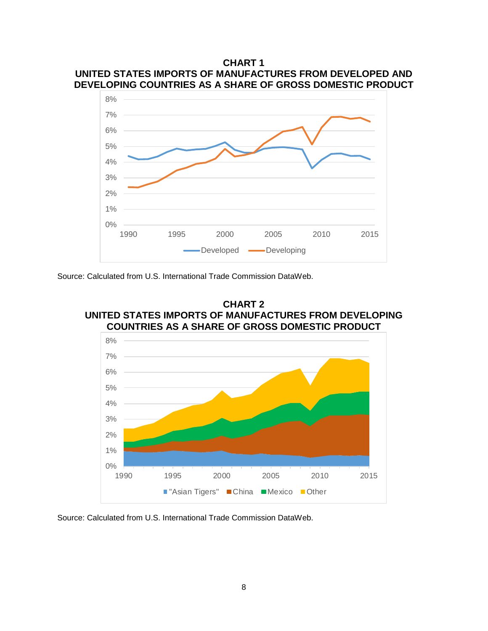



Source: Calculated from U.S. International Trade Commission DataWeb.





Source: Calculated from U.S. International Trade Commission DataWeb.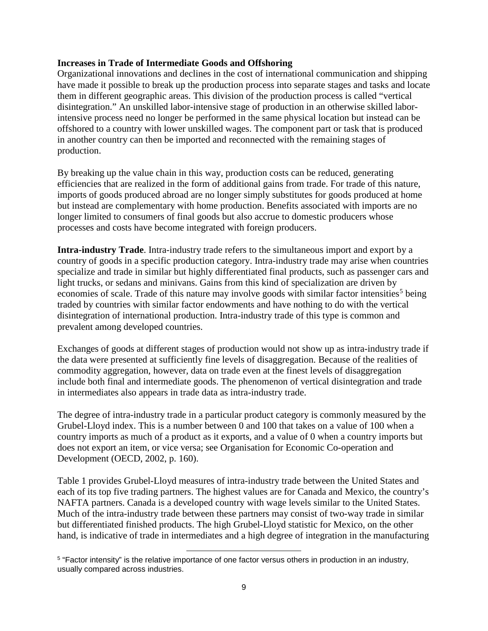### **Increases in Trade of Intermediate Goods and Offshoring**

Organizational innovations and declines in the cost of international communication and shipping have made it possible to break up the production process into separate stages and tasks and locate them in different geographic areas. This division of the production process is called "vertical disintegration." An unskilled labor-intensive stage of production in an otherwise skilled laborintensive process need no longer be performed in the same physical location but instead can be offshored to a country with lower unskilled wages. The component part or task that is produced in another country can then be imported and reconnected with the remaining stages of production.

By breaking up the value chain in this way, production costs can be reduced, generating efficiencies that are realized in the form of additional gains from trade. For trade of this nature, imports of goods produced abroad are no longer simply substitutes for goods produced at home but instead are complementary with home production. Benefits associated with imports are no longer limited to consumers of final goods but also accrue to domestic producers whose processes and costs have become integrated with foreign producers.

**Intra-industry Trade**. Intra-industry trade refers to the simultaneous import and export by a country of goods in a specific production category. Intra-industry trade may arise when countries specialize and trade in similar but highly differentiated final products, such as passenger cars and light trucks, or sedans and minivans. Gains from this kind of specialization are driven by economies of scale. Trade of this nature may involve goods with similar factor intensities<sup>[5](#page-11-0)</sup> being traded by countries with similar factor endowments and have nothing to do with the vertical disintegration of international production. Intra-industry trade of this type is common and prevalent among developed countries.

Exchanges of goods at different stages of production would not show up as intra-industry trade if the data were presented at sufficiently fine levels of disaggregation. Because of the realities of commodity aggregation, however, data on trade even at the finest levels of disaggregation include both final and intermediate goods. The phenomenon of vertical disintegration and trade in intermediates also appears in trade data as intra-industry trade.

The degree of intra-industry trade in a particular product category is commonly measured by the Grubel-Lloyd index. This is a number between 0 and 100 that takes on a value of 100 when a country imports as much of a product as it exports, and a value of 0 when a country imports but does not export an item, or vice versa; see Organisation for Economic Co-operation and Development (OECD, 2002, p. 160).

Table 1 provides Grubel-Lloyd measures of intra-industry trade between the United States and each of its top five trading partners. The highest values are for Canada and Mexico, the country's NAFTA partners. Canada is a developed country with wage levels similar to the United States. Much of the intra-industry trade between these partners may consist of two-way trade in similar but differentiated finished products. The high Grubel-Lloyd statistic for Mexico, on the other hand, is indicative of trade in intermediates and a high degree of integration in the manufacturing

l

<span id="page-11-0"></span><sup>5</sup> "Factor intensity" is the relative importance of one factor versus others in production in an industry, usually compared across industries.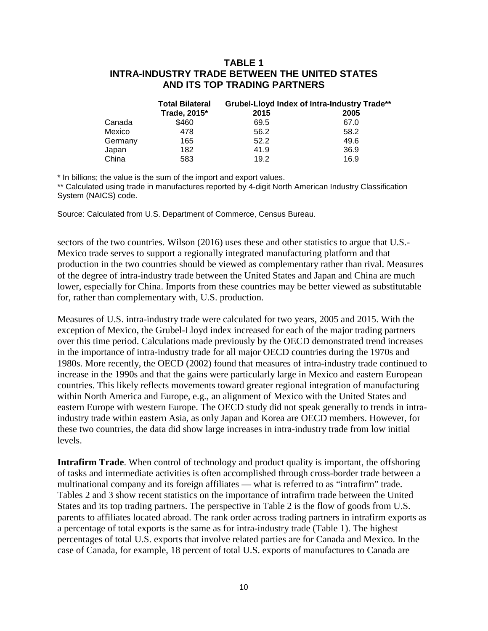# **TABLE 1 INTRA-INDUSTRY TRADE BETWEEN THE UNITED STATES AND ITS TOP TRADING PARTNERS**

|         | <b>Total Bilateral</b> | Grubel-Lloyd Index of Intra-Industry Trade** |      |  |  |
|---------|------------------------|----------------------------------------------|------|--|--|
|         | Trade, 2015*           | 2015                                         | 2005 |  |  |
| Canada  | \$460                  | 69.5                                         | 67.0 |  |  |
| Mexico  | 478                    | 56.2                                         | 58.2 |  |  |
| Germany | 165                    | 52.2                                         | 49.6 |  |  |
| Japan   | 182                    | 41.9                                         | 36.9 |  |  |
| China   | 583                    | 19.2                                         | 16.9 |  |  |

\* In billions; the value is the sum of the import and export values.

\*\* Calculated using trade in manufactures reported by 4-digit North American Industry Classification System (NAICS) code.

Source: Calculated from U.S. Department of Commerce, Census Bureau.

sectors of the two countries. Wilson (2016) uses these and other statistics to argue that U.S.- Mexico trade serves to support a regionally integrated manufacturing platform and that production in the two countries should be viewed as complementary rather than rival. Measures of the degree of intra-industry trade between the United States and Japan and China are much lower, especially for China. Imports from these countries may be better viewed as substitutable for, rather than complementary with, U.S. production.

Measures of U.S. intra-industry trade were calculated for two years, 2005 and 2015. With the exception of Mexico, the Grubel-Lloyd index increased for each of the major trading partners over this time period. Calculations made previously by the OECD demonstrated trend increases in the importance of intra-industry trade for all major OECD countries during the 1970s and 1980s. More recently, the OECD (2002) found that measures of intra-industry trade continued to increase in the 1990s and that the gains were particularly large in Mexico and eastern European countries. This likely reflects movements toward greater regional integration of manufacturing within North America and Europe, e.g., an alignment of Mexico with the United States and eastern Europe with western Europe. The OECD study did not speak generally to trends in intraindustry trade within eastern Asia, as only Japan and Korea are OECD members. However, for these two countries, the data did show large increases in intra-industry trade from low initial levels.

**Intrafirm Trade**. When control of technology and product quality is important, the offshoring of tasks and intermediate activities is often accomplished through cross-border trade between a multinational company and its foreign affiliates — what is referred to as "intrafirm" trade. Tables 2 and 3 show recent statistics on the importance of intrafirm trade between the United States and its top trading partners. The perspective in Table 2 is the flow of goods from U.S. parents to affiliates located abroad. The rank order across trading partners in intrafirm exports as a percentage of total exports is the same as for intra-industry trade (Table 1). The highest percentages of total U.S. exports that involve related parties are for Canada and Mexico. In the case of Canada, for example, 18 percent of total U.S. exports of manufactures to Canada are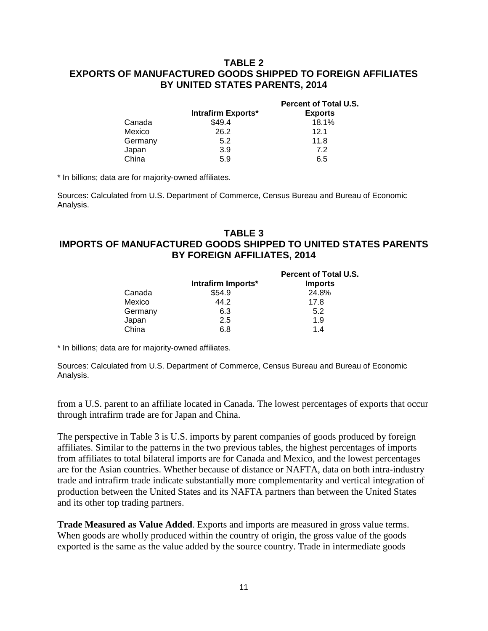# **TABLE 2 EXPORTS OF MANUFACTURED GOODS SHIPPED TO FOREIGN AFFILIATES BY UNITED STATES PARENTS, 2014**

|         |                    | <b>Percent of Total U.S.</b> |
|---------|--------------------|------------------------------|
|         | Intrafirm Exports* | <b>Exports</b>               |
| Canada  | \$49.4             | 18.1%                        |
| Mexico  | 26.2               | 12.1                         |
| Germany | 5.2                | 11.8                         |
| Japan   | 3.9                | 7.2                          |
| China   | 5.9                | 6.5                          |

\* In billions; data are for majority-owned affiliates.

Sources: Calculated from U.S. Department of Commerce, Census Bureau and Bureau of Economic Analysis.

# **TABLE 3 IMPORTS OF MANUFACTURED GOODS SHIPPED TO UNITED STATES PARENTS BY FOREIGN AFFILIATES, 2014**

|         | Intrafirm Imports* | <b>Percent of Total U.S.</b><br><b>Imports</b> |
|---------|--------------------|------------------------------------------------|
| Canada  | \$54.9             | 24.8%                                          |
| Mexico  | 44.2               | 17.8                                           |
| Germany | 6.3                | 5.2                                            |
| Japan   | 2.5                | 1.9                                            |
| China   | 6.8                | 14                                             |
|         |                    |                                                |

\* In billions; data are for majority-owned affiliates.

Sources: Calculated from U.S. Department of Commerce, Census Bureau and Bureau of Economic Analysis.

from a U.S. parent to an affiliate located in Canada. The lowest percentages of exports that occur through intrafirm trade are for Japan and China.

The perspective in Table 3 is U.S. imports by parent companies of goods produced by foreign affiliates. Similar to the patterns in the two previous tables, the highest percentages of imports from affiliates to total bilateral imports are for Canada and Mexico, and the lowest percentages are for the Asian countries. Whether because of distance or NAFTA, data on both intra-industry trade and intrafirm trade indicate substantially more complementarity and vertical integration of production between the United States and its NAFTA partners than between the United States and its other top trading partners.

**Trade Measured as Value Added**. Exports and imports are measured in gross value terms. When goods are wholly produced within the country of origin, the gross value of the goods exported is the same as the value added by the source country. Trade in intermediate goods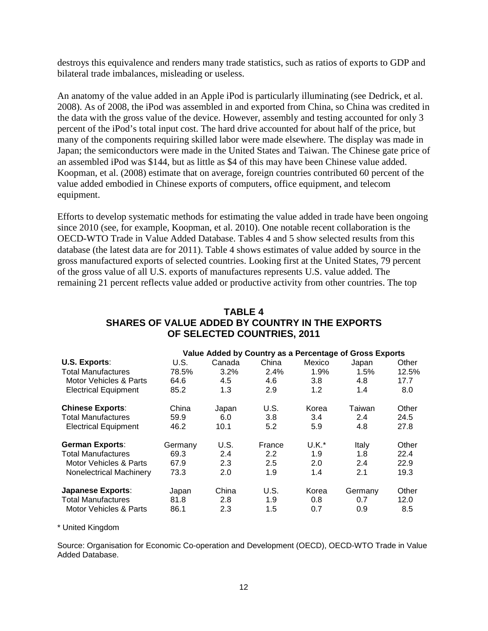destroys this equivalence and renders many trade statistics, such as ratios of exports to GDP and bilateral trade imbalances, misleading or useless.

An anatomy of the value added in an Apple iPod is particularly illuminating (see Dedrick, et al. 2008). As of 2008, the iPod was assembled in and exported from China, so China was credited in the data with the gross value of the device. However, assembly and testing accounted for only 3 percent of the iPod's total input cost. The hard drive accounted for about half of the price, but many of the components requiring skilled labor were made elsewhere. The display was made in Japan; the semiconductors were made in the United States and Taiwan. The Chinese gate price of an assembled iPod was \$144, but as little as \$4 of this may have been Chinese value added. Koopman, et al. (2008) estimate that on average, foreign countries contributed 60 percent of the value added embodied in Chinese exports of computers, office equipment, and telecom equipment.

Efforts to develop systematic methods for estimating the value added in trade have been ongoing since 2010 (see, for example, Koopman, et al. 2010). One notable recent collaboration is the OECD-WTO Trade in Value Added Database. Tables 4 and 5 show selected results from this database (the latest data are for 2011). Table 4 shows estimates of value added by source in the gross manufactured exports of selected countries. Looking first at the United States, 79 percent of the gross value of all U.S. exports of manufactures represents U.S. value added. The remaining 21 percent reflects value added or productive activity from other countries. The top

| <b>TABLE 4</b>                                  |
|-------------------------------------------------|
| SHARES OF VALUE ADDED BY COUNTRY IN THE EXPORTS |
| OF SELECTED COUNTRIES, 2011                     |

|                             |         | Value Added by Country as a Percentage of Gross Exports |         |         |         |       |
|-----------------------------|---------|---------------------------------------------------------|---------|---------|---------|-------|
| U.S. Exports:               | U.S.    | Canada                                                  | China   | Mexico  | Japan   | Other |
| <b>Total Manufactures</b>   | 78.5%   | 3.2%                                                    | $2.4\%$ | 1.9%    | 1.5%    | 12.5% |
| Motor Vehicles & Parts      | 64.6    | 4.5                                                     | 4.6     | 3.8     | 4.8     | 17.7  |
| <b>Electrical Equipment</b> | 85.2    | 1.3                                                     | 2.9     | 1.2     | 1.4     | 8.0   |
| <b>Chinese Exports:</b>     | China   | Japan                                                   | U.S.    | Korea   | Taiwan  | Other |
| <b>Total Manufactures</b>   | 59.9    | 6.0                                                     | 3.8     | 3.4     | 2.4     | 24.5  |
| <b>Electrical Equipment</b> | 46.2    | 10.1                                                    | 5.2     | 5.9     | 4.8     | 27.8  |
| <b>German Exports:</b>      | Germany | U.S.                                                    | France  | $U.K.*$ | Italy   | Other |
| <b>Total Manufactures</b>   | 69.3    | 2.4                                                     | 2.2     | 1.9     | 1.8     | 22.4  |
| Motor Vehicles & Parts      | 67.9    | 2.3                                                     | 2.5     | 2.0     | 2.4     | 22.9  |
| Nonelectrical Machinery     | 73.3    | 2.0                                                     | 1.9     | 1.4     | 2.1     | 19.3  |
| <b>Japanese Exports:</b>    | Japan   | China                                                   | U.S.    | Korea   | Germany | Other |
| <b>Total Manufactures</b>   | 81.8    | 2.8                                                     | 1.9     | 0.8     | 0.7     | 12.0  |
| Motor Vehicles & Parts      | 86.1    | 2.3                                                     | 1.5     | 0.7     | 0.9     | 8.5   |

#### \* United Kingdom

Source: Organisation for Economic Co-operation and Development (OECD), OECD-WTO Trade in Value Added Database.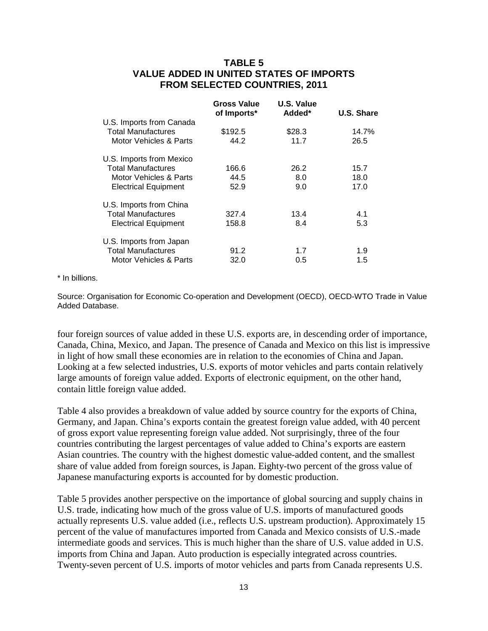# **TABLE 5 VALUE ADDED IN UNITED STATES OF IMPORTS FROM SELECTED COUNTRIES, 2011**

|                             | Gross Value<br>of Imports* | U.S. Value<br>Added* | U.S. Share |
|-----------------------------|----------------------------|----------------------|------------|
| U.S. Imports from Canada    |                            |                      |            |
| <b>Total Manufactures</b>   | \$192.5                    | \$28.3               | 14.7%      |
| Motor Vehicles & Parts      | 44.2                       | 11.7                 | 26.5       |
| U.S. Imports from Mexico    |                            |                      |            |
| <b>Total Manufactures</b>   | 166.6                      | 26.2                 | 15.7       |
| Motor Vehicles & Parts      | 44.5                       | 8.0                  | 18.0       |
| <b>Electrical Equipment</b> | 52.9                       | 9.0                  | 17.0       |
| U.S. Imports from China     |                            |                      |            |
| <b>Total Manufactures</b>   | 327.4                      | 13.4                 | 4.1        |
| <b>Electrical Equipment</b> | 158.8                      | 8.4                  | 5.3        |
| U.S. Imports from Japan     |                            |                      |            |
| <b>Total Manufactures</b>   | 91.2                       | 1.7                  | 1.9        |
| Motor Vehicles & Parts      | 32.0                       | 0.5                  | 1.5        |

#### \* In billions.

Source: Organisation for Economic Co-operation and Development (OECD), OECD-WTO Trade in Value Added Database.

four foreign sources of value added in these U.S. exports are, in descending order of importance, Canada, China, Mexico, and Japan. The presence of Canada and Mexico on this list is impressive in light of how small these economies are in relation to the economies of China and Japan. Looking at a few selected industries, U.S. exports of motor vehicles and parts contain relatively large amounts of foreign value added. Exports of electronic equipment, on the other hand, contain little foreign value added.

Table 4 also provides a breakdown of value added by source country for the exports of China, Germany, and Japan. China's exports contain the greatest foreign value added, with 40 percent of gross export value representing foreign value added. Not surprisingly, three of the four countries contributing the largest percentages of value added to China's exports are eastern Asian countries. The country with the highest domestic value-added content, and the smallest share of value added from foreign sources, is Japan. Eighty-two percent of the gross value of Japanese manufacturing exports is accounted for by domestic production.

Table 5 provides another perspective on the importance of global sourcing and supply chains in U.S. trade, indicating how much of the gross value of U.S. imports of manufactured goods actually represents U.S. value added (i.e., reflects U.S. upstream production). Approximately 15 percent of the value of manufactures imported from Canada and Mexico consists of U.S.-made intermediate goods and services. This is much higher than the share of U.S. value added in U.S. imports from China and Japan. Auto production is especially integrated across countries. Twenty-seven percent of U.S. imports of motor vehicles and parts from Canada represents U.S.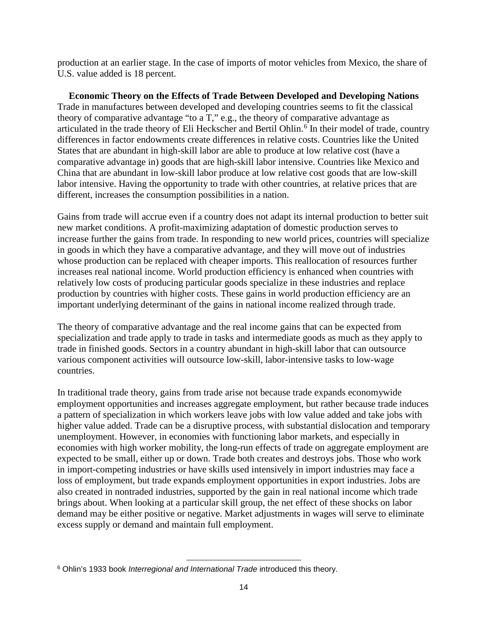production at an earlier stage. In the case of imports of motor vehicles from Mexico, the share of U.S. value added is 18 percent.

**Economic Theory on the Effects of Trade Between Developed and Developing Nations** Trade in manufactures between developed and developing countries seems to fit the classical theory of comparative advantage "to a  $T$ ," e.g., the theory of comparative advantage as articulated in the trade theory of Eli Heckscher and Bertil Ohlin.<sup>[6](#page-16-0)</sup> In their model of trade, country differences in factor endowments create differences in relative costs. Countries like the United States that are abundant in high-skill labor are able to produce at low relative cost (have a comparative advantage in) goods that are high-skill labor intensive. Countries like Mexico and China that are abundant in low-skill labor produce at low relative cost goods that are low-skill labor intensive. Having the opportunity to trade with other countries, at relative prices that are different, increases the consumption possibilities in a nation.

Gains from trade will accrue even if a country does not adapt its internal production to better suit new market conditions. A profit-maximizing adaptation of domestic production serves to increase further the gains from trade. In responding to new world prices, countries will specialize in goods in which they have a comparative advantage, and they will move out of industries whose production can be replaced with cheaper imports. This reallocation of resources further increases real national income. World production efficiency is enhanced when countries with relatively low costs of producing particular goods specialize in these industries and replace production by countries with higher costs. These gains in world production efficiency are an important underlying determinant of the gains in national income realized through trade.

The theory of comparative advantage and the real income gains that can be expected from specialization and trade apply to trade in tasks and intermediate goods as much as they apply to trade in finished goods. Sectors in a country abundant in high-skill labor that can outsource various component activities will outsource low-skill, labor-intensive tasks to low-wage countries.

In traditional trade theory, gains from trade arise not because trade expands economywide employment opportunities and increases aggregate employment, but rather because trade induces a pattern of specialization in which workers leave jobs with low value added and take jobs with higher value added. Trade can be a disruptive process, with substantial dislocation and temporary unemployment. However, in economies with functioning labor markets, and especially in economies with high worker mobility, the long-run effects of trade on aggregate employment are expected to be small, either up or down. Trade both creates and destroys jobs. Those who work in import-competing industries or have skills used intensively in import industries may face a loss of employment, but trade expands employment opportunities in export industries. Jobs are also created in nontraded industries, supported by the gain in real national income which trade brings about. When looking at a particular skill group, the net effect of these shocks on labor demand may be either positive or negative. Market adjustments in wages will serve to eliminate excess supply or demand and maintain full employment.

<span id="page-16-0"></span>l <sup>6</sup> Ohlin's 1933 book *Interregional and International Trade* introduced this theory.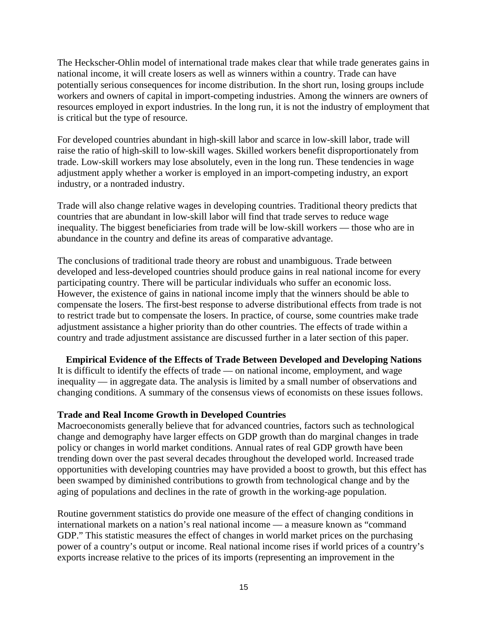The Heckscher-Ohlin model of international trade makes clear that while trade generates gains in national income, it will create losers as well as winners within a country. Trade can have potentially serious consequences for income distribution. In the short run, losing groups include workers and owners of capital in import-competing industries. Among the winners are owners of resources employed in export industries. In the long run, it is not the industry of employment that is critical but the type of resource.

For developed countries abundant in high-skill labor and scarce in low-skill labor, trade will raise the ratio of high-skill to low-skill wages. Skilled workers benefit disproportionately from trade. Low-skill workers may lose absolutely, even in the long run. These tendencies in wage adjustment apply whether a worker is employed in an import-competing industry, an export industry, or a nontraded industry.

Trade will also change relative wages in developing countries. Traditional theory predicts that countries that are abundant in low-skill labor will find that trade serves to reduce wage inequality. The biggest beneficiaries from trade will be low-skill workers — those who are in abundance in the country and define its areas of comparative advantage.

The conclusions of traditional trade theory are robust and unambiguous. Trade between developed and less-developed countries should produce gains in real national income for every participating country. There will be particular individuals who suffer an economic loss. However, the existence of gains in national income imply that the winners should be able to compensate the losers. The first-best response to adverse distributional effects from trade is not to restrict trade but to compensate the losers. In practice, of course, some countries make trade adjustment assistance a higher priority than do other countries. The effects of trade within a country and trade adjustment assistance are discussed further in a later section of this paper.

**Empirical Evidence of the Effects of Trade Between Developed and Developing Nations**

It is difficult to identify the effects of trade — on national income, employment, and wage inequality — in aggregate data. The analysis is limited by a small number of observations and changing conditions. A summary of the consensus views of economists on these issues follows.

# **Trade and Real Income Growth in Developed Countries**

Macroeconomists generally believe that for advanced countries, factors such as technological change and demography have larger effects on GDP growth than do marginal changes in trade policy or changes in world market conditions. Annual rates of real GDP growth have been trending down over the past several decades throughout the developed world. Increased trade opportunities with developing countries may have provided a boost to growth, but this effect has been swamped by diminished contributions to growth from technological change and by the aging of populations and declines in the rate of growth in the working-age population.

Routine government statistics do provide one measure of the effect of changing conditions in international markets on a nation's real national income — a measure known as "command GDP." This statistic measures the effect of changes in world market prices on the purchasing power of a country's output or income. Real national income rises if world prices of a country's exports increase relative to the prices of its imports (representing an improvement in the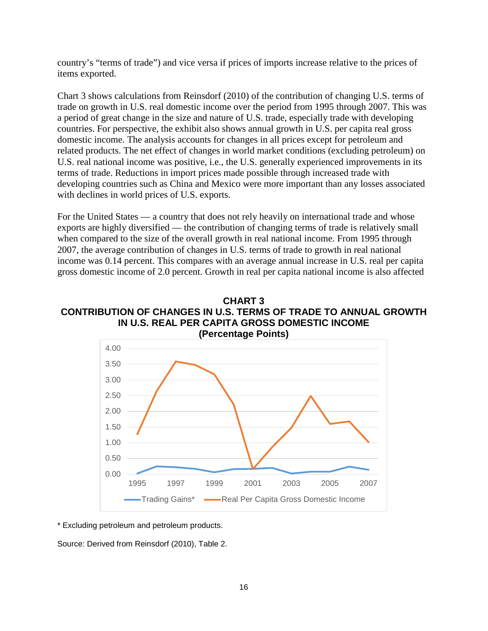country's "terms of trade") and vice versa if prices of imports increase relative to the prices of items exported.

Chart 3 shows calculations from Reinsdorf (2010) of the contribution of changing U.S. terms of trade on growth in U.S. real domestic income over the period from 1995 through 2007. This was a period of great change in the size and nature of U.S. trade, especially trade with developing countries. For perspective, the exhibit also shows annual growth in U.S. per capita real gross domestic income. The analysis accounts for changes in all prices except for petroleum and related products. The net effect of changes in world market conditions (excluding petroleum) on U.S. real national income was positive, i.e., the U.S. generally experienced improvements in its terms of trade. Reductions in import prices made possible through increased trade with developing countries such as China and Mexico were more important than any losses associated with declines in world prices of U.S. exports.

For the United States — a country that does not rely heavily on international trade and whose exports are highly diversified — the contribution of changing terms of trade is relatively small when compared to the size of the overall growth in real national income. From 1995 through 2007, the average contribution of changes in U.S. terms of trade to growth in real national income was 0.14 percent. This compares with an average annual increase in U.S. real per capita gross domestic income of 2.0 percent. Growth in real per capita national income is also affected

**CHART 3 CONTRIBUTION OF CHANGES IN U.S. TERMS OF TRADE TO ANNUAL GROWTH IN U.S. REAL PER CAPITA GROSS DOMESTIC INCOME**



\* Excluding petroleum and petroleum products.

Source: Derived from Reinsdorf (2010), Table 2.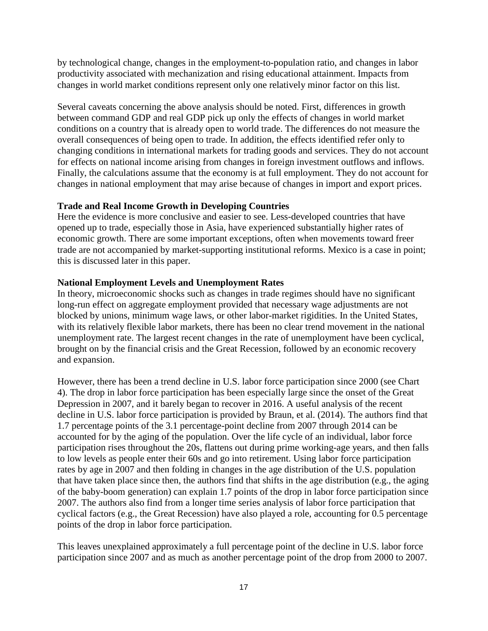by technological change, changes in the employment-to-population ratio, and changes in labor productivity associated with mechanization and rising educational attainment. Impacts from changes in world market conditions represent only one relatively minor factor on this list.

Several caveats concerning the above analysis should be noted. First, differences in growth between command GDP and real GDP pick up only the effects of changes in world market conditions on a country that is already open to world trade. The differences do not measure the overall consequences of being open to trade. In addition, the effects identified refer only to changing conditions in international markets for trading goods and services. They do not account for effects on national income arising from changes in foreign investment outflows and inflows. Finally, the calculations assume that the economy is at full employment. They do not account for changes in national employment that may arise because of changes in import and export prices.

# **Trade and Real Income Growth in Developing Countries**

Here the evidence is more conclusive and easier to see. Less-developed countries that have opened up to trade, especially those in Asia, have experienced substantially higher rates of economic growth. There are some important exceptions, often when movements toward freer trade are not accompanied by market-supporting institutional reforms. Mexico is a case in point; this is discussed later in this paper.

# **National Employment Levels and Unemployment Rates**

In theory, microeconomic shocks such as changes in trade regimes should have no significant long-run effect on aggregate employment provided that necessary wage adjustments are not blocked by unions, minimum wage laws, or other labor-market rigidities. In the United States, with its relatively flexible labor markets, there has been no clear trend movement in the national unemployment rate. The largest recent changes in the rate of unemployment have been cyclical, brought on by the financial crisis and the Great Recession, followed by an economic recovery and expansion.

However, there has been a trend decline in U.S. labor force participation since 2000 (see Chart 4). The drop in labor force participation has been especially large since the onset of the Great Depression in 2007, and it barely began to recover in 2016. A useful analysis of the recent decline in U.S. labor force participation is provided by Braun, et al. (2014). The authors find that 1.7 percentage points of the 3.1 percentage-point decline from 2007 through 2014 can be accounted for by the aging of the population. Over the life cycle of an individual, labor force participation rises throughout the 20s, flattens out during prime working-age years, and then falls to low levels as people enter their 60s and go into retirement. Using labor force participation rates by age in 2007 and then folding in changes in the age distribution of the U.S. population that have taken place since then, the authors find that shifts in the age distribution (e.g., the aging of the baby-boom generation) can explain 1.7 points of the drop in labor force participation since 2007. The authors also find from a longer time series analysis of labor force participation that cyclical factors (e.g., the Great Recession) have also played a role, accounting for 0.5 percentage points of the drop in labor force participation.

This leaves unexplained approximately a full percentage point of the decline in U.S. labor force participation since 2007 and as much as another percentage point of the drop from 2000 to 2007.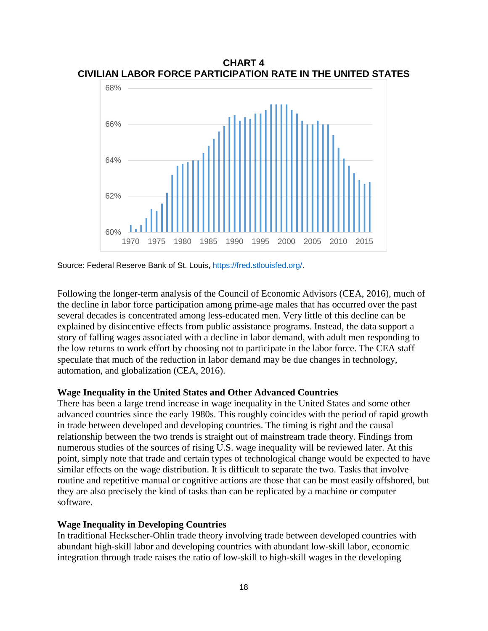

**CHART 4 CIVILIAN LABOR FORCE PARTICIPATION RATE IN THE UNITED STATES**

Source: Federal Reserve Bank of St. Louis, [https://fred.stlouisfed.org/.](https://fred.stlouisfed.org/)

Following the longer-term analysis of the Council of Economic Advisors (CEA, 2016), much of the decline in labor force participation among prime-age males that has occurred over the past several decades is concentrated among less-educated men. Very little of this decline can be explained by disincentive effects from public assistance programs. Instead, the data support a story of falling wages associated with a decline in labor demand, with adult men responding to the low returns to work effort by choosing not to participate in the labor force. The CEA staff speculate that much of the reduction in labor demand may be due changes in technology, automation, and globalization (CEA, 2016).

#### **Wage Inequality in the United States and Other Advanced Countries**

There has been a large trend increase in wage inequality in the United States and some other advanced countries since the early 1980s. This roughly coincides with the period of rapid growth in trade between developed and developing countries. The timing is right and the causal relationship between the two trends is straight out of mainstream trade theory. Findings from numerous studies of the sources of rising U.S. wage inequality will be reviewed later. At this point, simply note that trade and certain types of technological change would be expected to have similar effects on the wage distribution. It is difficult to separate the two. Tasks that involve routine and repetitive manual or cognitive actions are those that can be most easily offshored, but they are also precisely the kind of tasks than can be replicated by a machine or computer software.

#### **Wage Inequality in Developing Countries**

In traditional Heckscher-Ohlin trade theory involving trade between developed countries with abundant high-skill labor and developing countries with abundant low-skill labor, economic integration through trade raises the ratio of low-skill to high-skill wages in the developing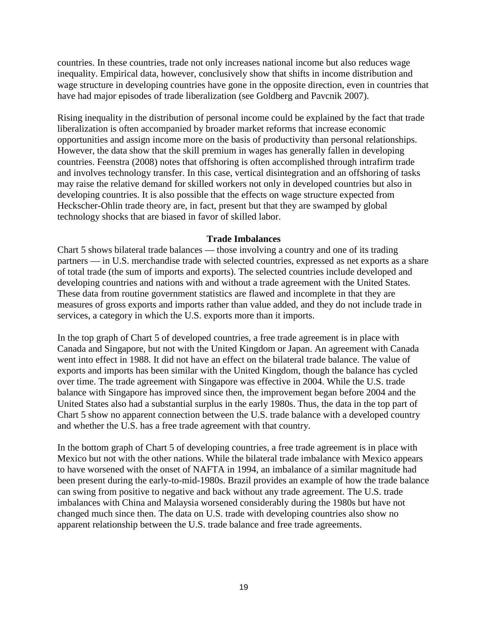countries. In these countries, trade not only increases national income but also reduces wage inequality. Empirical data, however, conclusively show that shifts in income distribution and wage structure in developing countries have gone in the opposite direction, even in countries that have had major episodes of trade liberalization (see Goldberg and Pavcnik 2007).

Rising inequality in the distribution of personal income could be explained by the fact that trade liberalization is often accompanied by broader market reforms that increase economic opportunities and assign income more on the basis of productivity than personal relationships. However, the data show that the skill premium in wages has generally fallen in developing countries. Feenstra (2008) notes that offshoring is often accomplished through intrafirm trade and involves technology transfer. In this case, vertical disintegration and an offshoring of tasks may raise the relative demand for skilled workers not only in developed countries but also in developing countries. It is also possible that the effects on wage structure expected from Heckscher-Ohlin trade theory are, in fact, present but that they are swamped by global technology shocks that are biased in favor of skilled labor.

#### **Trade Imbalances**

Chart 5 shows bilateral trade balances — those involving a country and one of its trading partners — in U.S. merchandise trade with selected countries, expressed as net exports as a share of total trade (the sum of imports and exports). The selected countries include developed and developing countries and nations with and without a trade agreement with the United States. These data from routine government statistics are flawed and incomplete in that they are measures of gross exports and imports rather than value added, and they do not include trade in services, a category in which the U.S. exports more than it imports.

In the top graph of Chart 5 of developed countries, a free trade agreement is in place with Canada and Singapore, but not with the United Kingdom or Japan. An agreement with Canada went into effect in 1988. It did not have an effect on the bilateral trade balance. The value of exports and imports has been similar with the United Kingdom, though the balance has cycled over time. The trade agreement with Singapore was effective in 2004. While the U.S. trade balance with Singapore has improved since then, the improvement began before 2004 and the United States also had a substantial surplus in the early 1980s. Thus, the data in the top part of Chart 5 show no apparent connection between the U.S. trade balance with a developed country and whether the U.S. has a free trade agreement with that country.

In the bottom graph of Chart 5 of developing countries, a free trade agreement is in place with Mexico but not with the other nations. While the bilateral trade imbalance with Mexico appears to have worsened with the onset of NAFTA in 1994, an imbalance of a similar magnitude had been present during the early-to-mid-1980s. Brazil provides an example of how the trade balance can swing from positive to negative and back without any trade agreement. The U.S. trade imbalances with China and Malaysia worsened considerably during the 1980s but have not changed much since then. The data on U.S. trade with developing countries also show no apparent relationship between the U.S. trade balance and free trade agreements.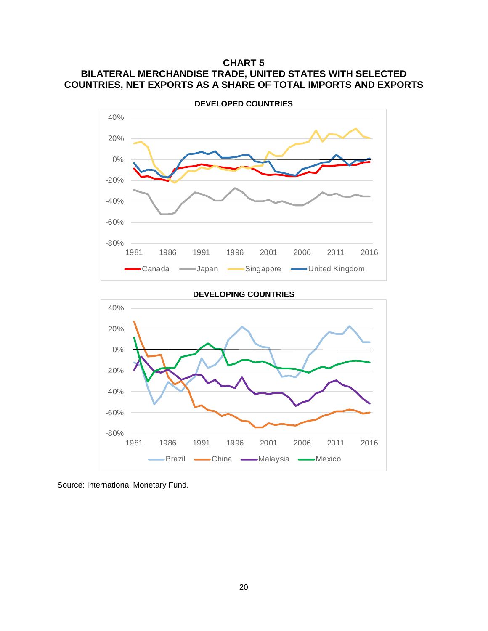# **CHART 5 BILATERAL MERCHANDISE TRADE, UNITED STATES WITH SELECTED COUNTRIES, NET EXPORTS AS A SHARE OF TOTAL IMPORTS AND EXPORTS**





Source: International Monetary Fund.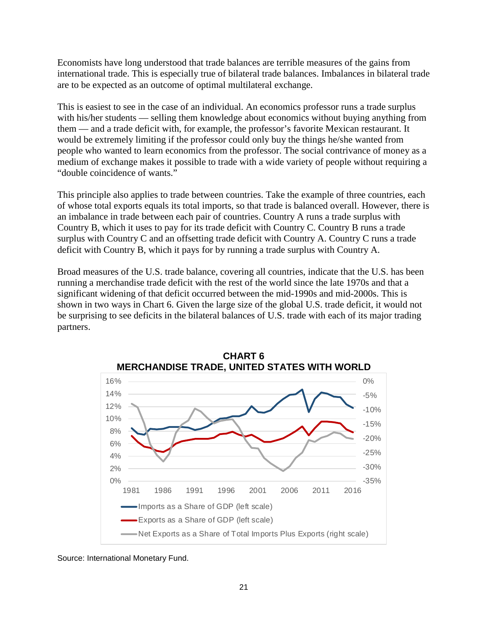Economists have long understood that trade balances are terrible measures of the gains from international trade. This is especially true of bilateral trade balances. Imbalances in bilateral trade are to be expected as an outcome of optimal multilateral exchange.

This is easiest to see in the case of an individual. An economics professor runs a trade surplus with his/her students — selling them knowledge about economics without buying anything from them — and a trade deficit with, for example, the professor's favorite Mexican restaurant. It would be extremely limiting if the professor could only buy the things he/she wanted from people who wanted to learn economics from the professor. The social contrivance of money as a medium of exchange makes it possible to trade with a wide variety of people without requiring a "double coincidence of wants."

This principle also applies to trade between countries. Take the example of three countries, each of whose total exports equals its total imports, so that trade is balanced overall. However, there is an imbalance in trade between each pair of countries. Country A runs a trade surplus with Country B, which it uses to pay for its trade deficit with Country C. Country B runs a trade surplus with Country C and an offsetting trade deficit with Country A. Country C runs a trade deficit with Country B, which it pays for by running a trade surplus with Country A.

Broad measures of the U.S. trade balance, covering all countries, indicate that the U.S. has been running a merchandise trade deficit with the rest of the world since the late 1970s and that a significant widening of that deficit occurred between the mid-1990s and mid-2000s. This is shown in two ways in Chart 6. Given the large size of the global U.S. trade deficit, it would not be surprising to see deficits in the bilateral balances of U.S. trade with each of its major trading partners.



**CHART 6**

Source: International Monetary Fund.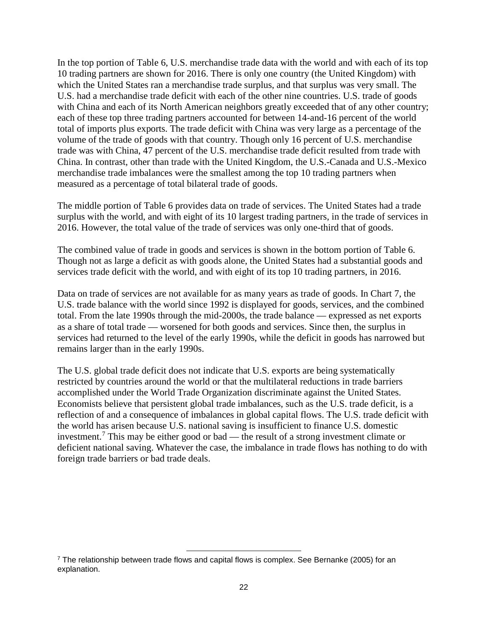In the top portion of Table 6, U.S. merchandise trade data with the world and with each of its top 10 trading partners are shown for 2016. There is only one country (the United Kingdom) with which the United States ran a merchandise trade surplus, and that surplus was very small. The U.S. had a merchandise trade deficit with each of the other nine countries. U.S. trade of goods with China and each of its North American neighbors greatly exceeded that of any other country; each of these top three trading partners accounted for between 14-and-16 percent of the world total of imports plus exports. The trade deficit with China was very large as a percentage of the volume of the trade of goods with that country. Though only 16 percent of U.S. merchandise trade was with China, 47 percent of the U.S. merchandise trade deficit resulted from trade with China. In contrast, other than trade with the United Kingdom, the U.S.-Canada and U.S.-Mexico merchandise trade imbalances were the smallest among the top 10 trading partners when measured as a percentage of total bilateral trade of goods.

The middle portion of Table 6 provides data on trade of services. The United States had a trade surplus with the world, and with eight of its 10 largest trading partners, in the trade of services in 2016. However, the total value of the trade of services was only one-third that of goods.

The combined value of trade in goods and services is shown in the bottom portion of Table 6. Though not as large a deficit as with goods alone, the United States had a substantial goods and services trade deficit with the world, and with eight of its top 10 trading partners, in 2016.

Data on trade of services are not available for as many years as trade of goods. In Chart 7, the U.S. trade balance with the world since 1992 is displayed for goods, services, and the combined total. From the late 1990s through the mid-2000s, the trade balance — expressed as net exports as a share of total trade — worsened for both goods and services. Since then, the surplus in services had returned to the level of the early 1990s, while the deficit in goods has narrowed but remains larger than in the early 1990s.

The U.S. global trade deficit does not indicate that U.S. exports are being systematically restricted by countries around the world or that the multilateral reductions in trade barriers accomplished under the World Trade Organization discriminate against the United States. Economists believe that persistent global trade imbalances, such as the U.S. trade deficit, is a reflection of and a consequence of imbalances in global capital flows. The U.S. trade deficit with the world has arisen because U.S. national saving is insufficient to finance U.S. domestic investment.[7](#page-24-0) This may be either good or bad — the result of a strong investment climate or deficient national saving. Whatever the case, the imbalance in trade flows has nothing to do with foreign trade barriers or bad trade deals.

l

<span id="page-24-0"></span><sup>&</sup>lt;sup>7</sup> The relationship between trade flows and capital flows is complex. See Bernanke (2005) for an explanation.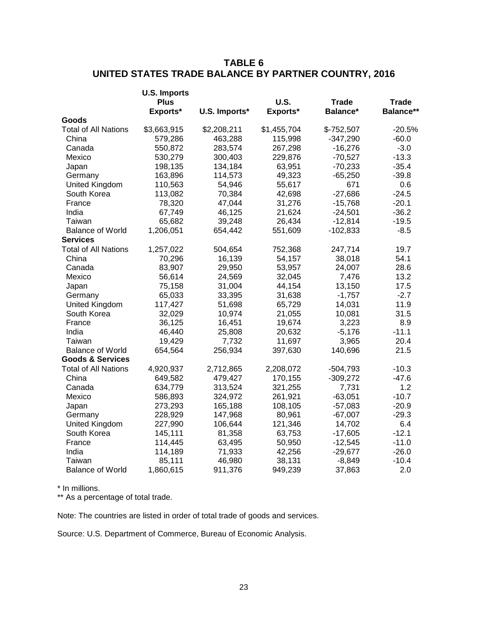# **TABLE 6 UNITED STATES TRADE BALANCE BY PARTNER COUNTRY, 2016**

| Balance**<br>Exports*<br>U.S. Imports*<br>Exports*<br>Balance*<br>Goods<br><b>Total of All Nations</b><br>\$3,663,915<br>\$2,208,211<br>\$1,455,704<br>$$-752,507$<br>-20.5%<br>$-347,290$<br>China<br>579,286<br>463,288<br>115,998<br>$-60.0$<br>$-3.0$<br>Canada<br>550,872<br>283,574<br>267,298<br>$-16,276$<br>Mexico<br>229,876<br>$-70,527$<br>$-13.3$<br>530,279<br>300,403<br>198,135<br>134,184<br>63,951<br>$-70,233$<br>$-35.4$<br>Japan<br>163,896<br>114,573<br>49,323<br>$-39.8$<br>Germany<br>$-65,250$<br>United Kingdom<br>110,563<br>54,946<br>55,617<br>671<br>0.6<br>South Korea<br>113,082<br>70,384<br>42,698<br>$-27,686$<br>$-24.5$<br>$-20.1$<br>France<br>78,320<br>47,044<br>31,276<br>$-15,768$<br>India<br>46,125<br>21,624<br>$-36.2$<br>67,749<br>$-24,501$<br>26,434<br>$-19.5$<br>Taiwan<br>65,682<br>39,248<br>$-12,814$<br>1,206,051<br>$-8.5$<br><b>Balance of World</b><br>654,442<br>551,609<br>$-102,833$<br><b>Services</b><br>19.7<br><b>Total of All Nations</b><br>1,257,022<br>504,654<br>752,368<br>247,714<br>China<br>70,296<br>16,139<br>54,157<br>38,018<br>54.1<br>28.6<br>83,907<br>29,950<br>53,957<br>24,007<br>Canada<br>13.2<br>Mexico<br>56,614<br>24,569<br>32,045<br>7,476<br>44,154<br>17.5<br>Japan<br>75,158<br>31,004<br>13,150<br>$-2.7$<br>Germany<br>65,033<br>33,395<br>31,638<br>$-1,757$ |                | <b>U.S. Imports</b> |        |        |              |              |
|----------------------------------------------------------------------------------------------------------------------------------------------------------------------------------------------------------------------------------------------------------------------------------------------------------------------------------------------------------------------------------------------------------------------------------------------------------------------------------------------------------------------------------------------------------------------------------------------------------------------------------------------------------------------------------------------------------------------------------------------------------------------------------------------------------------------------------------------------------------------------------------------------------------------------------------------------------------------------------------------------------------------------------------------------------------------------------------------------------------------------------------------------------------------------------------------------------------------------------------------------------------------------------------------------------------------------------------------------------------|----------------|---------------------|--------|--------|--------------|--------------|
|                                                                                                                                                                                                                                                                                                                                                                                                                                                                                                                                                                                                                                                                                                                                                                                                                                                                                                                                                                                                                                                                                                                                                                                                                                                                                                                                                                |                | <b>Plus</b>         |        | U.S.   | <b>Trade</b> | <b>Trade</b> |
|                                                                                                                                                                                                                                                                                                                                                                                                                                                                                                                                                                                                                                                                                                                                                                                                                                                                                                                                                                                                                                                                                                                                                                                                                                                                                                                                                                |                |                     |        |        |              |              |
|                                                                                                                                                                                                                                                                                                                                                                                                                                                                                                                                                                                                                                                                                                                                                                                                                                                                                                                                                                                                                                                                                                                                                                                                                                                                                                                                                                |                |                     |        |        |              |              |
|                                                                                                                                                                                                                                                                                                                                                                                                                                                                                                                                                                                                                                                                                                                                                                                                                                                                                                                                                                                                                                                                                                                                                                                                                                                                                                                                                                |                |                     |        |        |              |              |
|                                                                                                                                                                                                                                                                                                                                                                                                                                                                                                                                                                                                                                                                                                                                                                                                                                                                                                                                                                                                                                                                                                                                                                                                                                                                                                                                                                |                |                     |        |        |              |              |
|                                                                                                                                                                                                                                                                                                                                                                                                                                                                                                                                                                                                                                                                                                                                                                                                                                                                                                                                                                                                                                                                                                                                                                                                                                                                                                                                                                |                |                     |        |        |              |              |
|                                                                                                                                                                                                                                                                                                                                                                                                                                                                                                                                                                                                                                                                                                                                                                                                                                                                                                                                                                                                                                                                                                                                                                                                                                                                                                                                                                |                |                     |        |        |              |              |
|                                                                                                                                                                                                                                                                                                                                                                                                                                                                                                                                                                                                                                                                                                                                                                                                                                                                                                                                                                                                                                                                                                                                                                                                                                                                                                                                                                |                |                     |        |        |              |              |
|                                                                                                                                                                                                                                                                                                                                                                                                                                                                                                                                                                                                                                                                                                                                                                                                                                                                                                                                                                                                                                                                                                                                                                                                                                                                                                                                                                |                |                     |        |        |              |              |
|                                                                                                                                                                                                                                                                                                                                                                                                                                                                                                                                                                                                                                                                                                                                                                                                                                                                                                                                                                                                                                                                                                                                                                                                                                                                                                                                                                |                |                     |        |        |              |              |
|                                                                                                                                                                                                                                                                                                                                                                                                                                                                                                                                                                                                                                                                                                                                                                                                                                                                                                                                                                                                                                                                                                                                                                                                                                                                                                                                                                |                |                     |        |        |              |              |
|                                                                                                                                                                                                                                                                                                                                                                                                                                                                                                                                                                                                                                                                                                                                                                                                                                                                                                                                                                                                                                                                                                                                                                                                                                                                                                                                                                |                |                     |        |        |              |              |
|                                                                                                                                                                                                                                                                                                                                                                                                                                                                                                                                                                                                                                                                                                                                                                                                                                                                                                                                                                                                                                                                                                                                                                                                                                                                                                                                                                |                |                     |        |        |              |              |
|                                                                                                                                                                                                                                                                                                                                                                                                                                                                                                                                                                                                                                                                                                                                                                                                                                                                                                                                                                                                                                                                                                                                                                                                                                                                                                                                                                |                |                     |        |        |              |              |
|                                                                                                                                                                                                                                                                                                                                                                                                                                                                                                                                                                                                                                                                                                                                                                                                                                                                                                                                                                                                                                                                                                                                                                                                                                                                                                                                                                |                |                     |        |        |              |              |
|                                                                                                                                                                                                                                                                                                                                                                                                                                                                                                                                                                                                                                                                                                                                                                                                                                                                                                                                                                                                                                                                                                                                                                                                                                                                                                                                                                |                |                     |        |        |              |              |
|                                                                                                                                                                                                                                                                                                                                                                                                                                                                                                                                                                                                                                                                                                                                                                                                                                                                                                                                                                                                                                                                                                                                                                                                                                                                                                                                                                |                |                     |        |        |              |              |
|                                                                                                                                                                                                                                                                                                                                                                                                                                                                                                                                                                                                                                                                                                                                                                                                                                                                                                                                                                                                                                                                                                                                                                                                                                                                                                                                                                |                |                     |        |        |              |              |
|                                                                                                                                                                                                                                                                                                                                                                                                                                                                                                                                                                                                                                                                                                                                                                                                                                                                                                                                                                                                                                                                                                                                                                                                                                                                                                                                                                |                |                     |        |        |              |              |
|                                                                                                                                                                                                                                                                                                                                                                                                                                                                                                                                                                                                                                                                                                                                                                                                                                                                                                                                                                                                                                                                                                                                                                                                                                                                                                                                                                |                |                     |        |        |              |              |
|                                                                                                                                                                                                                                                                                                                                                                                                                                                                                                                                                                                                                                                                                                                                                                                                                                                                                                                                                                                                                                                                                                                                                                                                                                                                                                                                                                |                |                     |        |        |              |              |
|                                                                                                                                                                                                                                                                                                                                                                                                                                                                                                                                                                                                                                                                                                                                                                                                                                                                                                                                                                                                                                                                                                                                                                                                                                                                                                                                                                |                |                     |        |        |              |              |
|                                                                                                                                                                                                                                                                                                                                                                                                                                                                                                                                                                                                                                                                                                                                                                                                                                                                                                                                                                                                                                                                                                                                                                                                                                                                                                                                                                | United Kingdom | 117,427             | 51,698 | 65,729 | 14,031       | 11.9         |
| South Korea<br>32,029<br>10,974<br>21,055<br>10,081<br>31.5                                                                                                                                                                                                                                                                                                                                                                                                                                                                                                                                                                                                                                                                                                                                                                                                                                                                                                                                                                                                                                                                                                                                                                                                                                                                                                    |                |                     |        |        |              |              |
| 36,125<br>16,451<br>19,674<br>3,223<br>8.9<br>France                                                                                                                                                                                                                                                                                                                                                                                                                                                                                                                                                                                                                                                                                                                                                                                                                                                                                                                                                                                                                                                                                                                                                                                                                                                                                                           |                |                     |        |        |              |              |
| $-11.1$<br>India<br>46,440<br>25,808<br>20,632<br>$-5,176$                                                                                                                                                                                                                                                                                                                                                                                                                                                                                                                                                                                                                                                                                                                                                                                                                                                                                                                                                                                                                                                                                                                                                                                                                                                                                                     |                |                     |        |        |              |              |
| 20.4<br>19,429<br>7,732<br>Taiwan<br>11,697<br>3,965                                                                                                                                                                                                                                                                                                                                                                                                                                                                                                                                                                                                                                                                                                                                                                                                                                                                                                                                                                                                                                                                                                                                                                                                                                                                                                           |                |                     |        |        |              |              |
| <b>Balance of World</b><br>654,564<br>256,934<br>397,630<br>140,696<br>21.5                                                                                                                                                                                                                                                                                                                                                                                                                                                                                                                                                                                                                                                                                                                                                                                                                                                                                                                                                                                                                                                                                                                                                                                                                                                                                    |                |                     |        |        |              |              |
| <b>Goods &amp; Services</b>                                                                                                                                                                                                                                                                                                                                                                                                                                                                                                                                                                                                                                                                                                                                                                                                                                                                                                                                                                                                                                                                                                                                                                                                                                                                                                                                    |                |                     |        |        |              |              |
| <b>Total of All Nations</b><br>4,920,937<br>2,712,865<br>2,208,072<br>$-504,793$<br>$-10.3$                                                                                                                                                                                                                                                                                                                                                                                                                                                                                                                                                                                                                                                                                                                                                                                                                                                                                                                                                                                                                                                                                                                                                                                                                                                                    |                |                     |        |        |              |              |
| 479,427<br>170,155<br>$-309,272$<br>$-47.6$<br>China<br>649,582                                                                                                                                                                                                                                                                                                                                                                                                                                                                                                                                                                                                                                                                                                                                                                                                                                                                                                                                                                                                                                                                                                                                                                                                                                                                                                |                |                     |        |        |              |              |
| 1.2<br>634,779<br>313,524<br>321,255<br>7,731<br>Canada                                                                                                                                                                                                                                                                                                                                                                                                                                                                                                                                                                                                                                                                                                                                                                                                                                                                                                                                                                                                                                                                                                                                                                                                                                                                                                        |                |                     |        |        |              |              |
| $-10.7$<br>Mexico<br>586,893<br>324,972<br>261,921<br>$-63,051$                                                                                                                                                                                                                                                                                                                                                                                                                                                                                                                                                                                                                                                                                                                                                                                                                                                                                                                                                                                                                                                                                                                                                                                                                                                                                                |                |                     |        |        |              |              |
| $-20.9$<br>273,293<br>165,188<br>108,105<br>Japan<br>$-57,083$                                                                                                                                                                                                                                                                                                                                                                                                                                                                                                                                                                                                                                                                                                                                                                                                                                                                                                                                                                                                                                                                                                                                                                                                                                                                                                 |                |                     |        |        |              |              |
| $-29.3$<br>Germany<br>228,929<br>147,968<br>80,961<br>$-67,007$                                                                                                                                                                                                                                                                                                                                                                                                                                                                                                                                                                                                                                                                                                                                                                                                                                                                                                                                                                                                                                                                                                                                                                                                                                                                                                |                |                     |        |        |              |              |
| <b>United Kingdom</b><br>106,644<br>121,346<br>6.4<br>227,990<br>14,702                                                                                                                                                                                                                                                                                                                                                                                                                                                                                                                                                                                                                                                                                                                                                                                                                                                                                                                                                                                                                                                                                                                                                                                                                                                                                        |                |                     |        |        |              |              |
| $-12.1$<br>South Korea<br>145,111<br>81,358<br>63,753<br>$-17,605$                                                                                                                                                                                                                                                                                                                                                                                                                                                                                                                                                                                                                                                                                                                                                                                                                                                                                                                                                                                                                                                                                                                                                                                                                                                                                             |                |                     |        |        |              |              |
| $-11.0$<br>114,445<br>63,495<br>50,950<br>$-12,545$<br>France                                                                                                                                                                                                                                                                                                                                                                                                                                                                                                                                                                                                                                                                                                                                                                                                                                                                                                                                                                                                                                                                                                                                                                                                                                                                                                  |                |                     |        |        |              |              |
| 42,256<br>$-29,677$<br>$-26.0$<br>India<br>114,189<br>71,933                                                                                                                                                                                                                                                                                                                                                                                                                                                                                                                                                                                                                                                                                                                                                                                                                                                                                                                                                                                                                                                                                                                                                                                                                                                                                                   |                |                     |        |        |              |              |
| $-10.4$<br>Taiwan<br>85,111<br>46,980<br>38,131<br>$-8,849$                                                                                                                                                                                                                                                                                                                                                                                                                                                                                                                                                                                                                                                                                                                                                                                                                                                                                                                                                                                                                                                                                                                                                                                                                                                                                                    |                |                     |        |        |              |              |
| 2.0<br><b>Balance of World</b><br>1,860,615<br>911,376<br>949,239<br>37,863                                                                                                                                                                                                                                                                                                                                                                                                                                                                                                                                                                                                                                                                                                                                                                                                                                                                                                                                                                                                                                                                                                                                                                                                                                                                                    |                |                     |        |        |              |              |

\* In millions.

\*\* As a percentage of total trade.

Note: The countries are listed in order of total trade of goods and services.

Source: U.S. Department of Commerce, Bureau of Economic Analysis.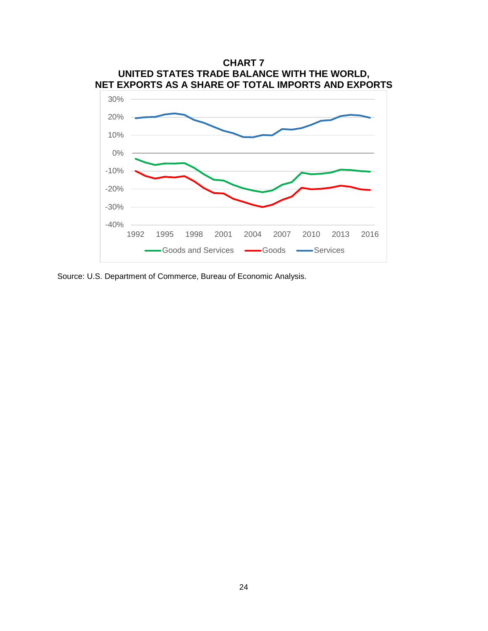

Source: U.S. Department of Commerce, Bureau of Economic Analysis.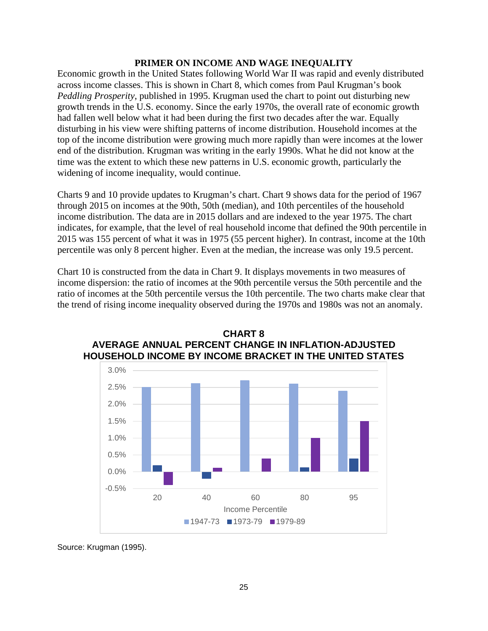#### **PRIMER ON INCOME AND WAGE INEQUALITY**

Economic growth in the United States following World War II was rapid and evenly distributed across income classes. This is shown in Chart 8, which comes from Paul Krugman's book *Peddling Prosperity*, published in 1995. Krugman used the chart to point out disturbing new growth trends in the U.S. economy. Since the early 1970s, the overall rate of economic growth had fallen well below what it had been during the first two decades after the war. Equally disturbing in his view were shifting patterns of income distribution. Household incomes at the top of the income distribution were growing much more rapidly than were incomes at the lower end of the distribution. Krugman was writing in the early 1990s. What he did not know at the time was the extent to which these new patterns in U.S. economic growth, particularly the widening of income inequality, would continue.

Charts 9 and 10 provide updates to Krugman's chart. Chart 9 shows data for the period of 1967 through 2015 on incomes at the 90th, 50th (median), and 10th percentiles of the household income distribution. The data are in 2015 dollars and are indexed to the year 1975. The chart indicates, for example, that the level of real household income that defined the 90th percentile in 2015 was 155 percent of what it was in 1975 (55 percent higher). In contrast, income at the 10th percentile was only 8 percent higher. Even at the median, the increase was only 19.5 percent.

Chart 10 is constructed from the data in Chart 9. It displays movements in two measures of income dispersion: the ratio of incomes at the 90th percentile versus the 50th percentile and the ratio of incomes at the 50th percentile versus the 10th percentile. The two charts make clear that the trend of rising income inequality observed during the 1970s and 1980s was not an anomaly.





Source: Krugman (1995).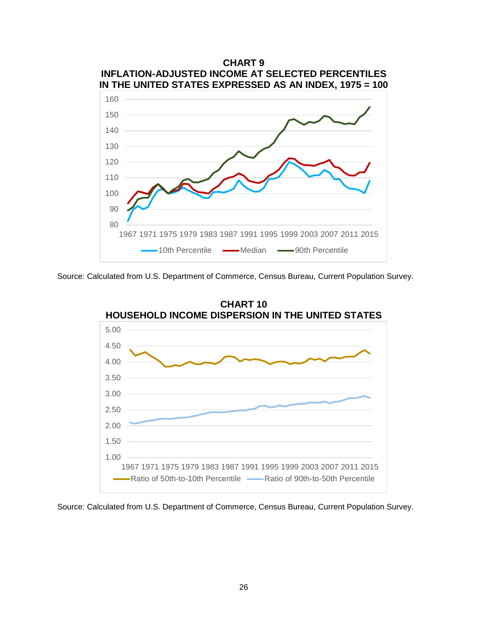

Source: Calculated from U.S. Department of Commerce, Census Bureau, Current Population Survey.



Source: Calculated from U.S. Department of Commerce, Census Bureau, Current Population Survey.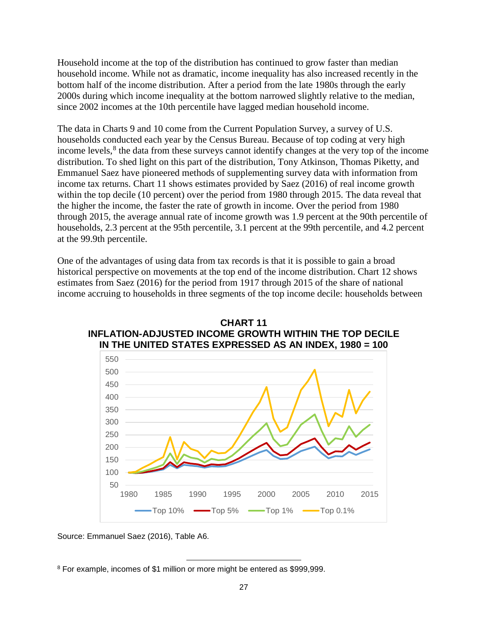Household income at the top of the distribution has continued to grow faster than median household income. While not as dramatic, income inequality has also increased recently in the bottom half of the income distribution. After a period from the late 1980s through the early 2000s during which income inequality at the bottom narrowed slightly relative to the median, since 2002 incomes at the 10th percentile have lagged median household income.

The data in Charts 9 and 10 come from the Current Population Survey, a survey of U.S. households conducted each year by the Census Bureau. Because of top coding at very high income levels,<sup>[8](#page-29-0)</sup> the data from these surveys cannot identify changes at the very top of the income distribution. To shed light on this part of the distribution, Tony Atkinson, Thomas Piketty, and Emmanuel Saez have pioneered methods of supplementing survey data with information from income tax returns. Chart 11 shows estimates provided by Saez (2016) of real income growth within the top decile (10 percent) over the period from 1980 through 2015. The data reveal that the higher the income, the faster the rate of growth in income. Over the period from 1980 through 2015, the average annual rate of income growth was 1.9 percent at the 90th percentile of households, 2.3 percent at the 95th percentile, 3.1 percent at the 99th percentile, and 4.2 percent at the 99.9th percentile.

One of the advantages of using data from tax records is that it is possible to gain a broad historical perspective on movements at the top end of the income distribution. Chart 12 shows estimates from Saez (2016) for the period from 1917 through 2015 of the share of national income accruing to households in three segments of the top income decile: households between



**CHART 11 INFLATION-ADJUSTED INCOME GROWTH WITHIN THE TOP DECILE IN THE UNITED STATES EXPRESSED AS AN INDEX, 1980 = 100**

Source: Emmanuel Saez (2016), Table A6.

<span id="page-29-0"></span>l <sup>8</sup> For example, incomes of \$1 million or more might be entered as \$999,999.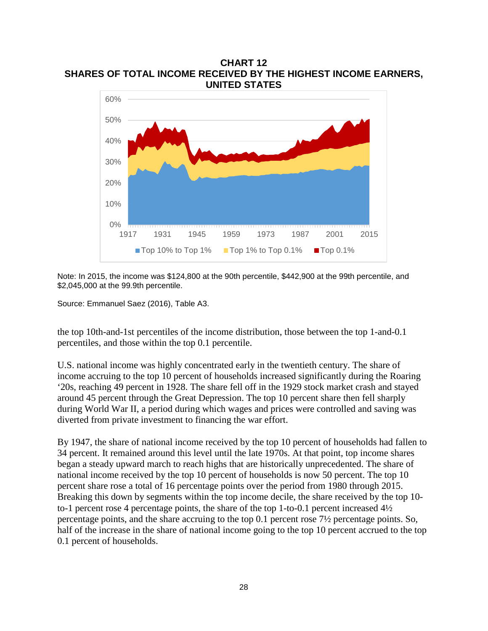**CHART 12 SHARES OF TOTAL INCOME RECEIVED BY THE HIGHEST INCOME EARNERS, UNITED STATES**



Note: In 2015, the income was \$124,800 at the 90th percentile, \$442,900 at the 99th percentile, and \$2,045,000 at the 99.9th percentile.

Source: Emmanuel Saez (2016), Table A3.

the top 10th-and-1st percentiles of the income distribution, those between the top 1-and-0.1 percentiles, and those within the top 0.1 percentile.

U.S. national income was highly concentrated early in the twentieth century. The share of income accruing to the top 10 percent of households increased significantly during the Roaring '20s, reaching 49 percent in 1928. The share fell off in the 1929 stock market crash and stayed around 45 percent through the Great Depression. The top 10 percent share then fell sharply during World War II, a period during which wages and prices were controlled and saving was diverted from private investment to financing the war effort.

By 1947, the share of national income received by the top 10 percent of households had fallen to 34 percent. It remained around this level until the late 1970s. At that point, top income shares began a steady upward march to reach highs that are historically unprecedented. The share of national income received by the top 10 percent of households is now 50 percent. The top 10 percent share rose a total of 16 percentage points over the period from 1980 through 2015. Breaking this down by segments within the top income decile, the share received by the top 10 to-1 percent rose 4 percentage points, the share of the top 1-to-0.1 percent increased 4½ percentage points, and the share accruing to the top 0.1 percent rose 7½ percentage points. So, half of the increase in the share of national income going to the top 10 percent accrued to the top 0.1 percent of households.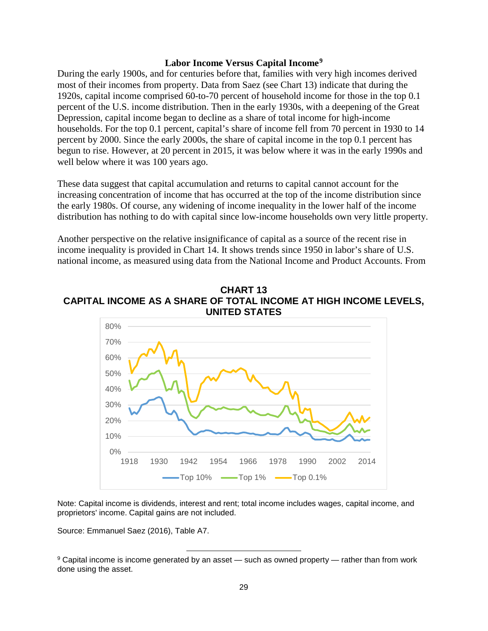# **Labor Income Versus Capital Income[9](#page-31-0)**

During the early 1900s, and for centuries before that, families with very high incomes derived most of their incomes from property. Data from Saez (see Chart 13) indicate that during the 1920s, capital income comprised 60-to-70 percent of household income for those in the top 0.1 percent of the U.S. income distribution. Then in the early 1930s, with a deepening of the Great Depression, capital income began to decline as a share of total income for high-income households. For the top 0.1 percent, capital's share of income fell from 70 percent in 1930 to 14 percent by 2000. Since the early 2000s, the share of capital income in the top 0.1 percent has begun to rise. However, at 20 percent in 2015, it was below where it was in the early 1990s and well below where it was 100 years ago.

These data suggest that capital accumulation and returns to capital cannot account for the increasing concentration of income that has occurred at the top of the income distribution since the early 1980s. Of course, any widening of income inequality in the lower half of the income distribution has nothing to do with capital since low-income households own very little property.

Another perspective on the relative insignificance of capital as a source of the recent rise in income inequality is provided in Chart 14. It shows trends since 1950 in labor's share of U.S. national income, as measured using data from the National Income and Product Accounts. From

### **CHART 13 CAPITAL INCOME AS A SHARE OF TOTAL INCOME AT HIGH INCOME LEVELS, UNITED STATES**



Note: Capital income is dividends, interest and rent; total income includes wages, capital income, and proprietors' income. Capital gains are not included.

Source: Emmanuel Saez (2016), Table A7.

l

<span id="page-31-0"></span><sup>9</sup> Capital income is income generated by an asset — such as owned property — rather than from work done using the asset.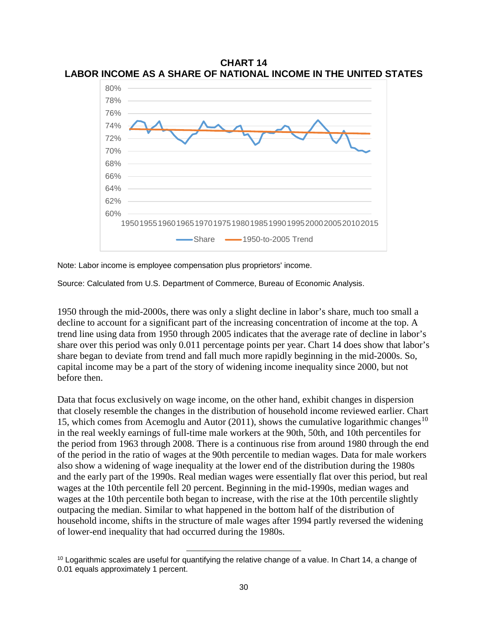

**CHART 14 LABOR INCOME AS A SHARE OF NATIONAL INCOME IN THE UNITED STATES**

Note: Labor income is employee compensation plus proprietors' income.

Source: Calculated from U.S. Department of Commerce, Bureau of Economic Analysis.

1950 through the mid-2000s, there was only a slight decline in labor's share, much too small a decline to account for a significant part of the increasing concentration of income at the top. A trend line using data from 1950 through 2005 indicates that the average rate of decline in labor's share over this period was only 0.011 percentage points per year. Chart 14 does show that labor's share began to deviate from trend and fall much more rapidly beginning in the mid-2000s. So, capital income may be a part of the story of widening income inequality since 2000, but not before then.

Data that focus exclusively on wage income, on the other hand, exhibit changes in dispersion that closely resemble the changes in the distribution of household income reviewed earlier. Chart 15, which comes from Acemoglu and Autor (2011), shows the cumulative logarithmic changes<sup>[10](#page-32-0)</sup> in the real weekly earnings of full-time male workers at the 90th, 50th, and 10th percentiles for the period from 1963 through 2008. There is a continuous rise from around 1980 through the end of the period in the ratio of wages at the 90th percentile to median wages. Data for male workers also show a widening of wage inequality at the lower end of the distribution during the 1980s and the early part of the 1990s. Real median wages were essentially flat over this period, but real wages at the 10th percentile fell 20 percent. Beginning in the mid-1990s, median wages and wages at the 10th percentile both began to increase, with the rise at the 10th percentile slightly outpacing the median. Similar to what happened in the bottom half of the distribution of household income, shifts in the structure of male wages after 1994 partly reversed the widening of lower-end inequality that had occurred during the 1980s.

l

<span id="page-32-0"></span> $10$  Logarithmic scales are useful for quantifying the relative change of a value. In Chart 14, a change of 0.01 equals approximately 1 percent.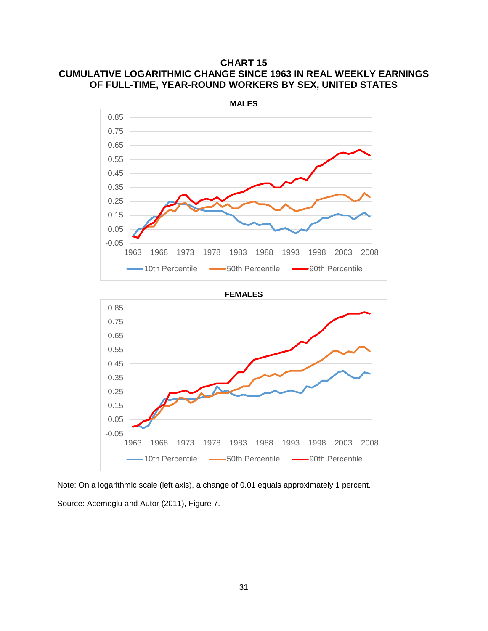**CHART 15 CUMULATIVE LOGARITHMIC CHANGE SINCE 1963 IN REAL WEEKLY EARNINGS OF FULL-TIME, YEAR-ROUND WORKERS BY SEX, UNITED STATES**



Note: On a logarithmic scale (left axis), a change of 0.01 equals approximately 1 percent. Source: Acemoglu and Autor (2011), Figure 7.

-0.05 0.05 0.15 0.25 0.35

 $\overline{\phantom{0}}$ 

1963 1968 1973 1978 1983 1988 1993 1998 2003 2008 -10th Percentile -50th Percentile -90th Percentile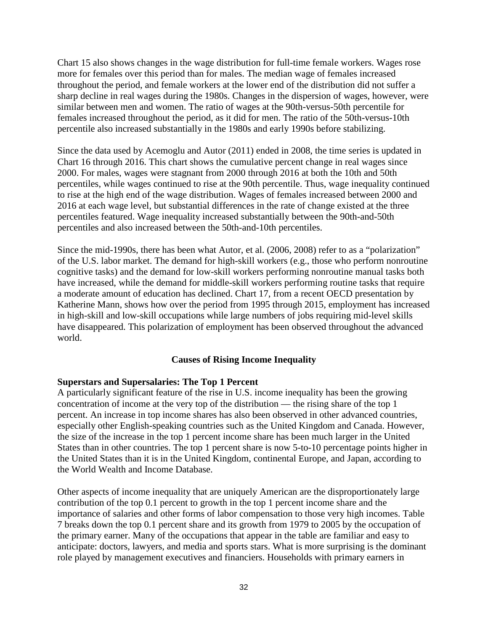Chart 15 also shows changes in the wage distribution for full-time female workers. Wages rose more for females over this period than for males. The median wage of females increased throughout the period, and female workers at the lower end of the distribution did not suffer a sharp decline in real wages during the 1980s. Changes in the dispersion of wages, however, were similar between men and women. The ratio of wages at the 90th-versus-50th percentile for females increased throughout the period, as it did for men. The ratio of the 50th-versus-10th percentile also increased substantially in the 1980s and early 1990s before stabilizing.

Since the data used by Acemoglu and Autor (2011) ended in 2008, the time series is updated in Chart 16 through 2016. This chart shows the cumulative percent change in real wages since 2000. For males, wages were stagnant from 2000 through 2016 at both the 10th and 50th percentiles, while wages continued to rise at the 90th percentile. Thus, wage inequality continued to rise at the high end of the wage distribution. Wages of females increased between 2000 and 2016 at each wage level, but substantial differences in the rate of change existed at the three percentiles featured. Wage inequality increased substantially between the 90th-and-50th percentiles and also increased between the 50th-and-10th percentiles.

Since the mid-1990s, there has been what Autor, et al. (2006, 2008) refer to as a "polarization" of the U.S. labor market. The demand for high-skill workers (e.g., those who perform nonroutine cognitive tasks) and the demand for low-skill workers performing nonroutine manual tasks both have increased, while the demand for middle-skill workers performing routine tasks that require a moderate amount of education has declined. Chart 17, from a recent OECD presentation by Katherine Mann, shows how over the period from 1995 through 2015, employment has increased in high-skill and low-skill occupations while large numbers of jobs requiring mid-level skills have disappeared. This polarization of employment has been observed throughout the advanced world.

#### **Causes of Rising Income Inequality**

# **Superstars and Supersalaries: The Top 1 Percent**

A particularly significant feature of the rise in U.S. income inequality has been the growing concentration of income at the very top of the distribution — the rising share of the top 1 percent. An increase in top income shares has also been observed in other advanced countries, especially other English-speaking countries such as the United Kingdom and Canada. However, the size of the increase in the top 1 percent income share has been much larger in the United States than in other countries. The top 1 percent share is now 5-to-10 percentage points higher in the United States than it is in the United Kingdom, continental Europe, and Japan, according to the World Wealth and Income Database.

Other aspects of income inequality that are uniquely American are the disproportionately large contribution of the top 0.1 percent to growth in the top 1 percent income share and the importance of salaries and other forms of labor compensation to those very high incomes. Table 7 breaks down the top 0.1 percent share and its growth from 1979 to 2005 by the occupation of the primary earner. Many of the occupations that appear in the table are familiar and easy to anticipate: doctors, lawyers, and media and sports stars. What is more surprising is the dominant role played by management executives and financiers. Households with primary earners in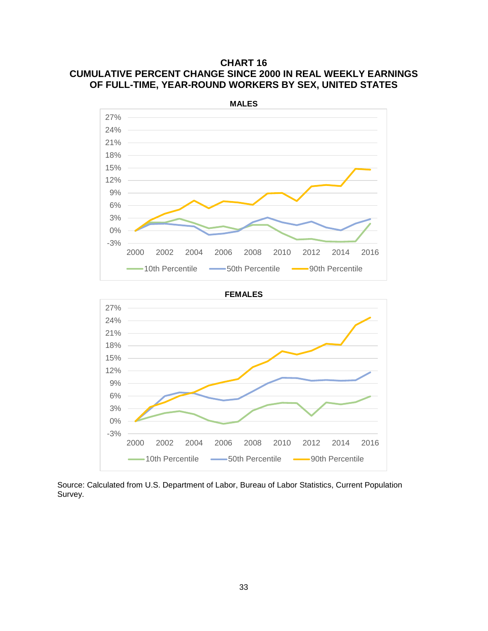# **CHART 16 CUMULATIVE PERCENT CHANGE SINCE 2000 IN REAL WEEKLY EARNINGS OF FULL-TIME, YEAR-ROUND WORKERS BY SEX, UNITED STATES**







Source: Calculated from U.S. Department of Labor, Bureau of Labor Statistics, Current Population Survey.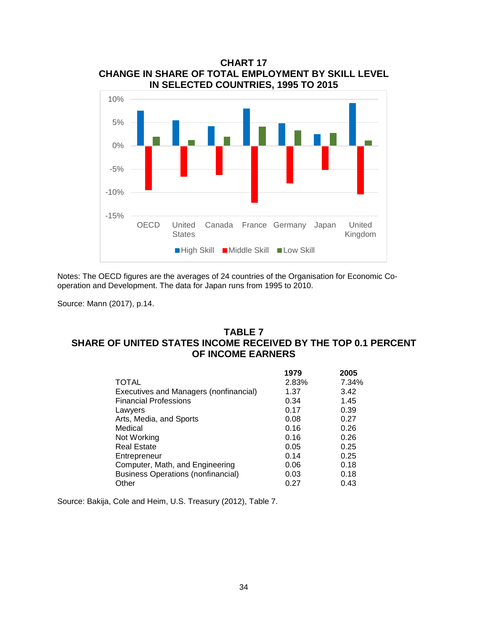

Notes: The OECD figures are the averages of 24 countries of the Organisation for Economic Cooperation and Development. The data for Japan runs from 1995 to 2010.

Source: Mann (2017), p.14.

## **TABLE 7 SHARE OF UNITED STATES INCOME RECEIVED BY THE TOP 0.1 PERCENT OF INCOME EARNERS**

|                                           | 1979  | 2005  |
|-------------------------------------------|-------|-------|
| <b>TOTAL</b>                              | 2.83% | 7.34% |
| Executives and Managers (nonfinancial)    | 1.37  | 3.42  |
| <b>Financial Professions</b>              | 0.34  | 1.45  |
| Lawyers                                   | 0.17  | 0.39  |
| Arts, Media, and Sports                   | 0.08  | 0.27  |
| Medical                                   | 0.16  | 0.26  |
| Not Working                               | 0.16  | 0.26  |
| <b>Real Estate</b>                        | 0.05  | 0.25  |
| Entrepreneur                              | 0.14  | 0.25  |
| Computer, Math, and Engineering           | 0.06  | 0.18  |
| <b>Business Operations (nonfinancial)</b> | 0.03  | 0.18  |
| Other                                     | 0.27  | 0.43  |

Source: Bakija, Cole and Heim, U.S. Treasury (2012), Table 7.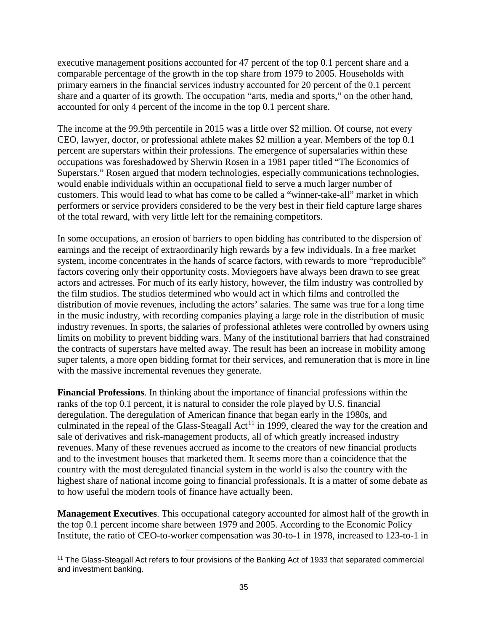executive management positions accounted for 47 percent of the top 0.1 percent share and a comparable percentage of the growth in the top share from 1979 to 2005. Households with primary earners in the financial services industry accounted for 20 percent of the 0.1 percent share and a quarter of its growth. The occupation "arts, media and sports," on the other hand, accounted for only 4 percent of the income in the top 0.1 percent share.

The income at the 99.9th percentile in 2015 was a little over \$2 million. Of course, not every CEO, lawyer, doctor, or professional athlete makes \$2 million a year. Members of the top 0.1 percent are superstars within their professions. The emergence of supersalaries within these occupations was foreshadowed by Sherwin Rosen in a 1981 paper titled "The Economics of Superstars." Rosen argued that modern technologies, especially communications technologies, would enable individuals within an occupational field to serve a much larger number of customers. This would lead to what has come to be called a "winner-take-all" market in which performers or service providers considered to be the very best in their field capture large shares of the total reward, with very little left for the remaining competitors.

In some occupations, an erosion of barriers to open bidding has contributed to the dispersion of earnings and the receipt of extraordinarily high rewards by a few individuals. In a free market system, income concentrates in the hands of scarce factors, with rewards to more "reproducible" factors covering only their opportunity costs. Moviegoers have always been drawn to see great actors and actresses. For much of its early history, however, the film industry was controlled by the film studios. The studios determined who would act in which films and controlled the distribution of movie revenues, including the actors' salaries. The same was true for a long time in the music industry, with recording companies playing a large role in the distribution of music industry revenues. In sports, the salaries of professional athletes were controlled by owners using limits on mobility to prevent bidding wars. Many of the institutional barriers that had constrained the contracts of superstars have melted away. The result has been an increase in mobility among super talents, a more open bidding format for their services, and remuneration that is more in line with the massive incremental revenues they generate.

**Financial Professions**. In thinking about the importance of financial professions within the ranks of the top 0.1 percent, it is natural to consider the role played by U.S. financial deregulation. The deregulation of American finance that began early in the 1980s, and culminated in the repeal of the Glass-Steagall Act<sup>[11](#page-37-0)</sup> in 1999, cleared the way for the creation and sale of derivatives and risk-management products, all of which greatly increased industry revenues. Many of these revenues accrued as income to the creators of new financial products and to the investment houses that marketed them. It seems more than a coincidence that the country with the most deregulated financial system in the world is also the country with the highest share of national income going to financial professionals. It is a matter of some debate as to how useful the modern tools of finance have actually been.

**Management Executives**. This occupational category accounted for almost half of the growth in the top 0.1 percent income share between 1979 and 2005. According to the Economic Policy Institute, the ratio of CEO-to-worker compensation was 30-to-1 in 1978, increased to 123-to-1 in

l

<span id="page-37-0"></span><sup>11</sup> The Glass-Steagall Act refers to four provisions of the Banking Act of 1933 that separated commercial and investment banking.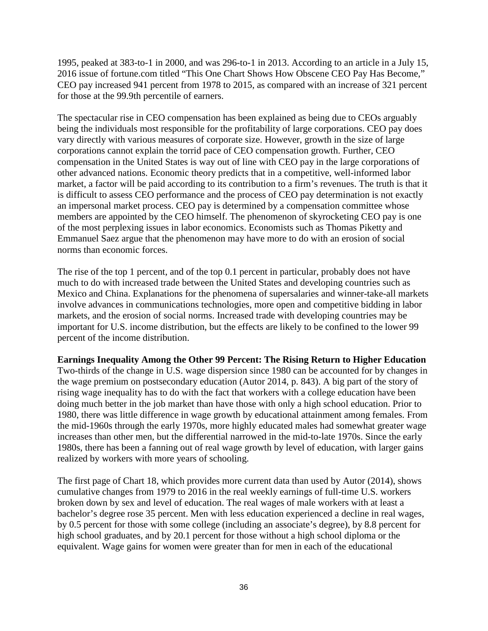1995, peaked at 383-to-1 in 2000, and was 296-to-1 in 2013. According to an article in a July 15, 2016 issue of fortune.com titled "This One Chart Shows How Obscene CEO Pay Has Become," CEO pay increased 941 percent from 1978 to 2015, as compared with an increase of 321 percent for those at the 99.9th percentile of earners.

The spectacular rise in CEO compensation has been explained as being due to CEOs arguably being the individuals most responsible for the profitability of large corporations. CEO pay does vary directly with various measures of corporate size. However, growth in the size of large corporations cannot explain the torrid pace of CEO compensation growth. Further, CEO compensation in the United States is way out of line with CEO pay in the large corporations of other advanced nations. Economic theory predicts that in a competitive, well-informed labor market, a factor will be paid according to its contribution to a firm's revenues. The truth is that it is difficult to assess CEO performance and the process of CEO pay determination is not exactly an impersonal market process. CEO pay is determined by a compensation committee whose members are appointed by the CEO himself. The phenomenon of skyrocketing CEO pay is one of the most perplexing issues in labor economics. Economists such as Thomas Piketty and Emmanuel Saez argue that the phenomenon may have more to do with an erosion of social norms than economic forces.

The rise of the top 1 percent, and of the top 0.1 percent in particular, probably does not have much to do with increased trade between the United States and developing countries such as Mexico and China. Explanations for the phenomena of supersalaries and winner-take-all markets involve advances in communications technologies, more open and competitive bidding in labor markets, and the erosion of social norms. Increased trade with developing countries may be important for U.S. income distribution, but the effects are likely to be confined to the lower 99 percent of the income distribution.

### **Earnings Inequality Among the Other 99 Percent: The Rising Return to Higher Education**

Two-thirds of the change in U.S. wage dispersion since 1980 can be accounted for by changes in the wage premium on postsecondary education (Autor 2014, p. 843). A big part of the story of rising wage inequality has to do with the fact that workers with a college education have been doing much better in the job market than have those with only a high school education. Prior to 1980, there was little difference in wage growth by educational attainment among females. From the mid-1960s through the early 1970s, more highly educated males had somewhat greater wage increases than other men, but the differential narrowed in the mid-to-late 1970s. Since the early 1980s, there has been a fanning out of real wage growth by level of education, with larger gains realized by workers with more years of schooling.

The first page of Chart 18, which provides more current data than used by Autor (2014), shows cumulative changes from 1979 to 2016 in the real weekly earnings of full-time U.S. workers broken down by sex and level of education. The real wages of male workers with at least a bachelor's degree rose 35 percent. Men with less education experienced a decline in real wages, by 0.5 percent for those with some college (including an associate's degree), by 8.8 percent for high school graduates, and by 20.1 percent for those without a high school diploma or the equivalent. Wage gains for women were greater than for men in each of the educational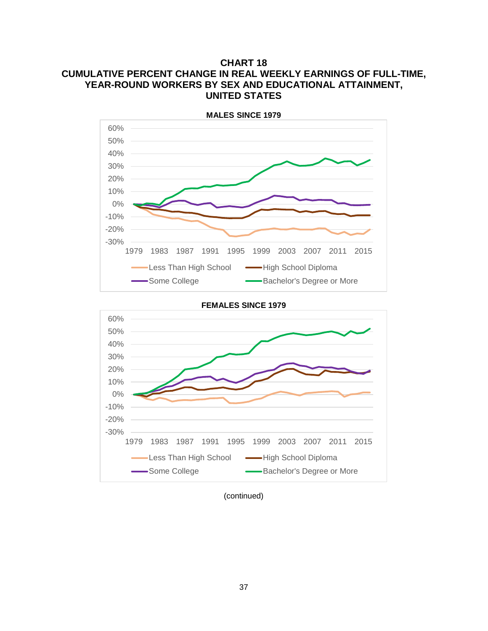# **CHART 18 CUMULATIVE PERCENT CHANGE IN REAL WEEKLY EARNINGS OF FULL-TIME, YEAR-ROUND WORKERS BY SEX AND EDUCATIONAL ATTAINMENT, UNITED STATES**





(continued)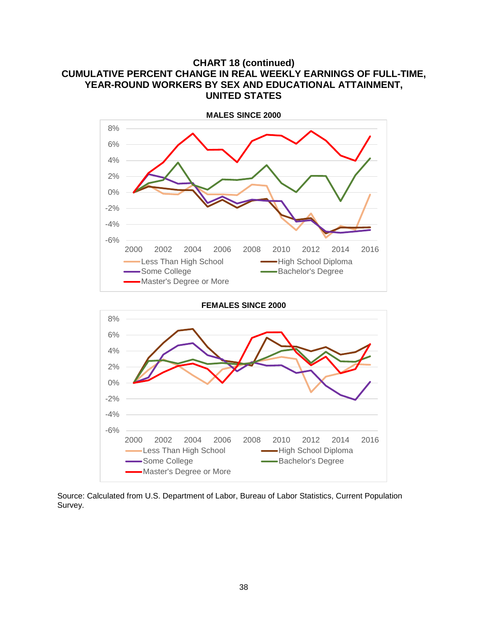# **CHART 18 (continued) CUMULATIVE PERCENT CHANGE IN REAL WEEKLY EARNINGS OF FULL-TIME, YEAR-ROUND WORKERS BY SEX AND EDUCATIONAL ATTAINMENT, UNITED STATES**





Source: Calculated from U.S. Department of Labor, Bureau of Labor Statistics, Current Population Survey.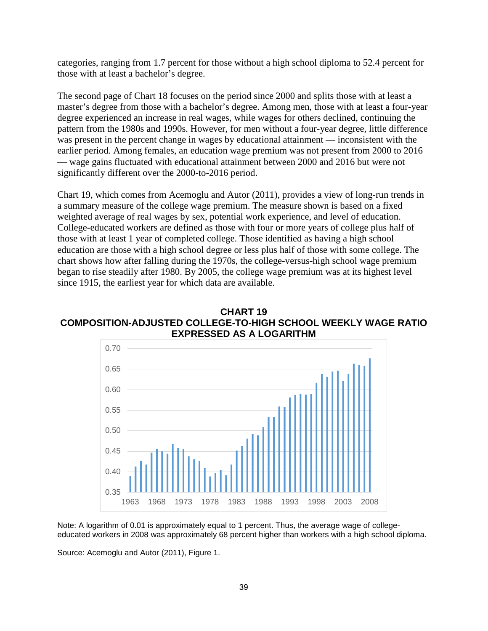categories, ranging from 1.7 percent for those without a high school diploma to 52.4 percent for those with at least a bachelor's degree.

The second page of Chart 18 focuses on the period since 2000 and splits those with at least a master's degree from those with a bachelor's degree. Among men, those with at least a four-year degree experienced an increase in real wages, while wages for others declined, continuing the pattern from the 1980s and 1990s. However, for men without a four-year degree, little difference was present in the percent change in wages by educational attainment — inconsistent with the earlier period. Among females, an education wage premium was not present from 2000 to 2016 — wage gains fluctuated with educational attainment between 2000 and 2016 but were not significantly different over the 2000-to-2016 period.

Chart 19, which comes from Acemoglu and Autor (2011), provides a view of long-run trends in a summary measure of the college wage premium. The measure shown is based on a fixed weighted average of real wages by sex, potential work experience, and level of education. College-educated workers are defined as those with four or more years of college plus half of those with at least 1 year of completed college. Those identified as having a high school education are those with a high school degree or less plus half of those with some college. The chart shows how after falling during the 1970s, the college-versus-high school wage premium began to rise steadily after 1980. By 2005, the college wage premium was at its highest level since 1915, the earliest year for which data are available.





Note: A logarithm of 0.01 is approximately equal to 1 percent. Thus, the average wage of collegeeducated workers in 2008 was approximately 68 percent higher than workers with a high school diploma.

Source: Acemoglu and Autor (2011), Figure 1.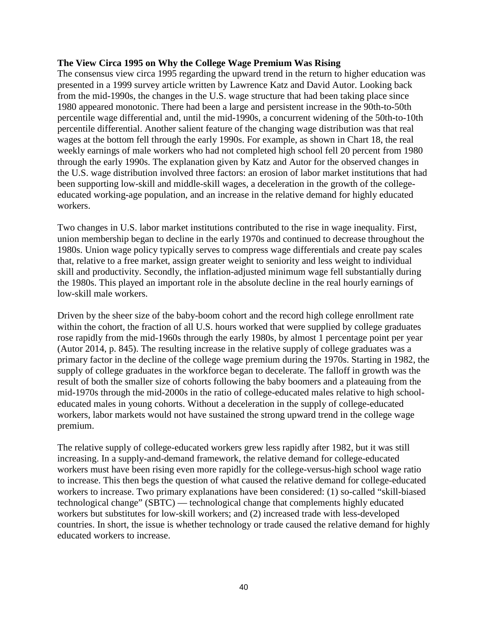#### **The View Circa 1995 on Why the College Wage Premium Was Rising**

The consensus view circa 1995 regarding the upward trend in the return to higher education was presented in a 1999 survey article written by Lawrence Katz and David Autor. Looking back from the mid-1990s, the changes in the U.S. wage structure that had been taking place since 1980 appeared monotonic. There had been a large and persistent increase in the 90th-to-50th percentile wage differential and, until the mid-1990s, a concurrent widening of the 50th-to-10th percentile differential. Another salient feature of the changing wage distribution was that real wages at the bottom fell through the early 1990s. For example, as shown in Chart 18, the real weekly earnings of male workers who had not completed high school fell 20 percent from 1980 through the early 1990s. The explanation given by Katz and Autor for the observed changes in the U.S. wage distribution involved three factors: an erosion of labor market institutions that had been supporting low-skill and middle-skill wages, a deceleration in the growth of the collegeeducated working-age population, and an increase in the relative demand for highly educated workers.

Two changes in U.S. labor market institutions contributed to the rise in wage inequality. First, union membership began to decline in the early 1970s and continued to decrease throughout the 1980s. Union wage policy typically serves to compress wage differentials and create pay scales that, relative to a free market, assign greater weight to seniority and less weight to individual skill and productivity. Secondly, the inflation-adjusted minimum wage fell substantially during the 1980s. This played an important role in the absolute decline in the real hourly earnings of low-skill male workers.

Driven by the sheer size of the baby-boom cohort and the record high college enrollment rate within the cohort, the fraction of all U.S. hours worked that were supplied by college graduates rose rapidly from the mid-1960s through the early 1980s, by almost 1 percentage point per year (Autor 2014, p. 845). The resulting increase in the relative supply of college graduates was a primary factor in the decline of the college wage premium during the 1970s. Starting in 1982, the supply of college graduates in the workforce began to decelerate. The falloff in growth was the result of both the smaller size of cohorts following the baby boomers and a plateauing from the mid-1970s through the mid-2000s in the ratio of college-educated males relative to high schooleducated males in young cohorts. Without a deceleration in the supply of college-educated workers, labor markets would not have sustained the strong upward trend in the college wage premium.

The relative supply of college-educated workers grew less rapidly after 1982, but it was still increasing. In a supply-and-demand framework, the relative demand for college-educated workers must have been rising even more rapidly for the college-versus-high school wage ratio to increase. This then begs the question of what caused the relative demand for college-educated workers to increase. Two primary explanations have been considered: (1) so-called "skill-biased technological change" (SBTC) — technological change that complements highly educated workers but substitutes for low-skill workers; and (2) increased trade with less-developed countries. In short, the issue is whether technology or trade caused the relative demand for highly educated workers to increase.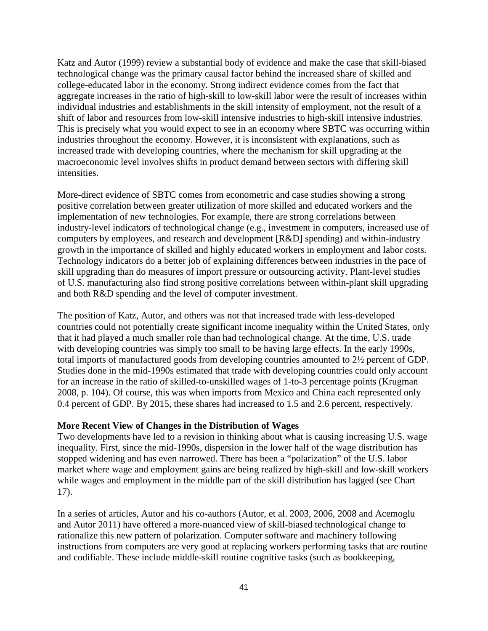Katz and Autor (1999) review a substantial body of evidence and make the case that skill-biased technological change was the primary causal factor behind the increased share of skilled and college-educated labor in the economy. Strong indirect evidence comes from the fact that aggregate increases in the ratio of high-skill to low-skill labor were the result of increases within individual industries and establishments in the skill intensity of employment, not the result of a shift of labor and resources from low-skill intensive industries to high-skill intensive industries. This is precisely what you would expect to see in an economy where SBTC was occurring within industries throughout the economy. However, it is inconsistent with explanations, such as increased trade with developing countries, where the mechanism for skill upgrading at the macroeconomic level involves shifts in product demand between sectors with differing skill intensities.

More-direct evidence of SBTC comes from econometric and case studies showing a strong positive correlation between greater utilization of more skilled and educated workers and the implementation of new technologies. For example, there are strong correlations between industry-level indicators of technological change (e.g., investment in computers, increased use of computers by employees, and research and development [R&D] spending) and within-industry growth in the importance of skilled and highly educated workers in employment and labor costs. Technology indicators do a better job of explaining differences between industries in the pace of skill upgrading than do measures of import pressure or outsourcing activity. Plant-level studies of U.S. manufacturing also find strong positive correlations between within-plant skill upgrading and both R&D spending and the level of computer investment.

The position of Katz, Autor, and others was not that increased trade with less-developed countries could not potentially create significant income inequality within the United States, only that it had played a much smaller role than had technological change. At the time, U.S. trade with developing countries was simply too small to be having large effects. In the early 1990s, total imports of manufactured goods from developing countries amounted to 2½ percent of GDP. Studies done in the mid-1990s estimated that trade with developing countries could only account for an increase in the ratio of skilled-to-unskilled wages of 1-to-3 percentage points (Krugman 2008, p. 104). Of course, this was when imports from Mexico and China each represented only 0.4 percent of GDP. By 2015, these shares had increased to 1.5 and 2.6 percent, respectively.

### **More Recent View of Changes in the Distribution of Wages**

Two developments have led to a revision in thinking about what is causing increasing U.S. wage inequality. First, since the mid-1990s, dispersion in the lower half of the wage distribution has stopped widening and has even narrowed. There has been a "polarization" of the U.S. labor market where wage and employment gains are being realized by high-skill and low-skill workers while wages and employment in the middle part of the skill distribution has lagged (see Chart 17).

In a series of articles, Autor and his co-authors (Autor, et al. 2003, 2006, 2008 and Acemoglu and Autor 2011) have offered a more-nuanced view of skill-biased technological change to rationalize this new pattern of polarization. Computer software and machinery following instructions from computers are very good at replacing workers performing tasks that are routine and codifiable. These include middle-skill routine cognitive tasks (such as bookkeeping,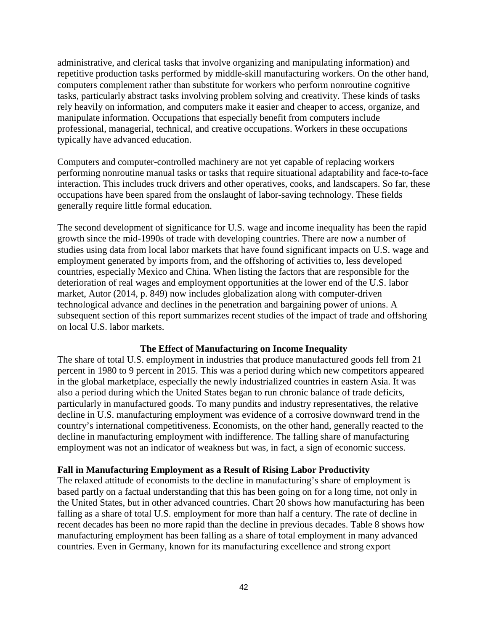administrative, and clerical tasks that involve organizing and manipulating information) and repetitive production tasks performed by middle-skill manufacturing workers. On the other hand, computers complement rather than substitute for workers who perform nonroutine cognitive tasks, particularly abstract tasks involving problem solving and creativity. These kinds of tasks rely heavily on information, and computers make it easier and cheaper to access, organize, and manipulate information. Occupations that especially benefit from computers include professional, managerial, technical, and creative occupations. Workers in these occupations typically have advanced education.

Computers and computer-controlled machinery are not yet capable of replacing workers performing nonroutine manual tasks or tasks that require situational adaptability and face-to-face interaction. This includes truck drivers and other operatives, cooks, and landscapers. So far, these occupations have been spared from the onslaught of labor-saving technology. These fields generally require little formal education.

The second development of significance for U.S. wage and income inequality has been the rapid growth since the mid-1990s of trade with developing countries. There are now a number of studies using data from local labor markets that have found significant impacts on U.S. wage and employment generated by imports from, and the offshoring of activities to, less developed countries, especially Mexico and China. When listing the factors that are responsible for the deterioration of real wages and employment opportunities at the lower end of the U.S. labor market, Autor (2014, p. 849) now includes globalization along with computer-driven technological advance and declines in the penetration and bargaining power of unions. A subsequent section of this report summarizes recent studies of the impact of trade and offshoring on local U.S. labor markets.

### **The Effect of Manufacturing on Income Inequality**

The share of total U.S. employment in industries that produce manufactured goods fell from 21 percent in 1980 to 9 percent in 2015. This was a period during which new competitors appeared in the global marketplace, especially the newly industrialized countries in eastern Asia. It was also a period during which the United States began to run chronic balance of trade deficits, particularly in manufactured goods. To many pundits and industry representatives, the relative decline in U.S. manufacturing employment was evidence of a corrosive downward trend in the country's international competitiveness. Economists, on the other hand, generally reacted to the decline in manufacturing employment with indifference. The falling share of manufacturing employment was not an indicator of weakness but was, in fact, a sign of economic success.

#### **Fall in Manufacturing Employment as a Result of Rising Labor Productivity**

The relaxed attitude of economists to the decline in manufacturing's share of employment is based partly on a factual understanding that this has been going on for a long time, not only in the United States, but in other advanced countries. Chart 20 shows how manufacturing has been falling as a share of total U.S. employment for more than half a century. The rate of decline in recent decades has been no more rapid than the decline in previous decades. Table 8 shows how manufacturing employment has been falling as a share of total employment in many advanced countries. Even in Germany, known for its manufacturing excellence and strong export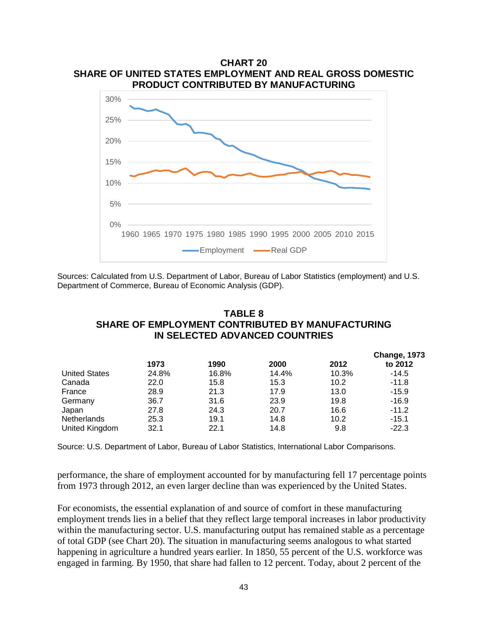

Sources: Calculated from U.S. Department of Labor, Bureau of Labor Statistics (employment) and U.S. Department of Commerce, Bureau of Economic Analysis (GDP).

## **TABLE 8 SHARE OF EMPLOYMENT CONTRIBUTED BY MANUFACTURING IN SELECTED ADVANCED COUNTRIES**

|                      |       |       |       |       | <b>Change, 1973</b> |
|----------------------|-------|-------|-------|-------|---------------------|
|                      | 1973  | 1990  | 2000  | 2012  | to 2012             |
| <b>United States</b> | 24.8% | 16.8% | 14.4% | 10.3% | $-14.5$             |
| Canada               | 22.0  | 15.8  | 15.3  | 10.2  | $-11.8$             |
| France               | 28.9  | 21.3  | 17.9  | 13.0  | $-15.9$             |
| Germany              | 36.7  | 31.6  | 23.9  | 19.8  | $-16.9$             |
| Japan                | 27.8  | 24.3  | 20.7  | 16.6  | $-11.2$             |
| Netherlands          | 25.3  | 19.1  | 14.8  | 10.2  | $-15.1$             |
| United Kingdom       | 32.1  | 22.1  | 14.8  | 9.8   | $-22.3$             |
|                      |       |       |       |       |                     |

Source: U.S. Department of Labor, Bureau of Labor Statistics, International Labor Comparisons.

performance, the share of employment accounted for by manufacturing fell 17 percentage points from 1973 through 2012, an even larger decline than was experienced by the United States.

For economists, the essential explanation of and source of comfort in these manufacturing employment trends lies in a belief that they reflect large temporal increases in labor productivity within the manufacturing sector. U.S. manufacturing output has remained stable as a percentage of total GDP (see Chart 20). The situation in manufacturing seems analogous to what started happening in agriculture a hundred years earlier. In 1850, 55 percent of the U.S. workforce was engaged in farming. By 1950, that share had fallen to 12 percent. Today, about 2 percent of the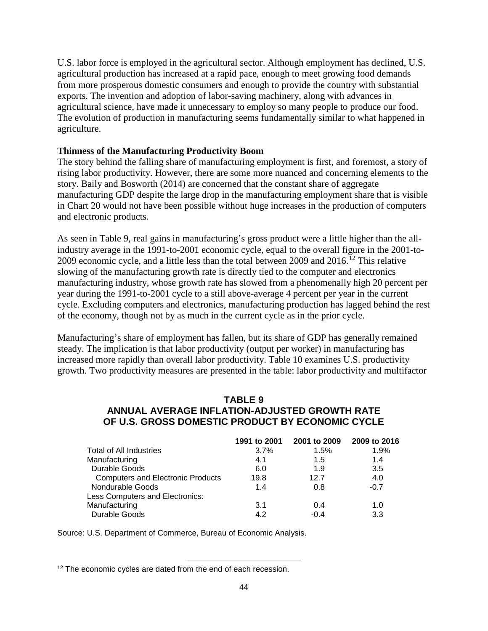U.S. labor force is employed in the agricultural sector. Although employment has declined, U.S. agricultural production has increased at a rapid pace, enough to meet growing food demands from more prosperous domestic consumers and enough to provide the country with substantial exports. The invention and adoption of labor-saving machinery, along with advances in agricultural science, have made it unnecessary to employ so many people to produce our food. The evolution of production in manufacturing seems fundamentally similar to what happened in agriculture.

### **Thinness of the Manufacturing Productivity Boom**

The story behind the falling share of manufacturing employment is first, and foremost, a story of rising labor productivity. However, there are some more nuanced and concerning elements to the story. Baily and Bosworth (2014) are concerned that the constant share of aggregate manufacturing GDP despite the large drop in the manufacturing employment share that is visible in Chart 20 would not have been possible without huge increases in the production of computers and electronic products.

As seen in Table 9, real gains in manufacturing's gross product were a little higher than the allindustry average in the 1991-to-2001 economic cycle, equal to the overall figure in the 2001-to-2009 economic cycle, and a little less than the total between 2009 and 2016. [12](#page-46-0) This relative slowing of the manufacturing growth rate is directly tied to the computer and electronics manufacturing industry, whose growth rate has slowed from a phenomenally high 20 percent per year during the 1991-to-2001 cycle to a still above-average 4 percent per year in the current cycle. Excluding computers and electronics, manufacturing production has lagged behind the rest of the economy, though not by as much in the current cycle as in the prior cycle.

Manufacturing's share of employment has fallen, but its share of GDP has generally remained steady. The implication is that labor productivity (output per worker) in manufacturing has increased more rapidly than overall labor productivity. Table 10 examines U.S. productivity growth. Two productivity measures are presented in the table: labor productivity and multifactor

## **TABLE 9 ANNUAL AVERAGE INFLATION-ADJUSTED GROWTH RATE OF U.S. GROSS DOMESTIC PRODUCT BY ECONOMIC CYCLE**

| 1991 to 2001 | 2001 to 2009 | 2009 to 2016 |
|--------------|--------------|--------------|
| 3.7%         | 1.5%         | 1.9%         |
| 4.1          | 1.5          | 1.4          |
| 6.0          | 1.9          | 3.5          |
| 19.8         | 12.7         | 4.0          |
| 1.4          | 0.8          | $-0.7$       |
|              |              |              |
| 3.1          | 0.4          | 1.0          |
| 4.2          | $-0.4$       | 3.3          |
|              |              |              |

Source: U.S. Department of Commerce, Bureau of Economic Analysis.

l

<span id="page-46-0"></span><sup>&</sup>lt;sup>12</sup> The economic cycles are dated from the end of each recession.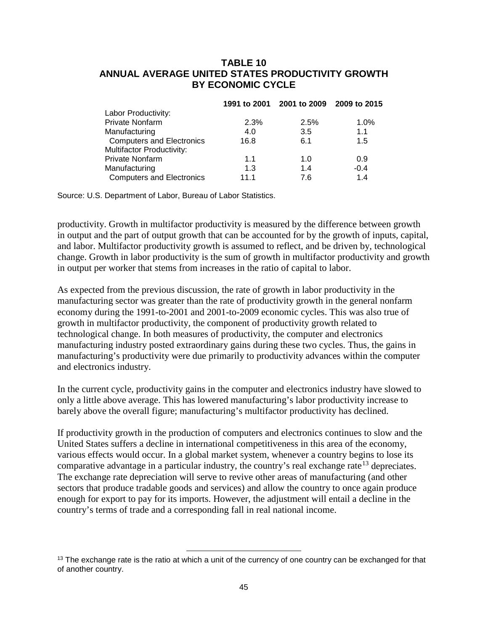## **TABLE 10 ANNUAL AVERAGE UNITED STATES PRODUCTIVITY GROWTH BY ECONOMIC CYCLE**

|                                  |      | 1991 to 2001 2001 to 2009 2009 to 2015 |        |
|----------------------------------|------|----------------------------------------|--------|
| Labor Productivity:              |      |                                        |        |
| <b>Private Nonfarm</b>           | 2.3% | 2.5%                                   | 1.0%   |
| Manufacturing                    | 4.0  | 3.5                                    | 1.1    |
| <b>Computers and Electronics</b> | 16.8 | 6.1                                    | 1.5    |
| <b>Multifactor Productivity:</b> |      |                                        |        |
| <b>Private Nonfarm</b>           | 1.1  | 1.0                                    | 0.9    |
| Manufacturing                    | 1.3  | 1.4                                    | $-0.4$ |
| <b>Computers and Electronics</b> | 11.1 | 7.6                                    | 1.4    |

Source: U.S. Department of Labor, Bureau of Labor Statistics.

productivity. Growth in multifactor productivity is measured by the difference between growth in output and the part of output growth that can be accounted for by the growth of inputs, capital, and labor. Multifactor productivity growth is assumed to reflect, and be driven by, technological change. Growth in labor productivity is the sum of growth in multifactor productivity and growth in output per worker that stems from increases in the ratio of capital to labor.

As expected from the previous discussion, the rate of growth in labor productivity in the manufacturing sector was greater than the rate of productivity growth in the general nonfarm economy during the 1991-to-2001 and 2001-to-2009 economic cycles. This was also true of growth in multifactor productivity, the component of productivity growth related to technological change. In both measures of productivity, the computer and electronics manufacturing industry posted extraordinary gains during these two cycles. Thus, the gains in manufacturing's productivity were due primarily to productivity advances within the computer and electronics industry.

In the current cycle, productivity gains in the computer and electronics industry have slowed to only a little above average. This has lowered manufacturing's labor productivity increase to barely above the overall figure; manufacturing's multifactor productivity has declined.

If productivity growth in the production of computers and electronics continues to slow and the United States suffers a decline in international competitiveness in this area of the economy, various effects would occur. In a global market system, whenever a country begins to lose its comparative advantage in a particular industry, the country's real exchange rate<sup>[13](#page-47-0)</sup> depreciates. The exchange rate depreciation will serve to revive other areas of manufacturing (and other sectors that produce tradable goods and services) and allow the country to once again produce enough for export to pay for its imports. However, the adjustment will entail a decline in the country's terms of trade and a corresponding fall in real national income.

l

<span id="page-47-0"></span><sup>&</sup>lt;sup>13</sup> The exchange rate is the ratio at which a unit of the currency of one country can be exchanged for that of another country.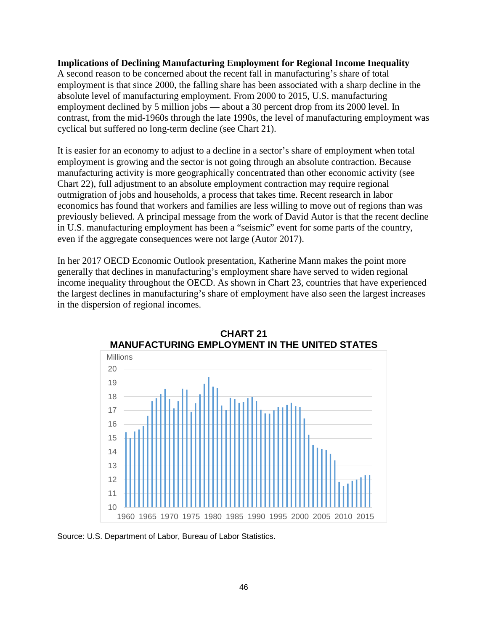#### **Implications of Declining Manufacturing Employment for Regional Income Inequality**

A second reason to be concerned about the recent fall in manufacturing's share of total employment is that since 2000, the falling share has been associated with a sharp decline in the absolute level of manufacturing employment. From 2000 to 2015, U.S. manufacturing employment declined by 5 million jobs — about a 30 percent drop from its 2000 level. In contrast, from the mid-1960s through the late 1990s, the level of manufacturing employment was cyclical but suffered no long-term decline (see Chart 21).

It is easier for an economy to adjust to a decline in a sector's share of employment when total employment is growing and the sector is not going through an absolute contraction. Because manufacturing activity is more geographically concentrated than other economic activity (see Chart 22), full adjustment to an absolute employment contraction may require regional outmigration of jobs and households, a process that takes time. Recent research in labor economics has found that workers and families are less willing to move out of regions than was previously believed. A principal message from the work of David Autor is that the recent decline in U.S. manufacturing employment has been a "seismic" event for some parts of the country, even if the aggregate consequences were not large (Autor 2017).

In her 2017 OECD Economic Outlook presentation, Katherine Mann makes the point more generally that declines in manufacturing's employment share have served to widen regional income inequality throughout the OECD. As shown in Chart 23, countries that have experienced the largest declines in manufacturing's share of employment have also seen the largest increases in the dispersion of regional incomes.



**CHART 21 MANUFACTURING EMPLOYMENT IN THE UNITED STATES**

Source: U.S. Department of Labor, Bureau of Labor Statistics.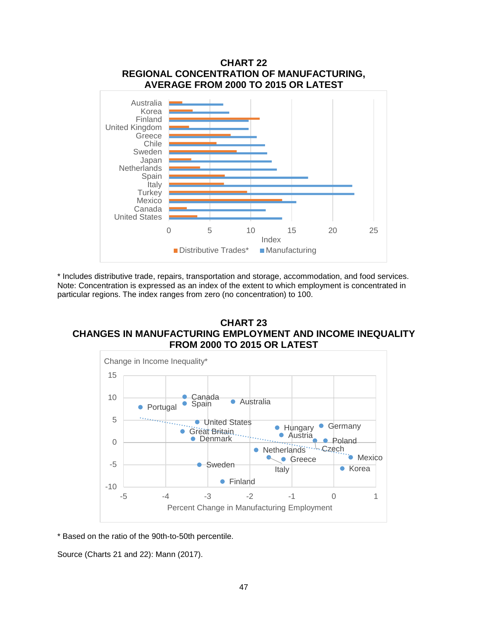

\* Includes distributive trade, repairs, transportation and storage, accommodation, and food services. Note: Concentration is expressed as an index of the extent to which employment is concentrated in particular regions. The index ranges from zero (no concentration) to 100.

#### **CHART 23 CHANGES IN MANUFACTURING EMPLOYMENT AND INCOME INEQUALITY FROM 2000 TO 2015 OR LATEST**



\* Based on the ratio of the 90th-to-50th percentile.

Source (Charts 21 and 22): Mann (2017).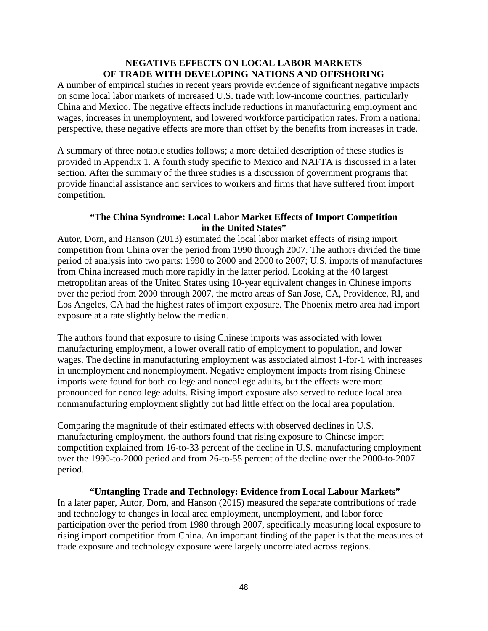### **NEGATIVE EFFECTS ON LOCAL LABOR MARKETS OF TRADE WITH DEVELOPING NATIONS AND OFFSHORING**

A number of empirical studies in recent years provide evidence of significant negative impacts on some local labor markets of increased U.S. trade with low-income countries, particularly China and Mexico. The negative effects include reductions in manufacturing employment and wages, increases in unemployment, and lowered workforce participation rates. From a national perspective, these negative effects are more than offset by the benefits from increases in trade.

A summary of three notable studies follows; a more detailed description of these studies is provided in Appendix 1. A fourth study specific to Mexico and NAFTA is discussed in a later section. After the summary of the three studies is a discussion of government programs that provide financial assistance and services to workers and firms that have suffered from import competition.

## **"The China Syndrome: Local Labor Market Effects of Import Competition in the United States"**

Autor, Dorn, and Hanson (2013) estimated the local labor market effects of rising import competition from China over the period from 1990 through 2007. The authors divided the time period of analysis into two parts: 1990 to 2000 and 2000 to 2007; U.S. imports of manufactures from China increased much more rapidly in the latter period. Looking at the 40 largest metropolitan areas of the United States using 10-year equivalent changes in Chinese imports over the period from 2000 through 2007, the metro areas of San Jose, CA, Providence, RI, and Los Angeles, CA had the highest rates of import exposure. The Phoenix metro area had import exposure at a rate slightly below the median.

The authors found that exposure to rising Chinese imports was associated with lower manufacturing employment, a lower overall ratio of employment to population, and lower wages. The decline in manufacturing employment was associated almost 1-for-1 with increases in unemployment and nonemployment. Negative employment impacts from rising Chinese imports were found for both college and noncollege adults, but the effects were more pronounced for noncollege adults. Rising import exposure also served to reduce local area nonmanufacturing employment slightly but had little effect on the local area population.

Comparing the magnitude of their estimated effects with observed declines in U.S. manufacturing employment, the authors found that rising exposure to Chinese import competition explained from 16-to-33 percent of the decline in U.S. manufacturing employment over the 1990-to-2000 period and from 26-to-55 percent of the decline over the 2000-to-2007 period.

**"Untangling Trade and Technology: Evidence from Local Labour Markets"** In a later paper, Autor, Dorn, and Hanson (2015) measured the separate contributions of trade and technology to changes in local area employment, unemployment, and labor force participation over the period from 1980 through 2007, specifically measuring local exposure to rising import competition from China. An important finding of the paper is that the measures of trade exposure and technology exposure were largely uncorrelated across regions.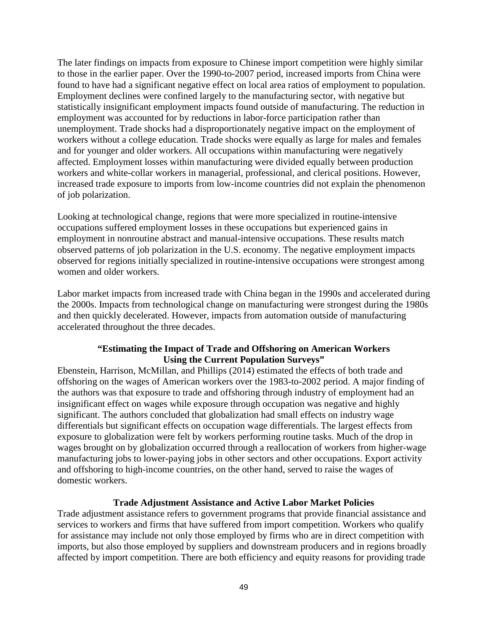The later findings on impacts from exposure to Chinese import competition were highly similar to those in the earlier paper. Over the 1990-to-2007 period, increased imports from China were found to have had a significant negative effect on local area ratios of employment to population. Employment declines were confined largely to the manufacturing sector, with negative but statistically insignificant employment impacts found outside of manufacturing. The reduction in employment was accounted for by reductions in labor-force participation rather than unemployment. Trade shocks had a disproportionately negative impact on the employment of workers without a college education. Trade shocks were equally as large for males and females and for younger and older workers. All occupations within manufacturing were negatively affected. Employment losses within manufacturing were divided equally between production workers and white-collar workers in managerial, professional, and clerical positions. However, increased trade exposure to imports from low-income countries did not explain the phenomenon of job polarization.

Looking at technological change, regions that were more specialized in routine-intensive occupations suffered employment losses in these occupations but experienced gains in employment in nonroutine abstract and manual-intensive occupations. These results match observed patterns of job polarization in the U.S. economy. The negative employment impacts observed for regions initially specialized in routine-intensive occupations were strongest among women and older workers.

Labor market impacts from increased trade with China began in the 1990s and accelerated during the 2000s. Impacts from technological change on manufacturing were strongest during the 1980s and then quickly decelerated. However, impacts from automation outside of manufacturing accelerated throughout the three decades.

## **"Estimating the Impact of Trade and Offshoring on American Workers Using the Current Population Surveys"**

Ebenstein, Harrison, McMillan, and Phillips (2014) estimated the effects of both trade and offshoring on the wages of American workers over the 1983-to-2002 period. A major finding of the authors was that exposure to trade and offshoring through industry of employment had an insignificant effect on wages while exposure through occupation was negative and highly significant. The authors concluded that globalization had small effects on industry wage differentials but significant effects on occupation wage differentials. The largest effects from exposure to globalization were felt by workers performing routine tasks. Much of the drop in wages brought on by globalization occurred through a reallocation of workers from higher-wage manufacturing jobs to lower-paying jobs in other sectors and other occupations. Export activity and offshoring to high-income countries, on the other hand, served to raise the wages of domestic workers.

### **Trade Adjustment Assistance and Active Labor Market Policies**

Trade adjustment assistance refers to government programs that provide financial assistance and services to workers and firms that have suffered from import competition. Workers who qualify for assistance may include not only those employed by firms who are in direct competition with imports, but also those employed by suppliers and downstream producers and in regions broadly affected by import competition. There are both efficiency and equity reasons for providing trade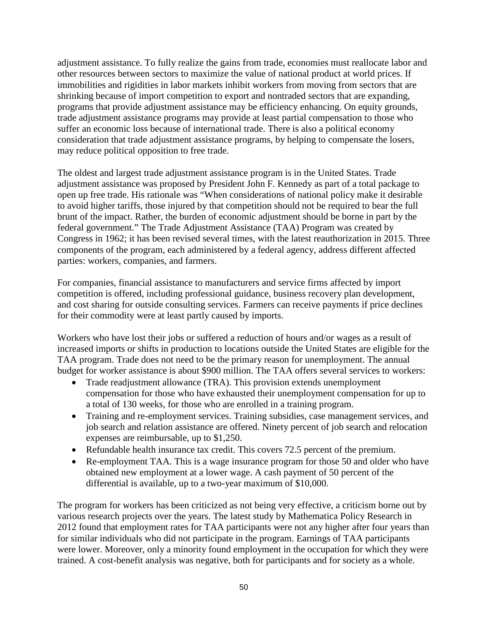adjustment assistance. To fully realize the gains from trade, economies must reallocate labor and other resources between sectors to maximize the value of national product at world prices. If immobilities and rigidities in labor markets inhibit workers from moving from sectors that are shrinking because of import competition to export and nontraded sectors that are expanding, programs that provide adjustment assistance may be efficiency enhancing. On equity grounds, trade adjustment assistance programs may provide at least partial compensation to those who suffer an economic loss because of international trade. There is also a political economy consideration that trade adjustment assistance programs, by helping to compensate the losers, may reduce political opposition to free trade.

The oldest and largest trade adjustment assistance program is in the United States. Trade adjustment assistance was proposed by President John F. Kennedy as part of a total package to open up free trade. His rationale was "When considerations of national policy make it desirable to avoid higher tariffs, those injured by that competition should not be required to bear the full brunt of the impact. Rather, the burden of economic adjustment should be borne in part by the federal government." The Trade Adjustment Assistance (TAA) Program was created by Congress in 1962; it has been revised several times, with the latest reauthorization in 2015. Three components of the program, each administered by a federal agency, address different affected parties: workers, companies, and farmers.

For companies, financial assistance to manufacturers and service firms affected by import competition is offered, including professional guidance, business recovery plan development, and cost sharing for outside consulting services. Farmers can receive payments if price declines for their commodity were at least partly caused by imports.

Workers who have lost their jobs or suffered a reduction of hours and/or wages as a result of increased imports or shifts in production to locations outside the United States are eligible for the TAA program. Trade does not need to be the primary reason for unemployment. The annual budget for worker assistance is about \$900 million. The TAA offers several services to workers:

- Trade readjustment allowance (TRA). This provision extends unemployment compensation for those who have exhausted their unemployment compensation for up to a total of 130 weeks, for those who are enrolled in a training program.
- Training and re-employment services. Training subsidies, case management services, and job search and relation assistance are offered. Ninety percent of job search and relocation expenses are reimbursable, up to \$1,250.
- Refundable health insurance tax credit. This covers 72.5 percent of the premium.
- Re-employment TAA. This is a wage insurance program for those 50 and older who have obtained new employment at a lower wage. A cash payment of 50 percent of the differential is available, up to a two-year maximum of \$10,000.

The program for workers has been criticized as not being very effective, a criticism borne out by various research projects over the years. The latest study by Mathematica Policy Research in 2012 found that employment rates for TAA participants were not any higher after four years than for similar individuals who did not participate in the program. Earnings of TAA participants were lower. Moreover, only a minority found employment in the occupation for which they were trained. A cost-benefit analysis was negative, both for participants and for society as a whole.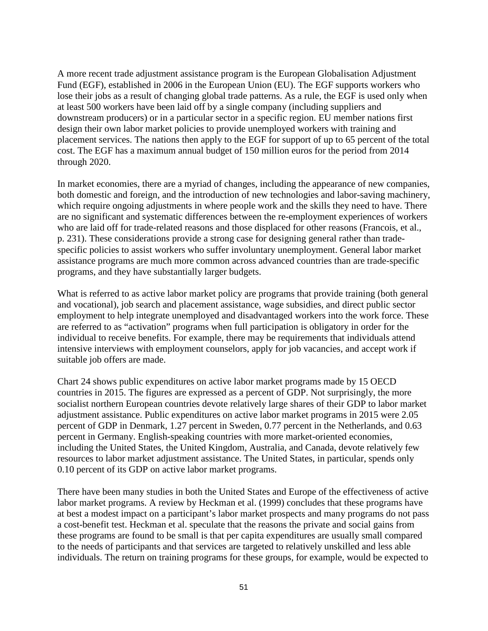A more recent trade adjustment assistance program is the European Globalisation Adjustment Fund (EGF), established in 2006 in the European Union (EU). The EGF supports workers who lose their jobs as a result of changing global trade patterns. As a rule, the EGF is used only when at least 500 workers have been laid off by a single company (including suppliers and downstream producers) or in a particular sector in a specific region. EU member nations first design their own labor market policies to provide unemployed workers with training and placement services. The nations then apply to the EGF for support of up to 65 percent of the total cost. The EGF has a maximum annual budget of 150 million euros for the period from 2014 through 2020.

In market economies, there are a myriad of changes, including the appearance of new companies, both domestic and foreign, and the introduction of new technologies and labor-saving machinery, which require ongoing adjustments in where people work and the skills they need to have. There are no significant and systematic differences between the re-employment experiences of workers who are laid off for trade-related reasons and those displaced for other reasons (Francois, et al., p. 231). These considerations provide a strong case for designing general rather than tradespecific policies to assist workers who suffer involuntary unemployment. General labor market assistance programs are much more common across advanced countries than are trade-specific programs, and they have substantially larger budgets.

What is referred to as active labor market policy are programs that provide training (both general and vocational), job search and placement assistance, wage subsidies, and direct public sector employment to help integrate unemployed and disadvantaged workers into the work force. These are referred to as "activation" programs when full participation is obligatory in order for the individual to receive benefits. For example, there may be requirements that individuals attend intensive interviews with employment counselors, apply for job vacancies, and accept work if suitable job offers are made.

Chart 24 shows public expenditures on active labor market programs made by 15 OECD countries in 2015. The figures are expressed as a percent of GDP. Not surprisingly, the more socialist northern European countries devote relatively large shares of their GDP to labor market adjustment assistance. Public expenditures on active labor market programs in 2015 were 2.05 percent of GDP in Denmark, 1.27 percent in Sweden, 0.77 percent in the Netherlands, and 0.63 percent in Germany. English-speaking countries with more market-oriented economies, including the United States, the United Kingdom, Australia, and Canada, devote relatively few resources to labor market adjustment assistance. The United States, in particular, spends only 0.10 percent of its GDP on active labor market programs.

There have been many studies in both the United States and Europe of the effectiveness of active labor market programs. A review by Heckman et al. (1999) concludes that these programs have at best a modest impact on a participant's labor market prospects and many programs do not pass a cost-benefit test. Heckman et al. speculate that the reasons the private and social gains from these programs are found to be small is that per capita expenditures are usually small compared to the needs of participants and that services are targeted to relatively unskilled and less able individuals. The return on training programs for these groups, for example, would be expected to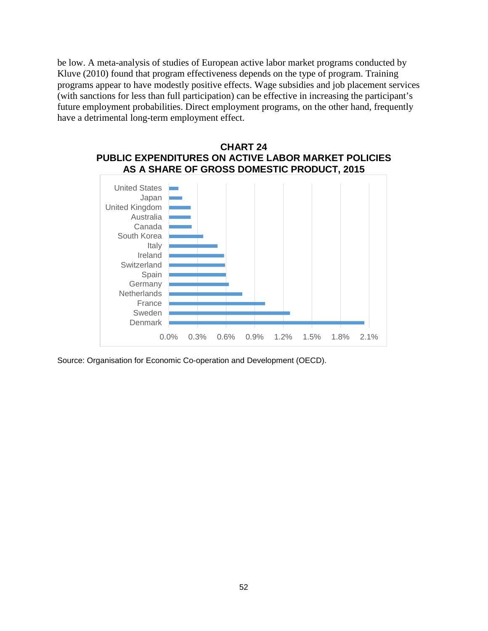be low. A meta-analysis of studies of European active labor market programs conducted by Kluve (2010) found that program effectiveness depends on the type of program. Training programs appear to have modestly positive effects. Wage subsidies and job placement services (with sanctions for less than full participation) can be effective in increasing the participant's future employment probabilities. Direct employment programs, on the other hand, frequently have a detrimental long-term employment effect.



Source: Organisation for Economic Co-operation and Development (OECD).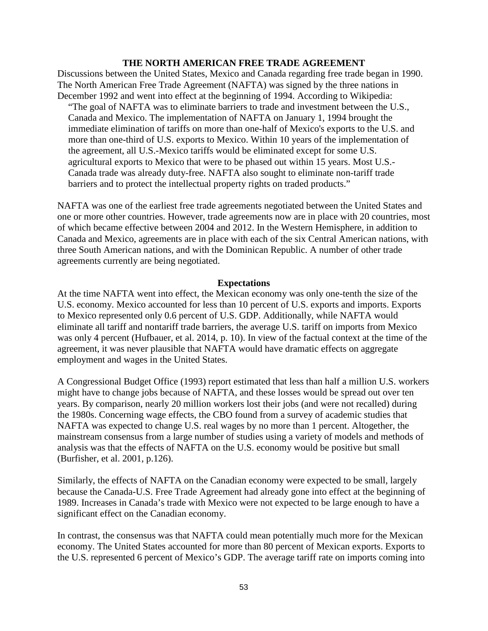### **THE NORTH AMERICAN FREE TRADE AGREEMENT**

Discussions between the United States, Mexico and Canada regarding free trade began in 1990. The North American Free Trade Agreement (NAFTA) was signed by the three nations in December 1992 and went into effect at the beginning of 1994. According to Wikipedia:

"The goal of NAFTA was to eliminate barriers to trade and investment between the U.S., Canada and Mexico. The implementation of NAFTA on January 1, 1994 brought the immediate elimination of tariffs on more than one-half of Mexico's exports to the U.S. and more than one-third of U.S. exports to Mexico. Within 10 years of the implementation of the agreement, all U.S.-Mexico tariffs would be eliminated except for some U.S. agricultural exports to Mexico that were to be phased out within 15 years. Most U.S.- Canada trade was already duty-free. NAFTA also sought to eliminate non-tariff trade barriers and to protect the intellectual property rights on traded products."

NAFTA was one of the earliest free trade agreements negotiated between the United States and one or more other countries. However, trade agreements now are in place with 20 countries, most of which became effective between 2004 and 2012. In the Western Hemisphere, in addition to Canada and Mexico, agreements are in place with each of the six Central American nations, with three South American nations, and with the Dominican Republic. A number of other trade agreements currently are being negotiated.

#### **Expectations**

At the time NAFTA went into effect, the Mexican economy was only one-tenth the size of the U.S. economy. Mexico accounted for less than 10 percent of U.S. exports and imports. Exports to Mexico represented only 0.6 percent of U.S. GDP. Additionally, while NAFTA would eliminate all tariff and nontariff trade barriers, the average U.S. tariff on imports from Mexico was only 4 percent (Hufbauer, et al. 2014, p. 10). In view of the factual context at the time of the agreement, it was never plausible that NAFTA would have dramatic effects on aggregate employment and wages in the United States.

A Congressional Budget Office (1993) report estimated that less than half a million U.S. workers might have to change jobs because of NAFTA, and these losses would be spread out over ten years. By comparison, nearly 20 million workers lost their jobs (and were not recalled) during the 1980s. Concerning wage effects, the CBO found from a survey of academic studies that NAFTA was expected to change U.S. real wages by no more than 1 percent. Altogether, the mainstream consensus from a large number of studies using a variety of models and methods of analysis was that the effects of NAFTA on the U.S. economy would be positive but small (Burfisher, et al. 2001, p.126).

Similarly, the effects of NAFTA on the Canadian economy were expected to be small, largely because the Canada-U.S. Free Trade Agreement had already gone into effect at the beginning of 1989. Increases in Canada's trade with Mexico were not expected to be large enough to have a significant effect on the Canadian economy.

In contrast, the consensus was that NAFTA could mean potentially much more for the Mexican economy. The United States accounted for more than 80 percent of Mexican exports. Exports to the U.S. represented 6 percent of Mexico's GDP. The average tariff rate on imports coming into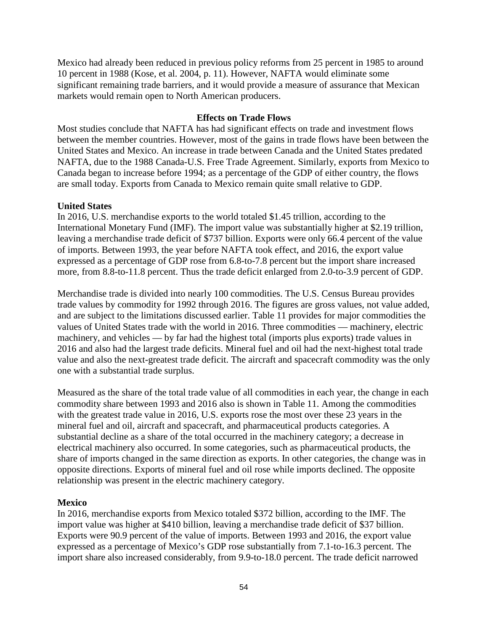Mexico had already been reduced in previous policy reforms from 25 percent in 1985 to around 10 percent in 1988 (Kose, et al. 2004, p. 11). However, NAFTA would eliminate some significant remaining trade barriers, and it would provide a measure of assurance that Mexican markets would remain open to North American producers.

## **Effects on Trade Flows**

Most studies conclude that NAFTA has had significant effects on trade and investment flows between the member countries. However, most of the gains in trade flows have been between the United States and Mexico. An increase in trade between Canada and the United States predated NAFTA, due to the 1988 Canada-U.S. Free Trade Agreement. Similarly, exports from Mexico to Canada began to increase before 1994; as a percentage of the GDP of either country, the flows are small today. Exports from Canada to Mexico remain quite small relative to GDP.

### **United States**

In 2016, U.S. merchandise exports to the world totaled \$1.45 trillion, according to the International Monetary Fund (IMF). The import value was substantially higher at \$2.19 trillion, leaving a merchandise trade deficit of \$737 billion. Exports were only 66.4 percent of the value of imports. Between 1993, the year before NAFTA took effect, and 2016, the export value expressed as a percentage of GDP rose from 6.8-to-7.8 percent but the import share increased more, from 8.8-to-11.8 percent. Thus the trade deficit enlarged from 2.0-to-3.9 percent of GDP.

Merchandise trade is divided into nearly 100 commodities. The U.S. Census Bureau provides trade values by commodity for 1992 through 2016. The figures are gross values, not value added, and are subject to the limitations discussed earlier. Table 11 provides for major commodities the values of United States trade with the world in 2016. Three commodities — machinery, electric machinery, and vehicles — by far had the highest total (imports plus exports) trade values in 2016 and also had the largest trade deficits. Mineral fuel and oil had the next-highest total trade value and also the next-greatest trade deficit. The aircraft and spacecraft commodity was the only one with a substantial trade surplus.

Measured as the share of the total trade value of all commodities in each year, the change in each commodity share between 1993 and 2016 also is shown in Table 11. Among the commodities with the greatest trade value in 2016, U.S. exports rose the most over these 23 years in the mineral fuel and oil, aircraft and spacecraft, and pharmaceutical products categories. A substantial decline as a share of the total occurred in the machinery category; a decrease in electrical machinery also occurred. In some categories, such as pharmaceutical products, the share of imports changed in the same direction as exports. In other categories, the change was in opposite directions. Exports of mineral fuel and oil rose while imports declined. The opposite relationship was present in the electric machinery category.

### **Mexico**

In 2016, merchandise exports from Mexico totaled \$372 billion, according to the IMF. The import value was higher at \$410 billion, leaving a merchandise trade deficit of \$37 billion. Exports were 90.9 percent of the value of imports. Between 1993 and 2016, the export value expressed as a percentage of Mexico's GDP rose substantially from 7.1-to-16.3 percent. The import share also increased considerably, from 9.9-to-18.0 percent. The trade deficit narrowed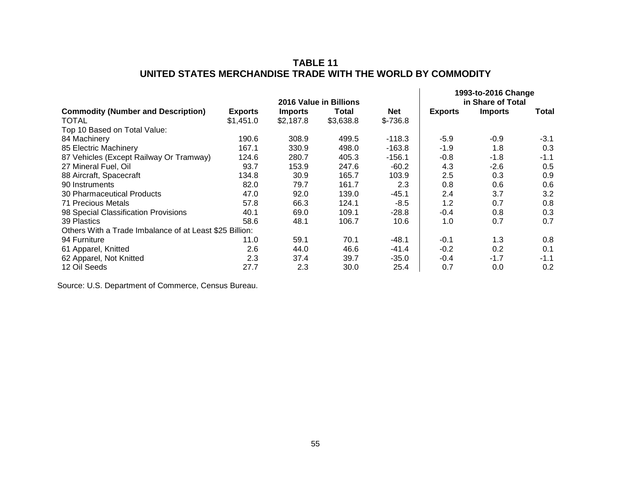# **TABLE 11 UNITED STATES MERCHANDISE TRADE WITH THE WORLD BY COMMODITY**

|                                                         | 2016 Value in Billions |                |           |            | 1993-to-2016 Change<br>in Share of Total |                |        |
|---------------------------------------------------------|------------------------|----------------|-----------|------------|------------------------------------------|----------------|--------|
| <b>Commodity (Number and Description)</b>               | <b>Exports</b>         | <b>Imports</b> | Total     | <b>Net</b> | <b>Exports</b>                           | <b>Imports</b> | Total  |
| TOTAL                                                   | \$1,451.0              | \$2,187.8      | \$3,638.8 | $$-736.8$  |                                          |                |        |
| Top 10 Based on Total Value:                            |                        |                |           |            |                                          |                |        |
| 84 Machinery                                            | 190.6                  | 308.9          | 499.5     | $-118.3$   | $-5.9$                                   | $-0.9$         | $-3.1$ |
| 85 Electric Machinery                                   | 167.1                  | 330.9          | 498.0     | $-163.8$   | $-1.9$                                   | 1.8            | 0.3    |
| 87 Vehicles (Except Railway Or Tramway)                 | 124.6                  | 280.7          | 405.3     | $-156.1$   | $-0.8$                                   | $-1.8$         | $-1.1$ |
| 27 Mineral Fuel, Oil                                    | 93.7                   | 153.9          | 247.6     | $-60.2$    | 4.3                                      | $-2.6$         | 0.5    |
| 88 Aircraft, Spacecraft                                 | 134.8                  | 30.9           | 165.7     | 103.9      | 2.5                                      | 0.3            | 0.9    |
| 90 Instruments                                          | 82.0                   | 79.7           | 161.7     | 2.3        | 0.8                                      | 0.6            | 0.6    |
| 30 Pharmaceutical Products                              | 47.0                   | 92.0           | 139.0     | $-45.1$    | 2.4                                      | 3.7            | 3.2    |
| 71 Precious Metals                                      | 57.8                   | 66.3           | 124.1     | $-8.5$     | 1.2                                      | 0.7            | 0.8    |
| 98 Special Classification Provisions                    | 40.1                   | 69.0           | 109.1     | $-28.8$    | $-0.4$                                   | 0.8            | 0.3    |
| 39 Plastics                                             | 58.6                   | 48.1           | 106.7     | 10.6       | 1.0                                      | 0.7            | 0.7    |
| Others With a Trade Imbalance of at Least \$25 Billion: |                        |                |           |            |                                          |                |        |
| 94 Furniture                                            | 11.0                   | 59.1           | 70.1      | $-48.1$    | $-0.1$                                   | 1.3            | 0.8    |
| 61 Apparel, Knitted                                     | 2.6                    | 44.0           | 46.6      | $-41.4$    | $-0.2$                                   | 0.2            | 0.1    |
| 62 Apparel, Not Knitted                                 | 2.3                    | 37.4           | 39.7      | $-35.0$    | $-0.4$                                   | $-1.7$         | $-1.1$ |
| 12 Oil Seeds                                            | 27.7                   | 2.3            | 30.0      | 25.4       | 0.7                                      | 0.0            | 0.2    |

Source: U.S. Department of Commerce, Census Bureau.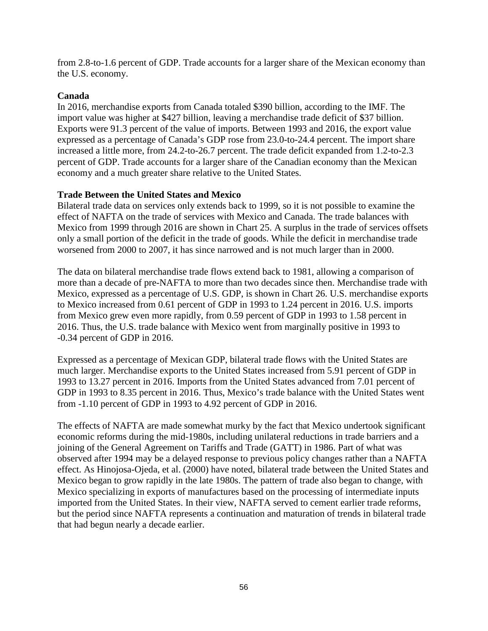from 2.8-to-1.6 percent of GDP. Trade accounts for a larger share of the Mexican economy than the U.S. economy.

## **Canada**

In 2016, merchandise exports from Canada totaled \$390 billion, according to the IMF. The import value was higher at \$427 billion, leaving a merchandise trade deficit of \$37 billion. Exports were 91.3 percent of the value of imports. Between 1993 and 2016, the export value expressed as a percentage of Canada's GDP rose from 23.0-to-24.4 percent. The import share increased a little more, from 24.2-to-26.7 percent. The trade deficit expanded from 1.2-to-2.3 percent of GDP. Trade accounts for a larger share of the Canadian economy than the Mexican economy and a much greater share relative to the United States.

## **Trade Between the United States and Mexico**

Bilateral trade data on services only extends back to 1999, so it is not possible to examine the effect of NAFTA on the trade of services with Mexico and Canada. The trade balances with Mexico from 1999 through 2016 are shown in Chart 25. A surplus in the trade of services offsets only a small portion of the deficit in the trade of goods. While the deficit in merchandise trade worsened from 2000 to 2007, it has since narrowed and is not much larger than in 2000.

The data on bilateral merchandise trade flows extend back to 1981, allowing a comparison of more than a decade of pre-NAFTA to more than two decades since then. Merchandise trade with Mexico, expressed as a percentage of U.S. GDP, is shown in Chart 26. U.S. merchandise exports to Mexico increased from 0.61 percent of GDP in 1993 to 1.24 percent in 2016. U.S. imports from Mexico grew even more rapidly, from 0.59 percent of GDP in 1993 to 1.58 percent in 2016. Thus, the U.S. trade balance with Mexico went from marginally positive in 1993 to -0.34 percent of GDP in 2016.

Expressed as a percentage of Mexican GDP, bilateral trade flows with the United States are much larger. Merchandise exports to the United States increased from 5.91 percent of GDP in 1993 to 13.27 percent in 2016. Imports from the United States advanced from 7.01 percent of GDP in 1993 to 8.35 percent in 2016. Thus, Mexico's trade balance with the United States went from -1.10 percent of GDP in 1993 to 4.92 percent of GDP in 2016.

The effects of NAFTA are made somewhat murky by the fact that Mexico undertook significant economic reforms during the mid-1980s, including unilateral reductions in trade barriers and a joining of the General Agreement on Tariffs and Trade (GATT) in 1986. Part of what was observed after 1994 may be a delayed response to previous policy changes rather than a NAFTA effect. As Hinojosa-Ojeda, et al. (2000) have noted, bilateral trade between the United States and Mexico began to grow rapidly in the late 1980s. The pattern of trade also began to change, with Mexico specializing in exports of manufactures based on the processing of intermediate inputs imported from the United States. In their view, NAFTA served to cement earlier trade reforms, but the period since NAFTA represents a continuation and maturation of trends in bilateral trade that had begun nearly a decade earlier.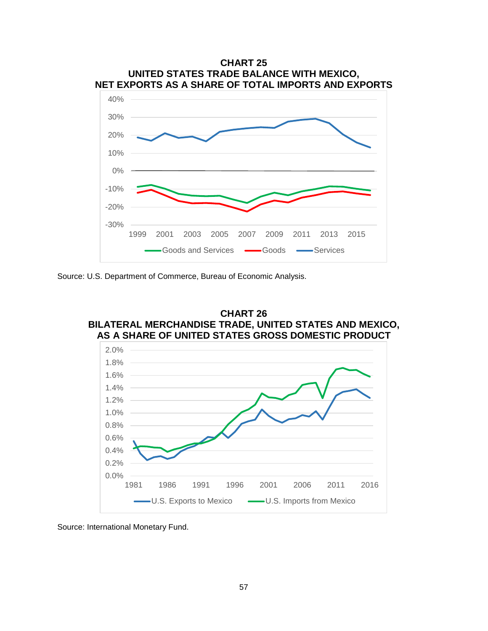

Source: U.S. Department of Commerce, Bureau of Economic Analysis.



Source: International Monetary Fund.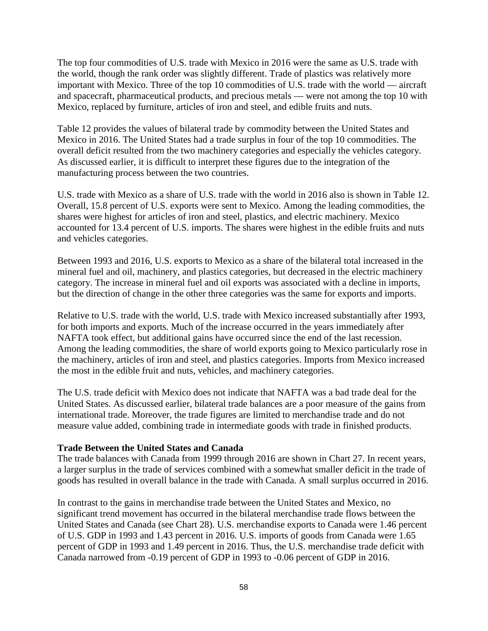The top four commodities of U.S. trade with Mexico in 2016 were the same as U.S. trade with the world, though the rank order was slightly different. Trade of plastics was relatively more important with Mexico. Three of the top 10 commodities of U.S. trade with the world — aircraft and spacecraft, pharmaceutical products, and precious metals — were not among the top 10 with Mexico, replaced by furniture, articles of iron and steel, and edible fruits and nuts.

Table 12 provides the values of bilateral trade by commodity between the United States and Mexico in 2016. The United States had a trade surplus in four of the top 10 commodities. The overall deficit resulted from the two machinery categories and especially the vehicles category. As discussed earlier, it is difficult to interpret these figures due to the integration of the manufacturing process between the two countries.

U.S. trade with Mexico as a share of U.S. trade with the world in 2016 also is shown in Table 12. Overall, 15.8 percent of U.S. exports were sent to Mexico. Among the leading commodities, the shares were highest for articles of iron and steel, plastics, and electric machinery. Mexico accounted for 13.4 percent of U.S. imports. The shares were highest in the edible fruits and nuts and vehicles categories.

Between 1993 and 2016, U.S. exports to Mexico as a share of the bilateral total increased in the mineral fuel and oil, machinery, and plastics categories, but decreased in the electric machinery category. The increase in mineral fuel and oil exports was associated with a decline in imports, but the direction of change in the other three categories was the same for exports and imports.

Relative to U.S. trade with the world, U.S. trade with Mexico increased substantially after 1993, for both imports and exports. Much of the increase occurred in the years immediately after NAFTA took effect, but additional gains have occurred since the end of the last recession. Among the leading commodities, the share of world exports going to Mexico particularly rose in the machinery, articles of iron and steel, and plastics categories. Imports from Mexico increased the most in the edible fruit and nuts, vehicles, and machinery categories.

The U.S. trade deficit with Mexico does not indicate that NAFTA was a bad trade deal for the United States. As discussed earlier, bilateral trade balances are a poor measure of the gains from international trade. Moreover, the trade figures are limited to merchandise trade and do not measure value added, combining trade in intermediate goods with trade in finished products.

### **Trade Between the United States and Canada**

The trade balances with Canada from 1999 through 2016 are shown in Chart 27. In recent years, a larger surplus in the trade of services combined with a somewhat smaller deficit in the trade of goods has resulted in overall balance in the trade with Canada. A small surplus occurred in 2016.

In contrast to the gains in merchandise trade between the United States and Mexico, no significant trend movement has occurred in the bilateral merchandise trade flows between the United States and Canada (see Chart 28). U.S. merchandise exports to Canada were 1.46 percent of U.S. GDP in 1993 and 1.43 percent in 2016. U.S. imports of goods from Canada were 1.65 percent of GDP in 1993 and 1.49 percent in 2016. Thus, the U.S. merchandise trade deficit with Canada narrowed from -0.19 percent of GDP in 1993 to -0.06 percent of GDP in 2016.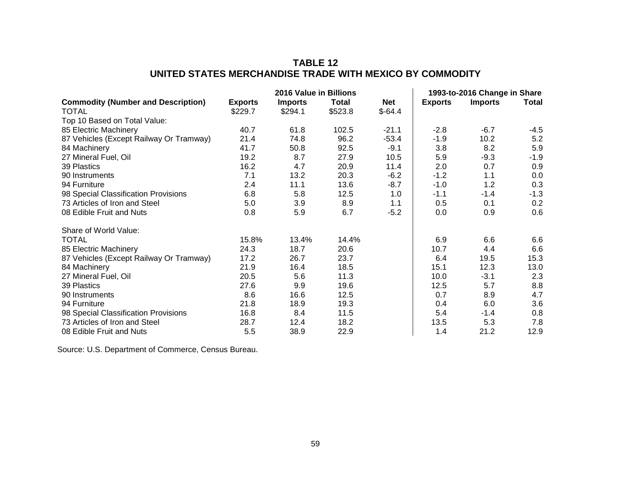# **TABLE 12 UNITED STATES MERCHANDISE TRADE WITH MEXICO BY COMMODITY**

|                                           | 2016 Value in Billions |                |         |            | 1993-to-2016 Change in Share |                |        |
|-------------------------------------------|------------------------|----------------|---------|------------|------------------------------|----------------|--------|
| <b>Commodity (Number and Description)</b> | <b>Exports</b>         | <b>Imports</b> | Total   | <b>Net</b> | <b>Exports</b>               | <b>Imports</b> | Total  |
| <b>TOTAL</b>                              | \$229.7                | \$294.1        | \$523.8 | $$-64.4$   |                              |                |        |
| Top 10 Based on Total Value:              |                        |                |         |            |                              |                |        |
| 85 Electric Machinery                     | 40.7                   | 61.8           | 102.5   | $-21.1$    | $-2.8$                       | $-6.7$         | $-4.5$ |
| 87 Vehicles (Except Railway Or Tramway)   | 21.4                   | 74.8           | 96.2    | $-53.4$    | $-1.9$                       | 10.2           | 5.2    |
| 84 Machinery                              | 41.7                   | 50.8           | 92.5    | $-9.1$     | 3.8                          | 8.2            | 5.9    |
| 27 Mineral Fuel, Oil                      | 19.2                   | 8.7            | 27.9    | 10.5       | 5.9                          | $-9.3$         | $-1.9$ |
| 39 Plastics                               | 16.2                   | 4.7            | 20.9    | 11.4       | 2.0                          | 0.7            | 0.9    |
| 90 Instruments                            | 7.1                    | 13.2           | 20.3    | $-6.2$     | $-1.2$                       | 1.1            | 0.0    |
| 94 Furniture                              | 2.4                    | 11.1           | 13.6    | $-8.7$     | $-1.0$                       | 1.2            | 0.3    |
| 98 Special Classification Provisions      | 6.8                    | 5.8            | 12.5    | 1.0        | $-1.1$                       | $-1.4$         | $-1.3$ |
| 73 Articles of Iron and Steel             | 5.0                    | 3.9            | 8.9     | 1.1        | 0.5                          | 0.1            | 0.2    |
| 08 Edible Fruit and Nuts                  | 0.8                    | 5.9            | 6.7     | $-5.2$     | 0.0                          | 0.9            | 0.6    |
| Share of World Value:                     |                        |                |         |            |                              |                |        |
| <b>TOTAL</b>                              | 15.8%                  | 13.4%          | 14.4%   |            | 6.9                          | 6.6            | 6.6    |
| 85 Electric Machinery                     | 24.3                   | 18.7           | 20.6    |            | 10.7                         | 4.4            | 6.6    |
| 87 Vehicles (Except Railway Or Tramway)   | 17.2                   | 26.7           | 23.7    |            | 6.4                          | 19.5           | 15.3   |
| 84 Machinery                              | 21.9                   | 16.4           | 18.5    |            | 15.1                         | 12.3           | 13.0   |
| 27 Mineral Fuel, Oil                      | 20.5                   | 5.6            | 11.3    |            | 10.0                         | $-3.1$         | 2.3    |
| 39 Plastics                               | 27.6                   | 9.9            | 19.6    |            | 12.5                         | 5.7            | 8.8    |
| 90 Instruments                            | 8.6                    | 16.6           | 12.5    |            | 0.7                          | 8.9            | 4.7    |
| 94 Furniture                              | 21.8                   | 18.9           | 19.3    |            | 0.4                          | 6.0            | 3.6    |
| 98 Special Classification Provisions      | 16.8                   | 8.4            | 11.5    |            | 5.4                          | $-1.4$         | 0.8    |
| 73 Articles of Iron and Steel             | 28.7                   | 12.4           | 18.2    |            | 13.5                         | 5.3            | 7.8    |
| 08 Edible Fruit and Nuts                  | 5.5                    | 38.9           | 22.9    |            | 1.4                          | 21.2           | 12.9   |

Source: U.S. Department of Commerce, Census Bureau.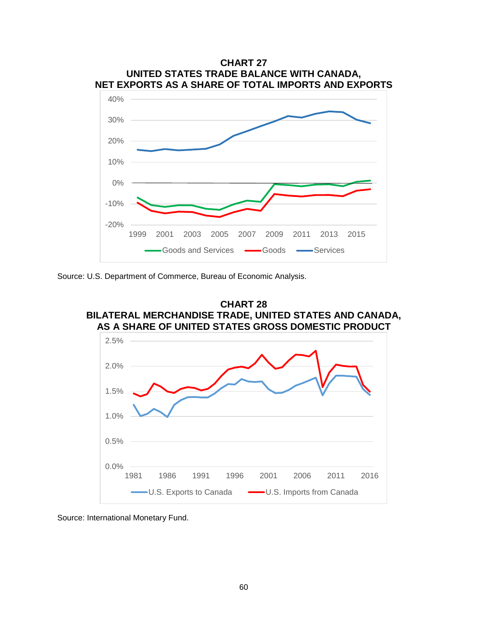

Source: U.S. Department of Commerce, Bureau of Economic Analysis.



Source: International Monetary Fund.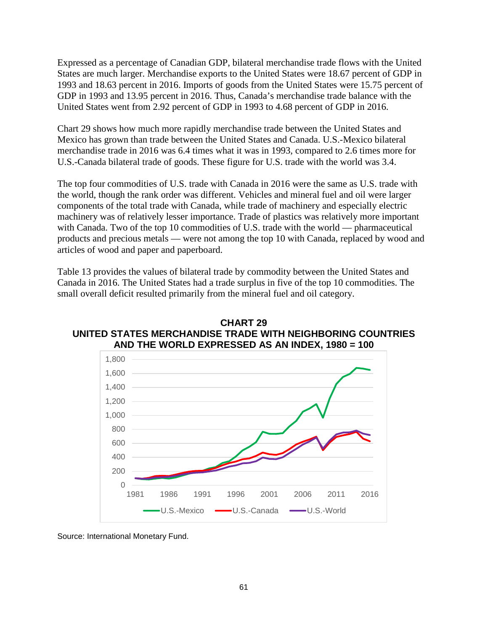Expressed as a percentage of Canadian GDP, bilateral merchandise trade flows with the United States are much larger. Merchandise exports to the United States were 18.67 percent of GDP in 1993 and 18.63 percent in 2016. Imports of goods from the United States were 15.75 percent of GDP in 1993 and 13.95 percent in 2016. Thus, Canada's merchandise trade balance with the United States went from 2.92 percent of GDP in 1993 to 4.68 percent of GDP in 2016.

Chart 29 shows how much more rapidly merchandise trade between the United States and Mexico has grown than trade between the United States and Canada. U.S.-Mexico bilateral merchandise trade in 2016 was 6.4 times what it was in 1993, compared to 2.6 times more for U.S.-Canada bilateral trade of goods. These figure for U.S. trade with the world was 3.4.

The top four commodities of U.S. trade with Canada in 2016 were the same as U.S. trade with the world, though the rank order was different. Vehicles and mineral fuel and oil were larger components of the total trade with Canada, while trade of machinery and especially electric machinery was of relatively lesser importance. Trade of plastics was relatively more important with Canada. Two of the top 10 commodities of U.S. trade with the world — pharmaceutical products and precious metals — were not among the top 10 with Canada, replaced by wood and articles of wood and paper and paperboard.

Table 13 provides the values of bilateral trade by commodity between the United States and Canada in 2016. The United States had a trade surplus in five of the top 10 commodities. The small overall deficit resulted primarily from the mineral fuel and oil category.



**CHART 29 UNITED STATES MERCHANDISE TRADE WITH NEIGHBORING COUNTRIES**

Source: International Monetary Fund.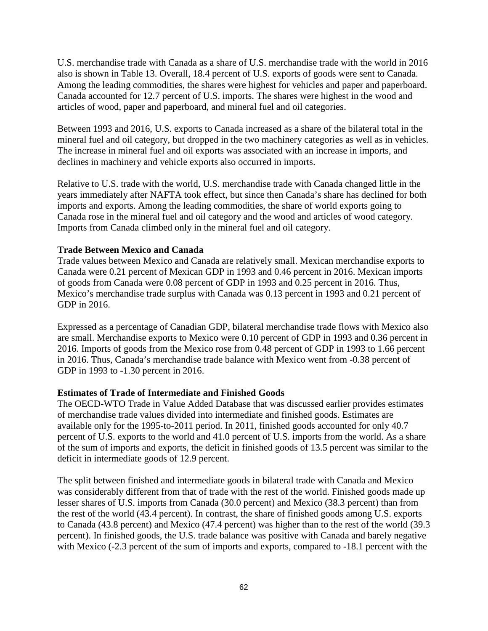U.S. merchandise trade with Canada as a share of U.S. merchandise trade with the world in 2016 also is shown in Table 13. Overall, 18.4 percent of U.S. exports of goods were sent to Canada. Among the leading commodities, the shares were highest for vehicles and paper and paperboard. Canada accounted for 12.7 percent of U.S. imports. The shares were highest in the wood and articles of wood, paper and paperboard, and mineral fuel and oil categories.

Between 1993 and 2016, U.S. exports to Canada increased as a share of the bilateral total in the mineral fuel and oil category, but dropped in the two machinery categories as well as in vehicles. The increase in mineral fuel and oil exports was associated with an increase in imports, and declines in machinery and vehicle exports also occurred in imports.

Relative to U.S. trade with the world, U.S. merchandise trade with Canada changed little in the years immediately after NAFTA took effect, but since then Canada's share has declined for both imports and exports. Among the leading commodities, the share of world exports going to Canada rose in the mineral fuel and oil category and the wood and articles of wood category. Imports from Canada climbed only in the mineral fuel and oil category.

## **Trade Between Mexico and Canada**

Trade values between Mexico and Canada are relatively small. Mexican merchandise exports to Canada were 0.21 percent of Mexican GDP in 1993 and 0.46 percent in 2016. Mexican imports of goods from Canada were 0.08 percent of GDP in 1993 and 0.25 percent in 2016. Thus, Mexico's merchandise trade surplus with Canada was 0.13 percent in 1993 and 0.21 percent of GDP in 2016.

Expressed as a percentage of Canadian GDP, bilateral merchandise trade flows with Mexico also are small. Merchandise exports to Mexico were 0.10 percent of GDP in 1993 and 0.36 percent in 2016. Imports of goods from the Mexico rose from 0.48 percent of GDP in 1993 to 1.66 percent in 2016. Thus, Canada's merchandise trade balance with Mexico went from -0.38 percent of GDP in 1993 to -1.30 percent in 2016.

### **Estimates of Trade of Intermediate and Finished Goods**

The OECD-WTO Trade in Value Added Database that was discussed earlier provides estimates of merchandise trade values divided into intermediate and finished goods. Estimates are available only for the 1995-to-2011 period. In 2011, finished goods accounted for only 40.7 percent of U.S. exports to the world and 41.0 percent of U.S. imports from the world. As a share of the sum of imports and exports, the deficit in finished goods of 13.5 percent was similar to the deficit in intermediate goods of 12.9 percent.

The split between finished and intermediate goods in bilateral trade with Canada and Mexico was considerably different from that of trade with the rest of the world. Finished goods made up lesser shares of U.S. imports from Canada (30.0 percent) and Mexico (38.3 percent) than from the rest of the world (43.4 percent). In contrast, the share of finished goods among U.S. exports to Canada (43.8 percent) and Mexico (47.4 percent) was higher than to the rest of the world (39.3 percent). In finished goods, the U.S. trade balance was positive with Canada and barely negative with Mexico (-2.3 percent of the sum of imports and exports, compared to -18.1 percent with the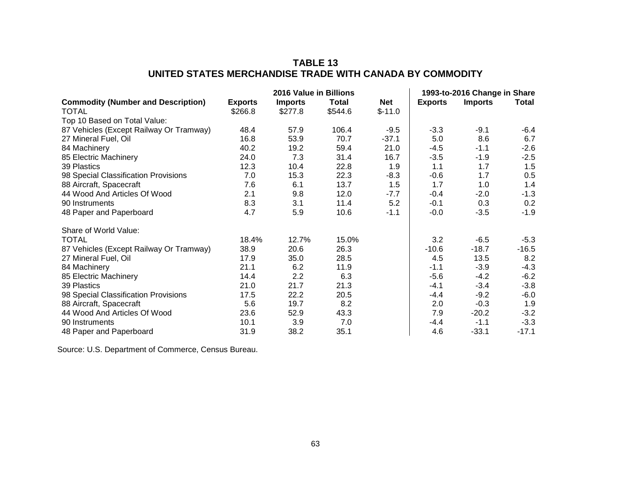# **TABLE 13 UNITED STATES MERCHANDISE TRADE WITH CANADA BY COMMODITY**

|                                           | 2016 Value in Billions |                |              | 1993-to-2016 Change in Share |                |                |         |
|-------------------------------------------|------------------------|----------------|--------------|------------------------------|----------------|----------------|---------|
| <b>Commodity (Number and Description)</b> | <b>Exports</b>         | <b>Imports</b> | <b>Total</b> | <b>Net</b>                   | <b>Exports</b> | <b>Imports</b> | Total   |
| <b>TOTAL</b>                              | \$266.8                | \$277.8        | \$544.6      | $$-11.0$                     |                |                |         |
| Top 10 Based on Total Value:              |                        |                |              |                              |                |                |         |
| 87 Vehicles (Except Railway Or Tramway)   | 48.4                   | 57.9           | 106.4        | $-9.5$                       | $-3.3$         | $-9.1$         | -6.4    |
| 27 Mineral Fuel, Oil                      | 16.8                   | 53.9           | 70.7         | $-37.1$                      | 5.0            | 8.6            | 6.7     |
| 84 Machinery                              | 40.2                   | 19.2           | 59.4         | 21.0                         | -4.5           | $-1.1$         | $-2.6$  |
| 85 Electric Machinery                     | 24.0                   | 7.3            | 31.4         | 16.7                         | $-3.5$         | $-1.9$         | $-2.5$  |
| 39 Plastics                               | 12.3                   | 10.4           | 22.8         | 1.9                          | 1.1            | 1.7            | 1.5     |
| 98 Special Classification Provisions      | 7.0                    | 15.3           | 22.3         | $-8.3$                       | $-0.6$         | 1.7            | 0.5     |
| 88 Aircraft, Spacecraft                   | 7.6                    | 6.1            | 13.7         | 1.5                          | 1.7            | 1.0            | 1.4     |
| 44 Wood And Articles Of Wood              | 2.1                    | 9.8            | 12.0         | $-7.7$                       | $-0.4$         | $-2.0$         | $-1.3$  |
| 90 Instruments                            | 8.3                    | 3.1            | 11.4         | 5.2                          | $-0.1$         | 0.3            | 0.2     |
| 48 Paper and Paperboard                   | 4.7                    | 5.9            | 10.6         | $-1.1$                       | $-0.0$         | $-3.5$         | $-1.9$  |
| Share of World Value:                     |                        |                |              |                              |                |                |         |
| <b>TOTAL</b>                              | 18.4%                  | 12.7%          | 15.0%        |                              | 3.2            | $-6.5$         | $-5.3$  |
| 87 Vehicles (Except Railway Or Tramway)   | 38.9                   | 20.6           | 26.3         |                              | $-10.6$        | $-18.7$        | $-16.5$ |
| 27 Mineral Fuel, Oil                      | 17.9                   | 35.0           | 28.5         |                              | 4.5            | 13.5           | 8.2     |
| 84 Machinery                              | 21.1                   | 6.2            | 11.9         |                              | $-1.1$         | $-3.9$         | $-4.3$  |
| 85 Electric Machinery                     | 14.4                   | 2.2            | 6.3          |                              | -5.6           | $-4.2$         | $-6.2$  |
| 39 Plastics                               | 21.0                   | 21.7           | 21.3         |                              | $-4.1$         | $-3.4$         | $-3.8$  |
| 98 Special Classification Provisions      | 17.5                   | 22.2           | 20.5         |                              | $-4.4$         | $-9.2$         | $-6.0$  |
| 88 Aircraft, Spacecraft                   | 5.6                    | 19.7           | 8.2          |                              | 2.0            | $-0.3$         | 1.9     |
| 44 Wood And Articles Of Wood              | 23.6                   | 52.9           | 43.3         |                              | 7.9            | $-20.2$        | $-3.2$  |
| 90 Instruments                            | 10.1                   | 3.9            | 7.0          |                              | -4.4           | $-1.1$         | $-3.3$  |
| 48 Paper and Paperboard                   | 31.9                   | 38.2           | 35.1         |                              | 4.6            | $-33.1$        | $-17.1$ |

Source: U.S. Department of Commerce, Census Bureau.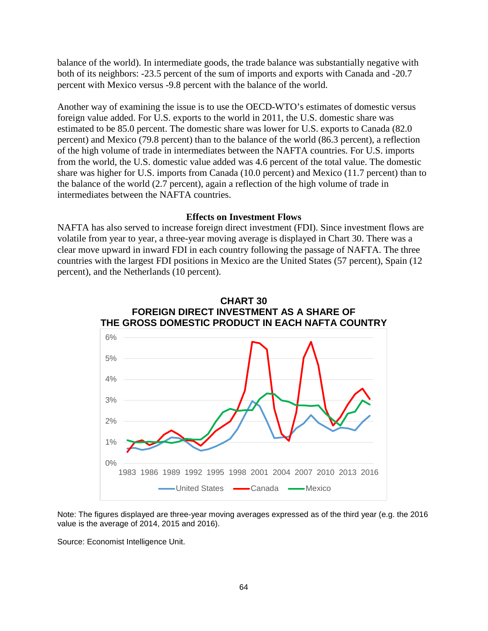balance of the world). In intermediate goods, the trade balance was substantially negative with both of its neighbors: -23.5 percent of the sum of imports and exports with Canada and -20.7 percent with Mexico versus -9.8 percent with the balance of the world.

Another way of examining the issue is to use the OECD-WTO's estimates of domestic versus foreign value added. For U.S. exports to the world in 2011, the U.S. domestic share was estimated to be 85.0 percent. The domestic share was lower for U.S. exports to Canada (82.0 percent) and Mexico (79.8 percent) than to the balance of the world (86.3 percent), a reflection of the high volume of trade in intermediates between the NAFTA countries. For U.S. imports from the world, the U.S. domestic value added was 4.6 percent of the total value. The domestic share was higher for U.S. imports from Canada (10.0 percent) and Mexico (11.7 percent) than to the balance of the world (2.7 percent), again a reflection of the high volume of trade in intermediates between the NAFTA countries.

### **Effects on Investment Flows**

NAFTA has also served to increase foreign direct investment (FDI). Since investment flows are volatile from year to year, a three-year moving average is displayed in Chart 30. There was a clear move upward in inward FDI in each country following the passage of NAFTA. The three countries with the largest FDI positions in Mexico are the United States (57 percent), Spain (12 percent), and the Netherlands (10 percent).



Note: The figures displayed are three-year moving averages expressed as of the third year (e.g. the 2016 value is the average of 2014, 2015 and 2016).

Source: Economist Intelligence Unit.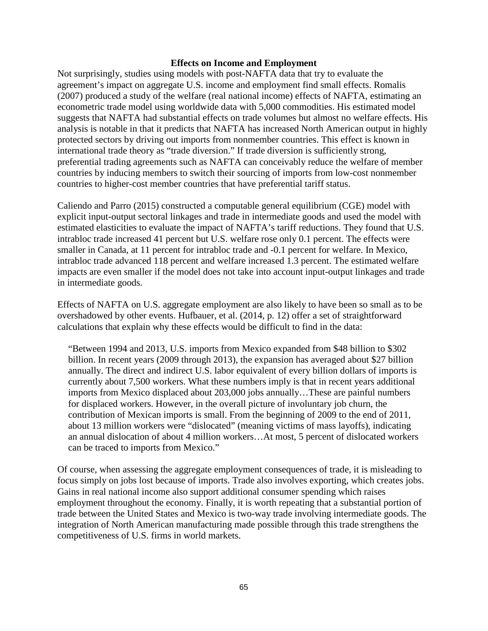#### **Effects on Income and Employment**

Not surprisingly, studies using models with post-NAFTA data that try to evaluate the agreement's impact on aggregate U.S. income and employment find small effects. Romalis (2007) produced a study of the welfare (real national income) effects of NAFTA, estimating an econometric trade model using worldwide data with 5,000 commodities. His estimated model suggests that NAFTA had substantial effects on trade volumes but almost no welfare effects. His analysis is notable in that it predicts that NAFTA has increased North American output in highly protected sectors by driving out imports from nonmember countries. This effect is known in international trade theory as "trade diversion." If trade diversion is sufficiently strong, preferential trading agreements such as NAFTA can conceivably reduce the welfare of member countries by inducing members to switch their sourcing of imports from low-cost nonmember countries to higher-cost member countries that have preferential tariff status.

Caliendo and Parro (2015) constructed a computable general equilibrium (CGE) model with explicit input-output sectoral linkages and trade in intermediate goods and used the model with estimated elasticities to evaluate the impact of NAFTA's tariff reductions. They found that U.S. intrabloc trade increased 41 percent but U.S. welfare rose only 0.1 percent. The effects were smaller in Canada, at 11 percent for intrabloc trade and -0.1 percent for welfare. In Mexico, intrabloc trade advanced 118 percent and welfare increased 1.3 percent. The estimated welfare impacts are even smaller if the model does not take into account input-output linkages and trade in intermediate goods.

Effects of NAFTA on U.S. aggregate employment are also likely to have been so small as to be overshadowed by other events. Hufbauer, et al. (2014, p. 12) offer a set of straightforward calculations that explain why these effects would be difficult to find in the data:

"Between 1994 and 2013, U.S. imports from Mexico expanded from \$48 billion to \$302 billion. In recent years (2009 through 2013), the expansion has averaged about \$27 billion annually. The direct and indirect U.S. labor equivalent of every billion dollars of imports is currently about 7,500 workers. What these numbers imply is that in recent years additional imports from Mexico displaced about 203,000 jobs annually…These are painful numbers for displaced workers. However, in the overall picture of involuntary job churn, the contribution of Mexican imports is small. From the beginning of 2009 to the end of 2011, about 13 million workers were "dislocated" (meaning victims of mass layoffs), indicating an annual dislocation of about 4 million workers…At most, 5 percent of dislocated workers can be traced to imports from Mexico."

Of course, when assessing the aggregate employment consequences of trade, it is misleading to focus simply on jobs lost because of imports. Trade also involves exporting, which creates jobs. Gains in real national income also support additional consumer spending which raises employment throughout the economy. Finally, it is worth repeating that a substantial portion of trade between the United States and Mexico is two-way trade involving intermediate goods. The integration of North American manufacturing made possible through this trade strengthens the competitiveness of U.S. firms in world markets.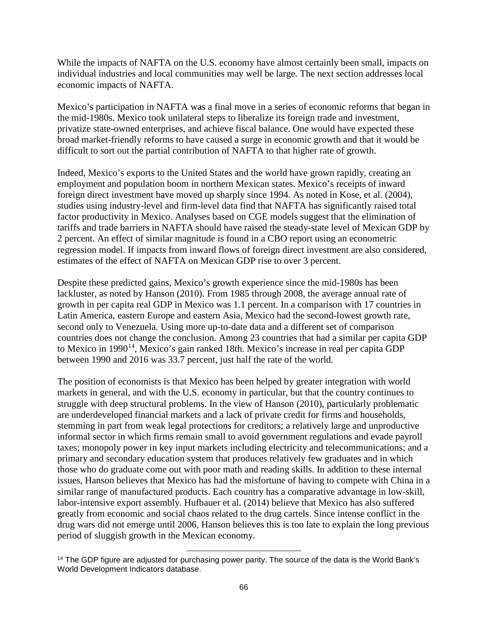While the impacts of NAFTA on the U.S. economy have almost certainly been small, impacts on individual industries and local communities may well be large. The next section addresses local economic impacts of NAFTA.

Mexico's participation in NAFTA was a final move in a series of economic reforms that began in the mid-1980s. Mexico took unilateral steps to liberalize its foreign trade and investment, privatize state-owned enterprises, and achieve fiscal balance. One would have expected these broad market-friendly reforms to have caused a surge in economic growth and that it would be difficult to sort out the partial contribution of NAFTA to that higher rate of growth.

Indeed, Mexico's exports to the United States and the world have grown rapidly, creating an employment and population boom in northern Mexican states. Mexico's receipts of inward foreign direct investment have moved up sharply since 1994. As noted in Kose, et al. (2004), studies using industry-level and firm-level data find that NAFTA has significantly raised total factor productivity in Mexico. Analyses based on CGE models suggest that the elimination of tariffs and trade barriers in NAFTA should have raised the steady-state level of Mexican GDP by 2 percent. An effect of similar magnitude is found in a CBO report using an econometric regression model. If impacts from inward flows of foreign direct investment are also considered, estimates of the effect of NAFTA on Mexican GDP rise to over 3 percent.

Despite these predicted gains, Mexico's growth experience since the mid-1980s has been lackluster, as noted by Hanson (2010). From 1985 through 2008, the average annual rate of growth in per capita real GDP in Mexico was 1.1 percent. In a comparison with 17 countries in Latin America, eastern Europe and eastern Asia, Mexico had the second-lowest growth rate, second only to Venezuela. Using more up-to-date data and a different set of comparison countries does not change the conclusion. Among 23 countries that had a similar per capita GDP to Mexico in 1990<sup>14</sup>, Mexico's gain ranked 18th. Mexico's increase in real per capita GDP between 1990 and 2016 was 33.7 percent, just half the rate of the world.

The position of economists is that Mexico has been helped by greater integration with world markets in general, and with the U.S. economy in particular, but that the country continues to struggle with deep structural problems. In the view of Hanson (2010), particularly problematic are underdeveloped financial markets and a lack of private credit for firms and households, stemming in part from weak legal protections for creditors; a relatively large and unproductive informal sector in which firms remain small to avoid government regulations and evade payroll taxes; monopoly power in key input markets including electricity and telecommunications; and a primary and secondary education system that produces relatively few graduates and in which those who do graduate come out with poor math and reading skills. In addition to these internal issues, Hanson believes that Mexico has had the misfortune of having to compete with China in a similar range of manufactured products. Each country has a comparative advantage in low-skill, labor-intensive export assembly. Hufbauer et al. (2014) believe that Mexico has also suffered greatly from economic and social chaos related to the drug cartels. Since intense conflict in the drug wars did not emerge until 2006, Hanson believes this is too late to explain the long previous period of sluggish growth in the Mexican economy.

l

<span id="page-68-0"></span><sup>&</sup>lt;sup>14</sup> The GDP figure are adjusted for purchasing power parity. The source of the data is the World Bank's World Development Indicators database.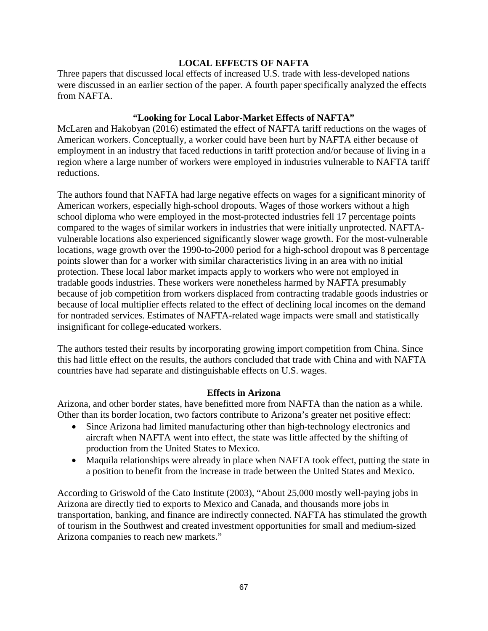### **LOCAL EFFECTS OF NAFTA**

Three papers that discussed local effects of increased U.S. trade with less-developed nations were discussed in an earlier section of the paper. A fourth paper specifically analyzed the effects from NAFTA.

## **"Looking for Local Labor-Market Effects of NAFTA"**

McLaren and Hakobyan (2016) estimated the effect of NAFTA tariff reductions on the wages of American workers. Conceptually, a worker could have been hurt by NAFTA either because of employment in an industry that faced reductions in tariff protection and/or because of living in a region where a large number of workers were employed in industries vulnerable to NAFTA tariff reductions.

The authors found that NAFTA had large negative effects on wages for a significant minority of American workers, especially high-school dropouts. Wages of those workers without a high school diploma who were employed in the most-protected industries fell 17 percentage points compared to the wages of similar workers in industries that were initially unprotected. NAFTAvulnerable locations also experienced significantly slower wage growth. For the most-vulnerable locations, wage growth over the 1990-to-2000 period for a high-school dropout was 8 percentage points slower than for a worker with similar characteristics living in an area with no initial protection. These local labor market impacts apply to workers who were not employed in tradable goods industries. These workers were nonetheless harmed by NAFTA presumably because of job competition from workers displaced from contracting tradable goods industries or because of local multiplier effects related to the effect of declining local incomes on the demand for nontraded services. Estimates of NAFTA-related wage impacts were small and statistically insignificant for college-educated workers.

The authors tested their results by incorporating growing import competition from China. Since this had little effect on the results, the authors concluded that trade with China and with NAFTA countries have had separate and distinguishable effects on U.S. wages.

### **Effects in Arizona**

Arizona, and other border states, have benefitted more from NAFTA than the nation as a while. Other than its border location, two factors contribute to Arizona's greater net positive effect:

- Since Arizona had limited manufacturing other than high-technology electronics and aircraft when NAFTA went into effect, the state was little affected by the shifting of production from the United States to Mexico.
- Maquila relationships were already in place when NAFTA took effect, putting the state in a position to benefit from the increase in trade between the United States and Mexico.

According to Griswold of the Cato Institute (2003), "About 25,000 mostly well-paying jobs in Arizona are directly tied to exports to Mexico and Canada, and thousands more jobs in transportation, banking, and finance are indirectly connected. NAFTA has stimulated the growth of tourism in the Southwest and created investment opportunities for small and medium-sized Arizona companies to reach new markets."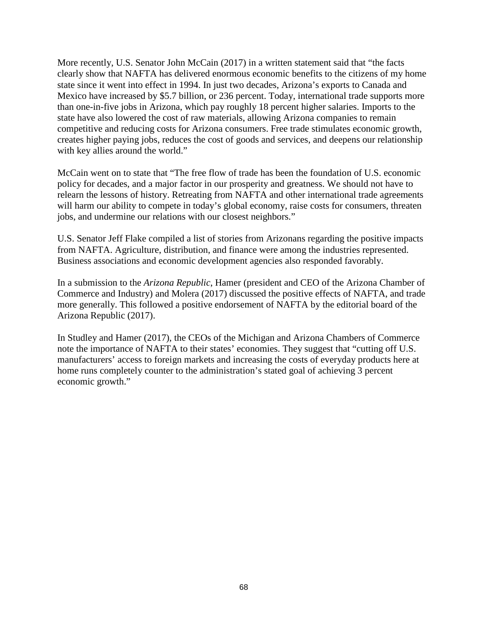More recently, U.S. Senator John McCain (2017) in a written statement said that "the facts clearly show that NAFTA has delivered enormous economic benefits to the citizens of my home state since it went into effect in 1994. In just two decades, Arizona's exports to Canada and Mexico have increased by \$5.7 billion, or 236 percent. Today, international trade supports more than one-in-five jobs in Arizona, which pay roughly 18 percent higher salaries. Imports to the state have also lowered the cost of raw materials, allowing Arizona companies to remain competitive and reducing costs for Arizona consumers. Free trade stimulates economic growth, creates higher paying jobs, reduces the cost of goods and services, and deepens our relationship with key allies around the world."

McCain went on to state that "The free flow of trade has been the foundation of U.S. economic policy for decades, and a major factor in our prosperity and greatness. We should not have to relearn the lessons of history. Retreating from NAFTA and other international trade agreements will harm our ability to compete in today's global economy, raise costs for consumers, threaten jobs, and undermine our relations with our closest neighbors."

U.S. Senator Jeff Flake compiled a list of stories from Arizonans regarding the positive impacts from NAFTA. Agriculture, distribution, and finance were among the industries represented. Business associations and economic development agencies also responded favorably.

In a submission to the *Arizona Republic*, Hamer (president and CEO of the Arizona Chamber of Commerce and Industry) and Molera (2017) discussed the positive effects of NAFTA, and trade more generally. This followed a positive endorsement of NAFTA by the editorial board of the Arizona Republic (2017).

In Studley and Hamer (2017), the CEOs of the Michigan and Arizona Chambers of Commerce note the importance of NAFTA to their states' economies. They suggest that "cutting off U.S. manufacturers' access to foreign markets and increasing the costs of everyday products here at home runs completely counter to the administration's stated goal of achieving 3 percent economic growth."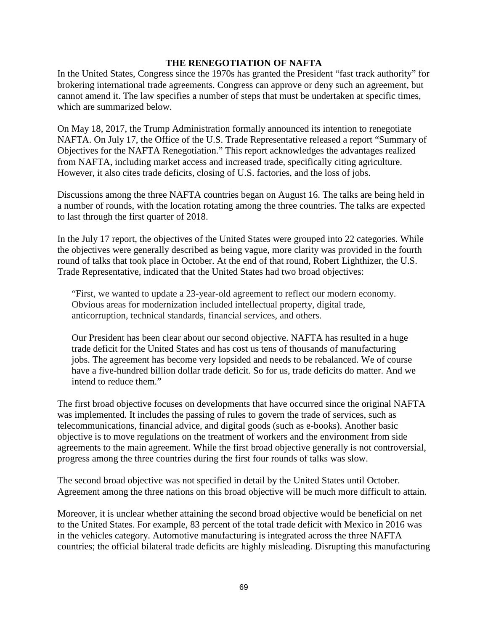#### **THE RENEGOTIATION OF NAFTA**

In the United States, Congress since the 1970s has granted the President "fast track authority" for brokering international trade agreements. Congress can approve or deny such an agreement, but cannot amend it. The law specifies a number of steps that must be undertaken at specific times, which are summarized below.

On May 18, 2017, the Trump Administration formally announced its intention to renegotiate NAFTA. On July 17, the Office of the U.S. Trade Representative released a report "Summary of Objectives for the NAFTA Renegotiation." This report acknowledges the advantages realized from NAFTA, including market access and increased trade, specifically citing agriculture. However, it also cites trade deficits, closing of U.S. factories, and the loss of jobs.

Discussions among the three NAFTA countries began on August 16. The talks are being held in a number of rounds, with the location rotating among the three countries. The talks are expected to last through the first quarter of 2018.

In the July 17 report, the objectives of the United States were grouped into 22 categories. While the objectives were generally described as being vague, more clarity was provided in the fourth round of talks that took place in October. At the end of that round, Robert Lighthizer, the U.S. Trade Representative, indicated that the United States had two broad objectives:

"First, we wanted to update a 23-year-old agreement to reflect our modern economy. Obvious areas for modernization included intellectual property, digital trade, anticorruption, technical standards, financial services, and others.

Our President has been clear about our second objective. NAFTA has resulted in a huge trade deficit for the United States and has cost us tens of thousands of manufacturing jobs. The agreement has become very lopsided and needs to be rebalanced. We of course have a five-hundred billion dollar trade deficit. So for us, trade deficits do matter. And we intend to reduce them."

The first broad objective focuses on developments that have occurred since the original NAFTA was implemented. It includes the passing of rules to govern the trade of services, such as telecommunications, financial advice, and digital goods (such as e-books). Another basic objective is to move regulations on the treatment of workers and the environment from side agreements to the main agreement. While the first broad objective generally is not controversial, progress among the three countries during the first four rounds of talks was slow.

The second broad objective was not specified in detail by the United States until October. Agreement among the three nations on this broad objective will be much more difficult to attain.

Moreover, it is unclear whether attaining the second broad objective would be beneficial on net to the United States. For example, 83 percent of the total trade deficit with Mexico in 2016 was in the vehicles category. Automotive manufacturing is integrated across the three NAFTA countries; the official bilateral trade deficits are highly misleading. Disrupting this manufacturing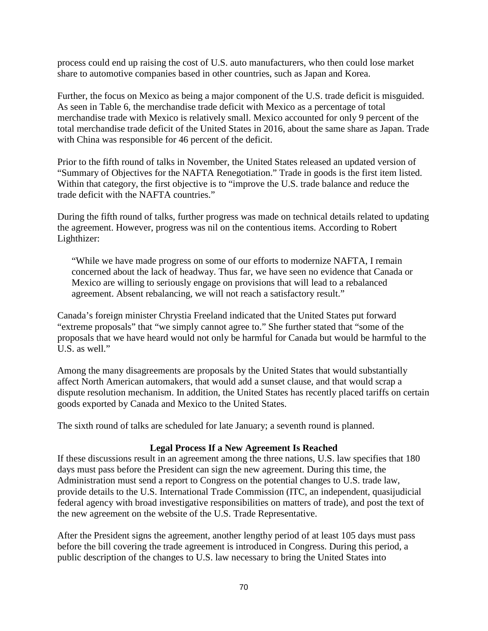process could end up raising the cost of U.S. auto manufacturers, who then could lose market share to automotive companies based in other countries, such as Japan and Korea.

Further, the focus on Mexico as being a major component of the U.S. trade deficit is misguided. As seen in Table 6, the merchandise trade deficit with Mexico as a percentage of total merchandise trade with Mexico is relatively small. Mexico accounted for only 9 percent of the total merchandise trade deficit of the United States in 2016, about the same share as Japan. Trade with China was responsible for 46 percent of the deficit.

Prior to the fifth round of talks in November, the United States released an updated version of "Summary of Objectives for the NAFTA Renegotiation." Trade in goods is the first item listed. Within that category, the first objective is to "improve the U.S. trade balance and reduce the trade deficit with the NAFTA countries."

During the fifth round of talks, further progress was made on technical details related to updating the agreement. However, progress was nil on the contentious items. According to Robert Lighthizer:

"While we have made progress on some of our efforts to modernize NAFTA, I remain concerned about the lack of headway. Thus far, we have seen no evidence that Canada or Mexico are willing to seriously engage on provisions that will lead to a rebalanced agreement. Absent rebalancing, we will not reach a satisfactory result."

Canada's foreign minister Chrystia Freeland indicated that the United States put forward "extreme proposals" that "we simply cannot agree to." She further stated that "some of the proposals that we have heard would not only be harmful for Canada but would be harmful to the U.S. as well."

Among the many disagreements are proposals by the United States that would substantially affect North American automakers, that would add a sunset clause, and that would scrap a dispute resolution mechanism. In addition, the United States has recently placed tariffs on certain goods exported by Canada and Mexico to the United States.

The sixth round of talks are scheduled for late January; a seventh round is planned.

# **Legal Process If a New Agreement Is Reached**

If these discussions result in an agreement among the three nations, U.S. law specifies that 180 days must pass before the President can sign the new agreement. During this time, the Administration must send a report to Congress on the potential changes to U.S. trade law, provide details to the U.S. International Trade Commission (ITC, an independent, quasijudicial federal agency with broad investigative responsibilities on matters of trade), and post the text of the new agreement on the website of the U.S. Trade Representative.

After the President signs the agreement, another lengthy period of at least 105 days must pass before the bill covering the trade agreement is introduced in Congress. During this period, a public description of the changes to U.S. law necessary to bring the United States into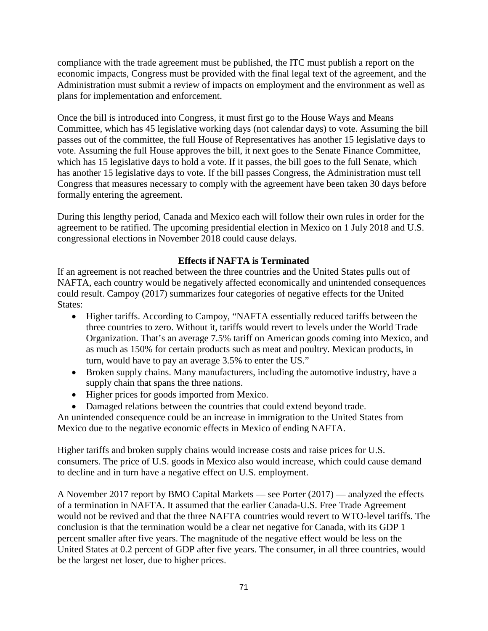compliance with the trade agreement must be published, the ITC must publish a report on the economic impacts, Congress must be provided with the final legal text of the agreement, and the Administration must submit a review of impacts on employment and the environment as well as plans for implementation and enforcement.

Once the bill is introduced into Congress, it must first go to the House Ways and Means Committee, which has 45 legislative working days (not calendar days) to vote. Assuming the bill passes out of the committee, the full House of Representatives has another 15 legislative days to vote. Assuming the full House approves the bill, it next goes to the Senate Finance Committee, which has 15 legislative days to hold a vote. If it passes, the bill goes to the full Senate, which has another 15 legislative days to vote. If the bill passes Congress, the Administration must tell Congress that measures necessary to comply with the agreement have been taken 30 days before formally entering the agreement.

During this lengthy period, Canada and Mexico each will follow their own rules in order for the agreement to be ratified. The upcoming presidential election in Mexico on 1 July 2018 and U.S. congressional elections in November 2018 could cause delays.

# **Effects if NAFTA is Terminated**

If an agreement is not reached between the three countries and the United States pulls out of NAFTA, each country would be negatively affected economically and unintended consequences could result. Campoy (2017) summarizes four categories of negative effects for the United States:

- Higher tariffs. According to Campoy, "NAFTA essentially reduced tariffs between the three countries to zero. Without it, tariffs would revert to levels under the World Trade Organization. That's an average 7.5% tariff on American goods coming into Mexico, and as much as 150% for certain products such as meat and poultry. Mexican products, in turn, would have to pay an average 3.5% to enter the US."
- Broken supply chains. Many manufacturers, including the automotive industry, have a supply chain that spans the three nations.
- Higher prices for goods imported from Mexico.
- Damaged relations between the countries that could extend beyond trade.

An unintended consequence could be an increase in immigration to the United States from Mexico due to the negative economic effects in Mexico of ending NAFTA.

Higher tariffs and broken supply chains would increase costs and raise prices for U.S. consumers. The price of U.S. goods in Mexico also would increase, which could cause demand to decline and in turn have a negative effect on U.S. employment.

A November 2017 report by BMO Capital Markets — see Porter (2017) — analyzed the effects of a termination in NAFTA. It assumed that the earlier Canada-U.S. Free Trade Agreement would not be revived and that the three NAFTA countries would revert to WTO-level tariffs. The conclusion is that the termination would be a clear net negative for Canada, with its GDP 1 percent smaller after five years. The magnitude of the negative effect would be less on the United States at 0.2 percent of GDP after five years. The consumer, in all three countries, would be the largest net loser, due to higher prices.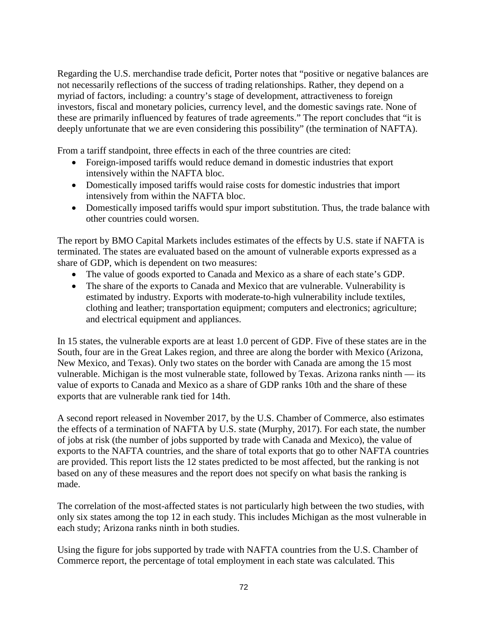Regarding the U.S. merchandise trade deficit, Porter notes that "positive or negative balances are not necessarily reflections of the success of trading relationships. Rather, they depend on a myriad of factors, including: a country's stage of development, attractiveness to foreign investors, fiscal and monetary policies, currency level, and the domestic savings rate. None of these are primarily influenced by features of trade agreements." The report concludes that "it is deeply unfortunate that we are even considering this possibility" (the termination of NAFTA).

From a tariff standpoint, three effects in each of the three countries are cited:

- Foreign-imposed tariffs would reduce demand in domestic industries that export intensively within the NAFTA bloc.
- Domestically imposed tariffs would raise costs for domestic industries that import intensively from within the NAFTA bloc.
- Domestically imposed tariffs would spur import substitution. Thus, the trade balance with other countries could worsen.

The report by BMO Capital Markets includes estimates of the effects by U.S. state if NAFTA is terminated. The states are evaluated based on the amount of vulnerable exports expressed as a share of GDP, which is dependent on two measures:

- The value of goods exported to Canada and Mexico as a share of each state's GDP.
- The share of the exports to Canada and Mexico that are vulnerable. Vulnerability is estimated by industry. Exports with moderate-to-high vulnerability include textiles, clothing and leather; transportation equipment; computers and electronics; agriculture; and electrical equipment and appliances.

In 15 states, the vulnerable exports are at least 1.0 percent of GDP. Five of these states are in the South, four are in the Great Lakes region, and three are along the border with Mexico (Arizona, New Mexico, and Texas). Only two states on the border with Canada are among the 15 most vulnerable. Michigan is the most vulnerable state, followed by Texas. Arizona ranks ninth — its value of exports to Canada and Mexico as a share of GDP ranks 10th and the share of these exports that are vulnerable rank tied for 14th.

A second report released in November 2017, by the U.S. Chamber of Commerce, also estimates the effects of a termination of NAFTA by U.S. state (Murphy, 2017). For each state, the number of jobs at risk (the number of jobs supported by trade with Canada and Mexico), the value of exports to the NAFTA countries, and the share of total exports that go to other NAFTA countries are provided. This report lists the 12 states predicted to be most affected, but the ranking is not based on any of these measures and the report does not specify on what basis the ranking is made.

The correlation of the most-affected states is not particularly high between the two studies, with only six states among the top 12 in each study. This includes Michigan as the most vulnerable in each study; Arizona ranks ninth in both studies.

Using the figure for jobs supported by trade with NAFTA countries from the U.S. Chamber of Commerce report, the percentage of total employment in each state was calculated. This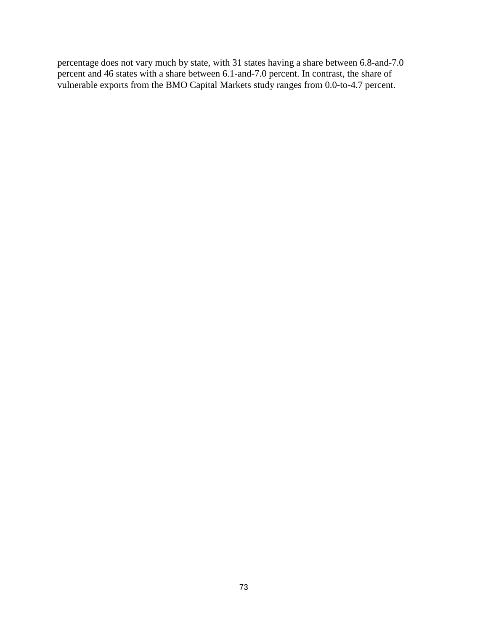percentage does not vary much by state, with 31 states having a share between 6.8-and-7.0 percent and 46 states with a share between 6.1-and-7.0 percent. In contrast, the share of vulnerable exports from the BMO Capital Markets study ranges from 0.0-to-4.7 percent.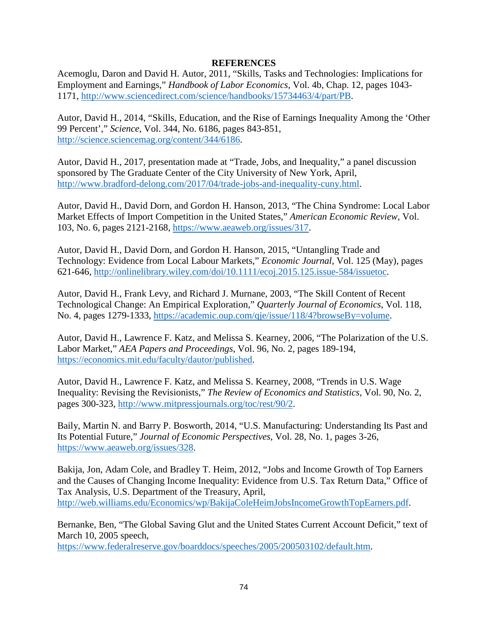# **REFERENCES**

Acemoglu, Daron and David H. Autor, 2011, "Skills, Tasks and Technologies: Implications for Employment and Earnings," *Handbook of Labor Economics*, Vol. 4b, Chap. 12, pages 1043- 1171, [http://www.sciencedirect.com/science/handbooks/15734463/4/part/PB.](http://www.sciencedirect.com/science/handbooks/15734463/4/part/PB)

Autor, David H., 2014, "Skills, Education, and the Rise of Earnings Inequality Among the 'Other 99 Percent'," *Science*, Vol. 344, No. 6186, pages 843-851, [http://science.sciencemag.org/content/344/6186.](http://science.sciencemag.org/content/344/6186)

Autor, David H., 2017, presentation made at "Trade, Jobs, and Inequality," a panel discussion sponsored by The Graduate Center of the City University of New York, April, [http://www.bradford-delong.com/2017/04/trade-jobs-and-inequality-cuny.html.](http://www.bradford-delong.com/2017/04/trade-jobs-and-inequality-cuny.html)

Autor, David H., David Dorn, and Gordon H. Hanson, 2013, "The China Syndrome: Local Labor Market Effects of Import Competition in the United States," *American Economic Review*, Vol. 103, No. 6, pages 2121-2168, [https://www.aeaweb.org/issues/317.](https://www.aeaweb.org/issues/317)

Autor, David H., David Dorn, and Gordon H. Hanson, 2015, "Untangling Trade and Technology: Evidence from Local Labour Markets," *Economic Journal*, Vol. 125 (May), pages 621-646, [http://onlinelibrary.wiley.com/doi/10.1111/ecoj.2015.125.issue-584/issuetoc.](http://onlinelibrary.wiley.com/doi/10.1111/ecoj.2015.125.issue-584/issuetoc)

Autor, David H., Frank Levy, and Richard J. Murnane, 2003, "The Skill Content of Recent Technological Change: An Empirical Exploration," *Quarterly Journal of Economics*, Vol. 118, No. 4, pages 1279-1333, [https://academic.oup.com/qje/issue/118/4?browseBy=volume.](https://academic.oup.com/qje/issue/118/4?browseBy=volume)

Autor, David H., Lawrence F. Katz, and Melissa S. Kearney, 2006, "The Polarization of the U.S. Labor Market," *AEA Papers and Proceedings*, Vol. 96, No. 2, pages 189-194, [https://economics.mit.edu/faculty/dautor/published.](https://economics.mit.edu/faculty/dautor/published)

Autor, David H., Lawrence F. Katz, and Melissa S. Kearney, 2008, "Trends in U.S. Wage Inequality: Revising the Revisionists," *The Review of Economics and Statistics*, Vol. 90, No. 2, pages 300-323, [http://www.mitpressjournals.org/toc/rest/90/2.](http://www.mitpressjournals.org/toc/rest/90/2)

Baily, Martin N. and Barry P. Bosworth, 2014, "U.S. Manufacturing: Understanding Its Past and Its Potential Future," *Journal of Economic Perspectives*, Vol. 28, No. 1, pages 3-26, [https://www.aeaweb.org/issues/328.](https://www.aeaweb.org/issues/328)

Bakija, Jon, Adam Cole, and Bradley T. Heim, 2012, "Jobs and Income Growth of Top Earners and the Causes of Changing Income Inequality: Evidence from U.S. Tax Return Data," Office of Tax Analysis, U.S. Department of the Treasury, April, [http://web.williams.edu/Economics/wp/BakijaColeHeimJobsIncomeGrowthTopEarners.pdf.](http://web.williams.edu/Economics/wp/BakijaColeHeimJobsIncomeGrowthTopEarners.pdf)

Bernanke, Ben, "The Global Saving Glut and the United States Current Account Deficit," text of March 10, 2005 speech,

[https://www.federalreserve.gov/boarddocs/speeches/2005/200503102/default.htm.](https://www.federalreserve.gov/boarddocs/speeches/2005/200503102/default.htm)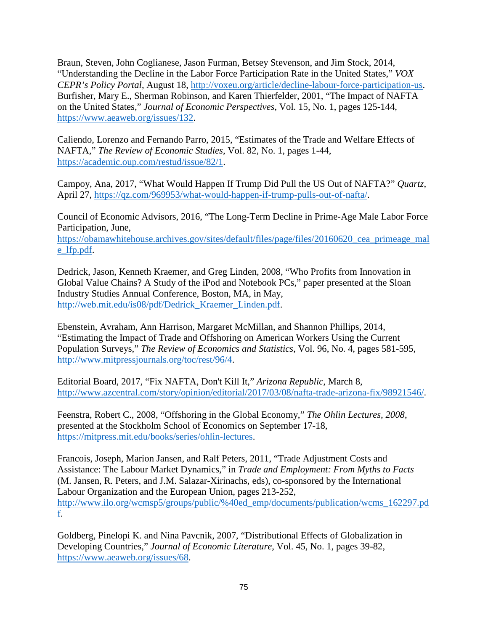Braun, Steven, John Coglianese, Jason Furman, Betsey Stevenson, and Jim Stock, 2014, "Understanding the Decline in the Labor Force Participation Rate in the United States," *VOX CEPR's Policy Portal*, August 18, [http://voxeu.org/article/decline-labour-force-participation-us.](http://voxeu.org/article/decline-labour-force-participation-us) Burfisher, Mary E., Sherman Robinson, and Karen Thierfelder, 2001, "The Impact of NAFTA on the United States," *Journal of Economic Perspectives*, Vol. 15, No. 1, pages 125-144, [https://www.aeaweb.org/issues/132.](https://www.aeaweb.org/issues/132)

Caliendo, Lorenzo and Fernando Parro, 2015, "Estimates of the Trade and Welfare Effects of NAFTA," *The Review of Economic Studies*, Vol. 82, No. 1, pages 1-44, [https://academic.oup.com/restud/issue/82/1.](https://academic.oup.com/restud/issue/82/1)

Campoy, Ana, 2017, "What Would Happen If Trump Did Pull the US Out of NAFTA?" *Quartz*, April 27, [https://qz.com/969953/what-would-happen-if-trump-pulls-out-of-nafta/.](https://qz.com/969953/what-would-happen-if-trump-pulls-out-of-nafta/)

Council of Economic Advisors, 2016, "The Long-Term Decline in Prime-Age Male Labor Force Participation, June,

[https://obamawhitehouse.archives.gov/sites/default/files/page/files/20160620\\_cea\\_primeage\\_mal](https://obamawhitehouse.archives.gov/sites/default/files/page/files/20160620_cea_primeage_male_lfp.pdf) [e\\_lfp.pdf.](https://obamawhitehouse.archives.gov/sites/default/files/page/files/20160620_cea_primeage_male_lfp.pdf)

Dedrick, Jason, Kenneth Kraemer, and Greg Linden, 2008, "Who Profits from Innovation in Global Value Chains? A Study of the iPod and Notebook PCs," paper presented at the Sloan Industry Studies Annual Conference, Boston, MA, in May, [http://web.mit.edu/is08/pdf/Dedrick\\_Kraemer\\_Linden.pdf.](http://web.mit.edu/is08/pdf/Dedrick_Kraemer_Linden.pdf)

Ebenstein, Avraham, Ann Harrison, Margaret McMillan, and Shannon Phillips, 2014, "Estimating the Impact of Trade and Offshoring on American Workers Using the Current Population Surveys," *The Review of Economics and Statistics*, Vol. 96, No. 4, pages 581-595, [http://www.mitpressjournals.org/toc/rest/96/4.](http://www.mitpressjournals.org/toc/rest/96/4)

Editorial Board, 2017, "Fix NAFTA, Don't Kill It," *Arizona Republic*, March 8, [http://www.azcentral.com/story/opinion/editorial/2017/03/08/nafta-trade-arizona-fix/98921546/.](http://www.azcentral.com/story/opinion/editorial/2017/03/08/nafta-trade-arizona-fix/98921546/)

Feenstra, Robert C., 2008, "Offshoring in the Global Economy," *The Ohlin Lectures, 2008*, presented at the Stockholm School of Economics on September 17-18, [https://mitpress.mit.edu/books/series/ohlin-lectures.](https://mitpress.mit.edu/books/series/ohlin-lectures)

Francois, Joseph, Marion Jansen, and Ralf Peters, 2011, "Trade Adjustment Costs and Assistance: The Labour Market Dynamics," in *Trade and Employment: From Myths to Facts* (M. Jansen, R. Peters, and J.M. Salazar-Xirinachs, eds), co-sponsored by the International Labour Organization and the European Union, pages 213-252, [http://www.ilo.org/wcmsp5/groups/public/%40ed\\_emp/documents/publication/wcms\\_162297.pd](http://www.ilo.org/wcmsp5/groups/public/%40ed_emp/documents/publication/wcms_162297.pdf) [f.](http://www.ilo.org/wcmsp5/groups/public/%40ed_emp/documents/publication/wcms_162297.pdf)

Goldberg, Pinelopi K. and Nina Pavcnik, 2007, "Distributional Effects of Globalization in Developing Countries," *Journal of Economic Literature*, Vol. 45, No. 1, pages 39-82, [https://www.aeaweb.org/issues/68.](https://www.aeaweb.org/issues/68)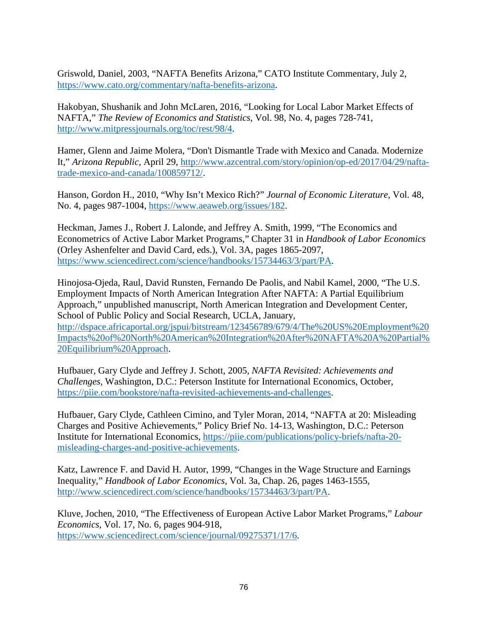Griswold, Daniel, 2003, "NAFTA Benefits Arizona," CATO Institute Commentary, July 2, [https://www.cato.org/commentary/nafta-benefits-arizona.](https://www.cato.org/commentary/nafta-benefits-arizona)

Hakobyan, Shushanik and John McLaren, 2016, "Looking for Local Labor Market Effects of NAFTA," *The Review of Economics and Statistics*, Vol. 98, No. 4, pages 728-741, [http://www.mitpressjournals.org/toc/rest/98/4.](http://www.mitpressjournals.org/toc/rest/98/4)

Hamer, Glenn and Jaime Molera, "Don't Dismantle Trade with Mexico and Canada. Modernize It," *Arizona Republic*, April 29, [http://www.azcentral.com/story/opinion/op-ed/2017/04/29/nafta](http://www.azcentral.com/story/opinion/op-ed/2017/04/29/nafta-trade-mexico-and-canada/100859712/)[trade-mexico-and-canada/100859712/.](http://www.azcentral.com/story/opinion/op-ed/2017/04/29/nafta-trade-mexico-and-canada/100859712/)

Hanson, Gordon H., 2010, "Why Isn't Mexico Rich?" *Journal of Economic Literature*, Vol. 48, No. 4, pages 987-1004, [https://www.aeaweb.org/issues/182.](https://www.aeaweb.org/issues/182)

Heckman, James J., Robert J. Lalonde, and Jeffrey A. Smith, 1999, "The Economics and Econometrics of Active Labor Market Programs," Chapter 31 in *Handbook of Labor Economics* (Orley Ashenfelter and David Card, eds.), Vol. 3A, pages 1865-2097, [https://www.sciencedirect.com/science/handbooks/15734463/3/part/PA.](https://www.sciencedirect.com/science/handbooks/15734463/3/part/PA)

Hinojosa-Ojeda, Raul, David Runsten, Fernando De Paolis, and Nabil Kamel, 2000, "The U.S. Employment Impacts of North American Integration After NAFTA: A Partial Equilibrium Approach," unpublished manuscript, North American Integration and Development Center, School of Public Policy and Social Research, UCLA, January, [http://dspace.africaportal.org/jspui/bitstream/123456789/679/4/The%20US%20Employment%20](http://dspace.africaportal.org/jspui/bitstream/123456789/679/4/The%20US%20Employment%20Impacts%20of%20North%20American%20Integration%20After%20NAFTA%20A%20Partial%20Equilibrium%20Approach) [Impacts%20of%20North%20American%20Integration%20After%20NAFTA%20A%20Partial%](http://dspace.africaportal.org/jspui/bitstream/123456789/679/4/The%20US%20Employment%20Impacts%20of%20North%20American%20Integration%20After%20NAFTA%20A%20Partial%20Equilibrium%20Approach) [20Equilibrium%20Approach.](http://dspace.africaportal.org/jspui/bitstream/123456789/679/4/The%20US%20Employment%20Impacts%20of%20North%20American%20Integration%20After%20NAFTA%20A%20Partial%20Equilibrium%20Approach)

Hufbauer, Gary Clyde and Jeffrey J. Schott, 2005, *NAFTA Revisited: Achievements and Challenges*, Washington, D.C.: Peterson Institute for International Economics, October, [https://piie.com/bookstore/nafta-revisited-achievements-and-challenges.](https://piie.com/bookstore/nafta-revisited-achievements-and-challenges)

Hufbauer, Gary Clyde, Cathleen Cimino, and Tyler Moran, 2014, "NAFTA at 20: Misleading Charges and Positive Achievements," Policy Brief No. 14-13, Washington, D.C.: Peterson Institute for International Economics, [https://piie.com/publications/policy-briefs/nafta-20](https://piie.com/publications/policy-briefs/nafta-20-misleading-charges-and-positive-achievements) [misleading-charges-and-positive-achievements.](https://piie.com/publications/policy-briefs/nafta-20-misleading-charges-and-positive-achievements)

Katz, Lawrence F. and David H. Autor, 1999, "Changes in the Wage Structure and Earnings Inequality," *Handbook of Labor Economics*, Vol. 3a, Chap. 26, pages 1463-1555, [http://www.sciencedirect.com/science/handbooks/15734463/3/part/PA.](http://www.sciencedirect.com/science/handbooks/15734463/3/part/PA)

Kluve, Jochen, 2010, "The Effectiveness of European Active Labor Market Programs," *Labour Economics*, Vol. 17, No. 6, pages 904-918, [https://www.sciencedirect.com/science/journal/09275371/17/6.](https://www.sciencedirect.com/science/journal/09275371/17/6)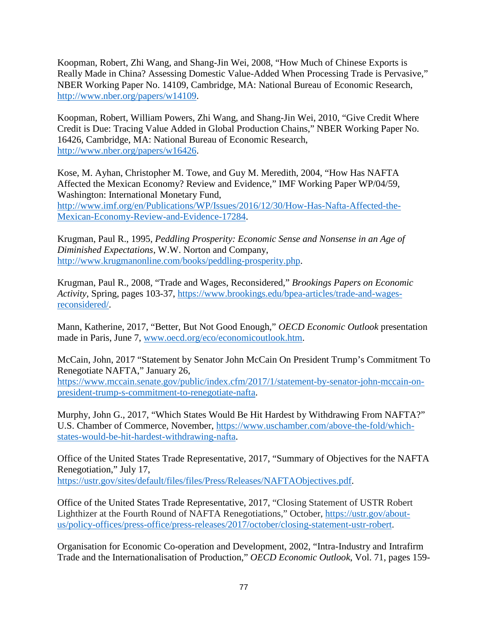Koopman, Robert, Zhi Wang, and Shang-Jin Wei, 2008, "How Much of Chinese Exports is Really Made in China? Assessing Domestic Value-Added When Processing Trade is Pervasive," NBER Working Paper No. 14109, Cambridge, MA: National Bureau of Economic Research, [http://www.nber.org/papers/w14109.](http://www.nber.org/papers/w14109)

Koopman, Robert, William Powers, Zhi Wang, and Shang-Jin Wei, 2010, "Give Credit Where Credit is Due: Tracing Value Added in Global Production Chains," NBER Working Paper No. 16426, Cambridge, MA: National Bureau of Economic Research, [http://www.nber.org/papers/w16426.](http://www.nber.org/papers/w16426)

Kose, M. Ayhan, Christopher M. Towe, and Guy M. Meredith, 2004, "How Has NAFTA Affected the Mexican Economy? Review and Evidence," IMF Working Paper WP/04/59, Washington: International Monetary Fund, [http://www.imf.org/en/Publications/WP/Issues/2016/12/30/How-Has-Nafta-Affected-the-](http://www.imf.org/en/Publications/WP/Issues/2016/12/30/How-Has-Nafta-Affected-the-Mexican-Economy-Review-and-Evidence-17284)[Mexican-Economy-Review-and-Evidence-17284.](http://www.imf.org/en/Publications/WP/Issues/2016/12/30/How-Has-Nafta-Affected-the-Mexican-Economy-Review-and-Evidence-17284)

Krugman, Paul R., 1995, *Peddling Prosperity: Economic Sense and Nonsense in an Age of Diminished Expectations*, W.W. Norton and Company, [http://www.krugmanonline.com/books/peddling-prosperity.php.](http://www.krugmanonline.com/books/peddling-prosperity.php)

Krugman, Paul R., 2008, "Trade and Wages, Reconsidered," *Brookings Papers on Economic Activity*, Spring, pages 103-37, [https://www.brookings.edu/bpea-articles/trade-and-wages](https://www.brookings.edu/bpea-articles/trade-and-wages-reconsidered/)[reconsidered/.](https://www.brookings.edu/bpea-articles/trade-and-wages-reconsidered/)

Mann, Katherine, 2017, "Better, But Not Good Enough," *OECD Economic Outlook* presentation made in Paris, June 7, [www.oecd.org/eco/economicoutlook.htm.](http://www.oecd.org/eco/economicoutlook.htm)

McCain, John, 2017 "Statement by Senator John McCain On President Trump's Commitment To Renegotiate NAFTA," January 26, [https://www.mccain.senate.gov/public/index.cfm/2017/1/statement-by-senator-john-mccain-on](https://www.mccain.senate.gov/public/index.cfm/2017/1/statement-by-senator-john-mccain-on-president-trump-s-commitment-to-renegotiate-nafta)[president-trump-s-commitment-to-renegotiate-nafta.](https://www.mccain.senate.gov/public/index.cfm/2017/1/statement-by-senator-john-mccain-on-president-trump-s-commitment-to-renegotiate-nafta)

Murphy, John G., 2017, "Which States Would Be Hit Hardest by Withdrawing From NAFTA?" U.S. Chamber of Commerce, November, [https://www.uschamber.com/above-the-fold/which](https://www.uschamber.com/above-the-fold/which-states-would-be-hit-hardest-withdrawing-nafta)[states-would-be-hit-hardest-withdrawing-nafta.](https://www.uschamber.com/above-the-fold/which-states-would-be-hit-hardest-withdrawing-nafta)

Office of the United States Trade Representative, 2017, "Summary of Objectives for the NAFTA Renegotiation," July 17,

[https://ustr.gov/sites/default/files/files/Press/Releases/NAFTAObjectives.pdf.](https://ustr.gov/sites/default/files/files/Press/Releases/NAFTAObjectives.pdf)

Office of the United States Trade Representative, 2017, "Closing Statement of USTR Robert Lighthizer at the Fourth Round of NAFTA Renegotiations," October, [https://ustr.gov/about](https://ustr.gov/about-us/policy-offices/press-office/press-releases/2017/october/closing-statement-ustr-robert)[us/policy-offices/press-office/press-releases/2017/october/closing-statement-ustr-robert.](https://ustr.gov/about-us/policy-offices/press-office/press-releases/2017/october/closing-statement-ustr-robert)

Organisation for Economic Co-operation and Development, 2002, "Intra-Industry and Intrafirm Trade and the Internationalisation of Production," *OECD Economic Outlook*, Vol. 71, pages 159-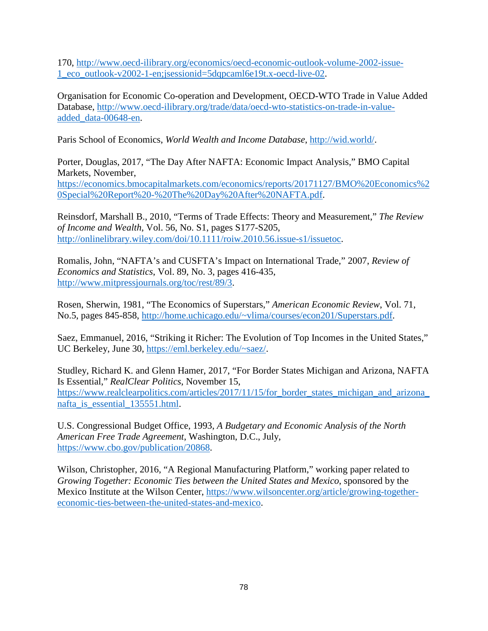170, [http://www.oecd-ilibrary.org/economics/oecd-economic-outlook-volume-2002-issue-](http://www.oecd-ilibrary.org/economics/oecd-economic-outlook-volume-2002-issue-1_eco_outlook-v2002-1-en;jsessionid=5dqpcaml6e19t.x-oecd-live-02)[1\\_eco\\_outlook-v2002-1-en;jsessionid=5dqpcaml6e19t.x-oecd-live-02.](http://www.oecd-ilibrary.org/economics/oecd-economic-outlook-volume-2002-issue-1_eco_outlook-v2002-1-en;jsessionid=5dqpcaml6e19t.x-oecd-live-02)

Organisation for Economic Co-operation and Development, OECD-WTO Trade in Value Added Database, [http://www.oecd-ilibrary.org/trade/data/oecd-wto-statistics-on-trade-in-value](http://www.oecd-ilibrary.org/trade/data/oecd-wto-statistics-on-trade-in-value-added_data-00648-en)[added\\_data-00648-en.](http://www.oecd-ilibrary.org/trade/data/oecd-wto-statistics-on-trade-in-value-added_data-00648-en)

Paris School of Economics, *World Wealth and Income Database*, [http://wid.world/.](http://wid.world/)

Porter, Douglas, 2017, "The Day After NAFTA: Economic Impact Analysis," BMO Capital Markets, November,

[https://economics.bmocapitalmarkets.com/economics/reports/20171127/BMO%20Economics%2](https://economics.bmocapitalmarkets.com/economics/reports/20171127/BMO%20Economics%20Special%20Report%20-%20The%20Day%20After%20NAFTA.pdf) [0Special%20Report%20-%20The%20Day%20After%20NAFTA.pdf.](https://economics.bmocapitalmarkets.com/economics/reports/20171127/BMO%20Economics%20Special%20Report%20-%20The%20Day%20After%20NAFTA.pdf)

Reinsdorf, Marshall B., 2010, "Terms of Trade Effects: Theory and Measurement," *The Review of Income and Wealth*, Vol. 56, No. S1, pages S177-S205, [http://onlinelibrary.wiley.com/doi/10.1111/roiw.2010.56.issue-s1/issuetoc.](http://onlinelibrary.wiley.com/doi/10.1111/roiw.2010.56.issue-s1/issuetoc)

Romalis, John, "NAFTA's and CUSFTA's Impact on International Trade," 2007, *Review of Economics and Statistics*, Vol. 89, No. 3, pages 416-435, [http://www.mitpressjournals.org/toc/rest/89/3.](http://www.mitpressjournals.org/toc/rest/89/3)

Rosen, Sherwin, 1981, "The Economics of Superstars," *American Economic Review*, Vol. 71, No.5, pages 845-858, [http://home.uchicago.edu/~vlima/courses/econ201/Superstars.pdf.](http://home.uchicago.edu/%7Evlima/courses/econ201/Superstars.pdf)

Saez, Emmanuel, 2016, "Striking it Richer: The Evolution of Top Incomes in the United States," UC Berkeley, June 30, [https://eml.berkeley.edu/~saez/.](https://eml.berkeley.edu/%7Esaez/)

Studley, Richard K. and Glenn Hamer, 2017, "For Border States Michigan and Arizona, NAFTA Is Essential," *RealClear Politics*, November 15, https://www.realclearpolitics.com/articles/2017/11/15/for border states michigan and arizona nafta is essential 135551.html.

U.S. Congressional Budget Office, 1993, *A Budgetary and Economic Analysis of the North American Free Trade Agreement*, Washington, D.C., July, [https://www.cbo.gov/publication/20868.](https://www.cbo.gov/publication/20868)

Wilson, Christopher, 2016, "A Regional Manufacturing Platform," working paper related to *Growing Together: Economic Ties between the United States and Mexico*, sponsored by the Mexico Institute at the Wilson Center, [https://www.wilsoncenter.org/article/growing-together](https://www.wilsoncenter.org/article/growing-together-economic-ties-between-the-united-states-and-mexico)[economic-ties-between-the-united-states-and-mexico.](https://www.wilsoncenter.org/article/growing-together-economic-ties-between-the-united-states-and-mexico)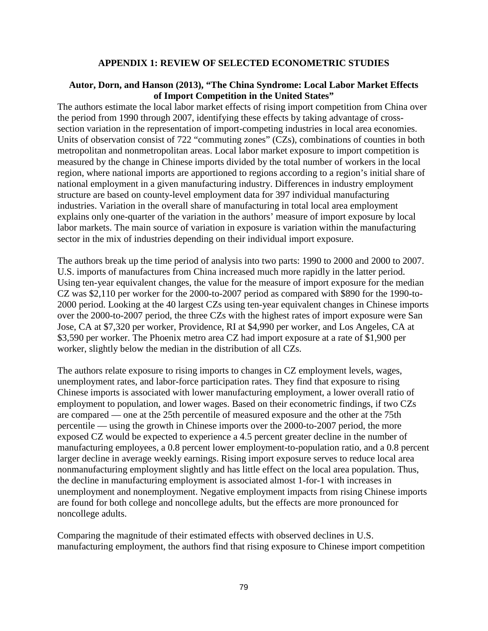### **APPENDIX 1: REVIEW OF SELECTED ECONOMETRIC STUDIES**

#### **Autor, Dorn, and Hanson (2013), "The China Syndrome: Local Labor Market Effects of Import Competition in the United States"**

The authors estimate the local labor market effects of rising import competition from China over the period from 1990 through 2007, identifying these effects by taking advantage of crosssection variation in the representation of import-competing industries in local area economies. Units of observation consist of 722 "commuting zones" (CZs), combinations of counties in both metropolitan and nonmetropolitan areas. Local labor market exposure to import competition is measured by the change in Chinese imports divided by the total number of workers in the local region, where national imports are apportioned to regions according to a region's initial share of national employment in a given manufacturing industry. Differences in industry employment structure are based on county-level employment data for 397 individual manufacturing industries. Variation in the overall share of manufacturing in total local area employment explains only one-quarter of the variation in the authors' measure of import exposure by local labor markets. The main source of variation in exposure is variation within the manufacturing sector in the mix of industries depending on their individual import exposure.

The authors break up the time period of analysis into two parts: 1990 to 2000 and 2000 to 2007. U.S. imports of manufactures from China increased much more rapidly in the latter period. Using ten-year equivalent changes, the value for the measure of import exposure for the median CZ was \$2,110 per worker for the 2000-to-2007 period as compared with \$890 for the 1990-to-2000 period. Looking at the 40 largest CZs using ten-year equivalent changes in Chinese imports over the 2000-to-2007 period, the three CZs with the highest rates of import exposure were San Jose, CA at \$7,320 per worker, Providence, RI at \$4,990 per worker, and Los Angeles, CA at \$3,590 per worker. The Phoenix metro area CZ had import exposure at a rate of \$1,900 per worker, slightly below the median in the distribution of all CZs.

The authors relate exposure to rising imports to changes in CZ employment levels, wages, unemployment rates, and labor-force participation rates. They find that exposure to rising Chinese imports is associated with lower manufacturing employment, a lower overall ratio of employment to population, and lower wages. Based on their econometric findings, if two CZs are compared — one at the 25th percentile of measured exposure and the other at the 75th percentile — using the growth in Chinese imports over the 2000-to-2007 period, the more exposed CZ would be expected to experience a 4.5 percent greater decline in the number of manufacturing employees, a 0.8 percent lower employment-to-population ratio, and a 0.8 percent larger decline in average weekly earnings. Rising import exposure serves to reduce local area nonmanufacturing employment slightly and has little effect on the local area population. Thus, the decline in manufacturing employment is associated almost 1-for-1 with increases in unemployment and nonemployment. Negative employment impacts from rising Chinese imports are found for both college and noncollege adults, but the effects are more pronounced for noncollege adults.

Comparing the magnitude of their estimated effects with observed declines in U.S. manufacturing employment, the authors find that rising exposure to Chinese import competition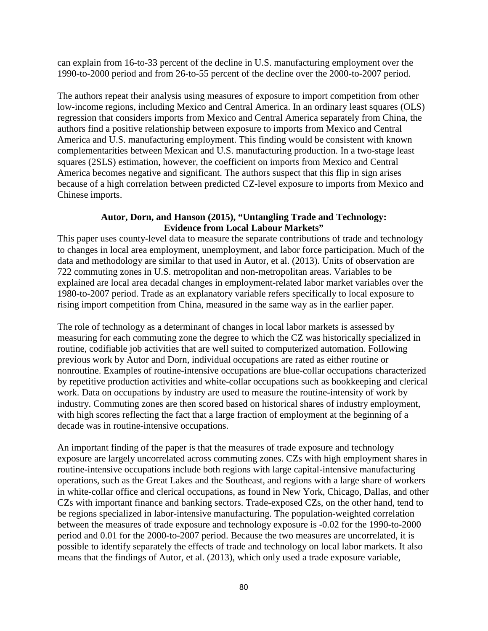can explain from 16-to-33 percent of the decline in U.S. manufacturing employment over the 1990-to-2000 period and from 26-to-55 percent of the decline over the 2000-to-2007 period.

The authors repeat their analysis using measures of exposure to import competition from other low-income regions, including Mexico and Central America. In an ordinary least squares (OLS) regression that considers imports from Mexico and Central America separately from China, the authors find a positive relationship between exposure to imports from Mexico and Central America and U.S. manufacturing employment. This finding would be consistent with known complementarities between Mexican and U.S. manufacturing production. In a two-stage least squares (2SLS) estimation, however, the coefficient on imports from Mexico and Central America becomes negative and significant. The authors suspect that this flip in sign arises because of a high correlation between predicted CZ-level exposure to imports from Mexico and Chinese imports.

# **Autor, Dorn, and Hanson (2015), "Untangling Trade and Technology: Evidence from Local Labour Markets"**

This paper uses county-level data to measure the separate contributions of trade and technology to changes in local area employment, unemployment, and labor force participation. Much of the data and methodology are similar to that used in Autor, et al. (2013). Units of observation are 722 commuting zones in U.S. metropolitan and non-metropolitan areas. Variables to be explained are local area decadal changes in employment-related labor market variables over the 1980-to-2007 period. Trade as an explanatory variable refers specifically to local exposure to rising import competition from China, measured in the same way as in the earlier paper.

The role of technology as a determinant of changes in local labor markets is assessed by measuring for each commuting zone the degree to which the CZ was historically specialized in routine, codifiable job activities that are well suited to computerized automation. Following previous work by Autor and Dorn, individual occupations are rated as either routine or nonroutine. Examples of routine-intensive occupations are blue-collar occupations characterized by repetitive production activities and white-collar occupations such as bookkeeping and clerical work. Data on occupations by industry are used to measure the routine-intensity of work by industry. Commuting zones are then scored based on historical shares of industry employment, with high scores reflecting the fact that a large fraction of employment at the beginning of a decade was in routine-intensive occupations.

An important finding of the paper is that the measures of trade exposure and technology exposure are largely uncorrelated across commuting zones. CZs with high employment shares in routine-intensive occupations include both regions with large capital-intensive manufacturing operations, such as the Great Lakes and the Southeast, and regions with a large share of workers in white-collar office and clerical occupations, as found in New York, Chicago, Dallas, and other CZs with important finance and banking sectors. Trade-exposed CZs, on the other hand, tend to be regions specialized in labor-intensive manufacturing. The population-weighted correlation between the measures of trade exposure and technology exposure is -0.02 for the 1990-to-2000 period and 0.01 for the 2000-to-2007 period. Because the two measures are uncorrelated, it is possible to identify separately the effects of trade and technology on local labor markets. It also means that the findings of Autor, et al. (2013), which only used a trade exposure variable,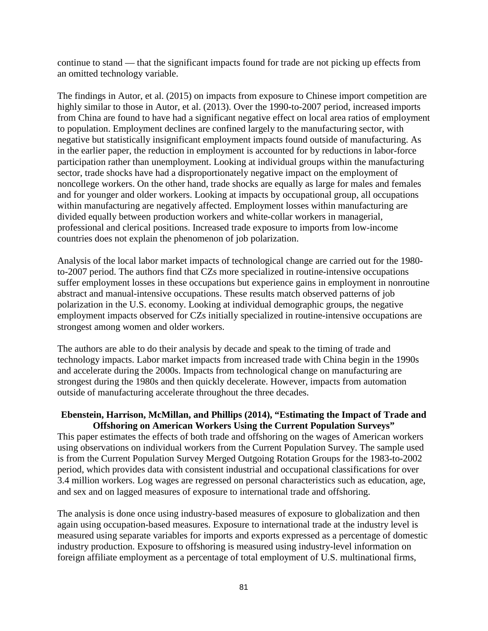continue to stand — that the significant impacts found for trade are not picking up effects from an omitted technology variable.

The findings in Autor, et al. (2015) on impacts from exposure to Chinese import competition are highly similar to those in Autor, et al. (2013). Over the 1990-to-2007 period, increased imports from China are found to have had a significant negative effect on local area ratios of employment to population. Employment declines are confined largely to the manufacturing sector, with negative but statistically insignificant employment impacts found outside of manufacturing. As in the earlier paper, the reduction in employment is accounted for by reductions in labor-force participation rather than unemployment. Looking at individual groups within the manufacturing sector, trade shocks have had a disproportionately negative impact on the employment of noncollege workers. On the other hand, trade shocks are equally as large for males and females and for younger and older workers. Looking at impacts by occupational group, all occupations within manufacturing are negatively affected. Employment losses within manufacturing are divided equally between production workers and white-collar workers in managerial, professional and clerical positions. Increased trade exposure to imports from low-income countries does not explain the phenomenon of job polarization.

Analysis of the local labor market impacts of technological change are carried out for the 1980 to-2007 period. The authors find that CZs more specialized in routine-intensive occupations suffer employment losses in these occupations but experience gains in employment in nonroutine abstract and manual-intensive occupations. These results match observed patterns of job polarization in the U.S. economy. Looking at individual demographic groups, the negative employment impacts observed for CZs initially specialized in routine-intensive occupations are strongest among women and older workers.

The authors are able to do their analysis by decade and speak to the timing of trade and technology impacts. Labor market impacts from increased trade with China begin in the 1990s and accelerate during the 2000s. Impacts from technological change on manufacturing are strongest during the 1980s and then quickly decelerate. However, impacts from automation outside of manufacturing accelerate throughout the three decades.

# **Ebenstein, Harrison, McMillan, and Phillips (2014), "Estimating the Impact of Trade and Offshoring on American Workers Using the Current Population Surveys"**

This paper estimates the effects of both trade and offshoring on the wages of American workers using observations on individual workers from the Current Population Survey. The sample used is from the Current Population Survey Merged Outgoing Rotation Groups for the 1983-to-2002 period, which provides data with consistent industrial and occupational classifications for over 3.4 million workers. Log wages are regressed on personal characteristics such as education, age, and sex and on lagged measures of exposure to international trade and offshoring.

The analysis is done once using industry-based measures of exposure to globalization and then again using occupation-based measures. Exposure to international trade at the industry level is measured using separate variables for imports and exports expressed as a percentage of domestic industry production. Exposure to offshoring is measured using industry-level information on foreign affiliate employment as a percentage of total employment of U.S. multinational firms,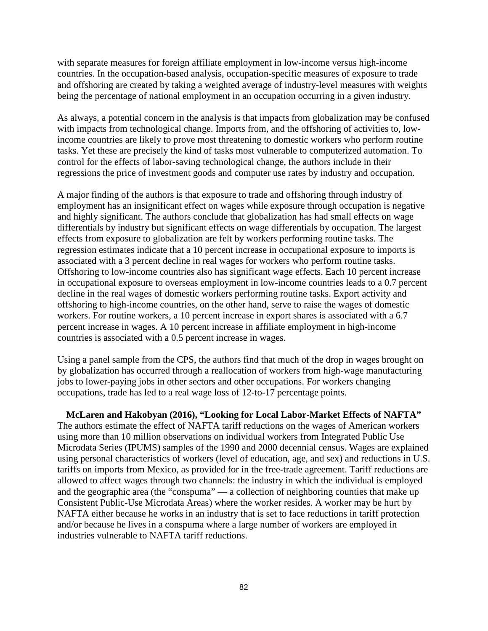with separate measures for foreign affiliate employment in low-income versus high-income countries. In the occupation-based analysis, occupation-specific measures of exposure to trade and offshoring are created by taking a weighted average of industry-level measures with weights being the percentage of national employment in an occupation occurring in a given industry.

As always, a potential concern in the analysis is that impacts from globalization may be confused with impacts from technological change. Imports from, and the offshoring of activities to, lowincome countries are likely to prove most threatening to domestic workers who perform routine tasks. Yet these are precisely the kind of tasks most vulnerable to computerized automation. To control for the effects of labor-saving technological change, the authors include in their regressions the price of investment goods and computer use rates by industry and occupation.

A major finding of the authors is that exposure to trade and offshoring through industry of employment has an insignificant effect on wages while exposure through occupation is negative and highly significant. The authors conclude that globalization has had small effects on wage differentials by industry but significant effects on wage differentials by occupation. The largest effects from exposure to globalization are felt by workers performing routine tasks. The regression estimates indicate that a 10 percent increase in occupational exposure to imports is associated with a 3 percent decline in real wages for workers who perform routine tasks. Offshoring to low-income countries also has significant wage effects. Each 10 percent increase in occupational exposure to overseas employment in low-income countries leads to a 0.7 percent decline in the real wages of domestic workers performing routine tasks. Export activity and offshoring to high-income countries, on the other hand, serve to raise the wages of domestic workers. For routine workers, a 10 percent increase in export shares is associated with a 6.7 percent increase in wages. A 10 percent increase in affiliate employment in high-income countries is associated with a 0.5 percent increase in wages.

Using a panel sample from the CPS, the authors find that much of the drop in wages brought on by globalization has occurred through a reallocation of workers from high-wage manufacturing jobs to lower-paying jobs in other sectors and other occupations. For workers changing occupations, trade has led to a real wage loss of 12-to-17 percentage points.

**McLaren and Hakobyan (2016), "Looking for Local Labor-Market Effects of NAFTA"** The authors estimate the effect of NAFTA tariff reductions on the wages of American workers using more than 10 million observations on individual workers from Integrated Public Use Microdata Series (IPUMS) samples of the 1990 and 2000 decennial census. Wages are explained using personal characteristics of workers (level of education, age, and sex) and reductions in U.S. tariffs on imports from Mexico, as provided for in the free-trade agreement. Tariff reductions are allowed to affect wages through two channels: the industry in which the individual is employed and the geographic area (the "conspuma" — a collection of neighboring counties that make up Consistent Public-Use Microdata Areas) where the worker resides. A worker may be hurt by NAFTA either because he works in an industry that is set to face reductions in tariff protection and/or because he lives in a conspuma where a large number of workers are employed in industries vulnerable to NAFTA tariff reductions.